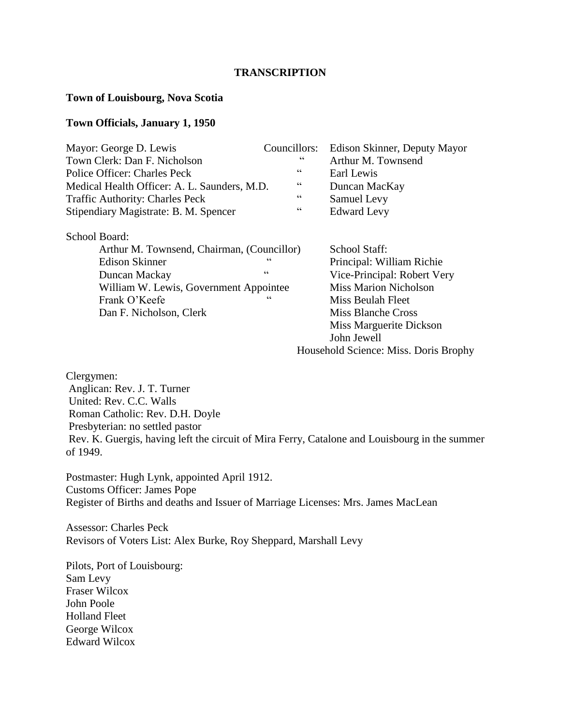#### **TRANSCRIPTION**

#### **Town of Louisbourg, Nova Scotia**

### **Town Officials, January 1, 1950**

| Mayor: George D. Lewis                       | Councillors:   | Edison Skinner, Deputy Mayor |
|----------------------------------------------|----------------|------------------------------|
| Town Clerk: Dan F. Nicholson                 | cc             | Arthur M. Townsend           |
| Police Officer: Charles Peck                 | $\epsilon$     | Earl Lewis                   |
| Medical Health Officer: A. L. Saunders, M.D. | cc             | Duncan MacKay                |
| <b>Traffic Authority: Charles Peck</b>       | $\epsilon$     | Samuel Levy                  |
| Stipendiary Magistrate: B. M. Spencer        | $\zeta\,\zeta$ | <b>Edward Levy</b>           |
| School Board:                                |                |                              |
| Arthur M. Townsend, Chairman, (Councillor)   | School Staff:  |                              |
| <b>Edison Skinner</b>                        | $\epsilon$     | Principal: William Richie    |
| Duncan Mackay                                | $\epsilon$     | Vice-Principal: Robert Very  |
| William W. Lewis, Government Appointee       |                | <b>Miss Marion Nicholson</b> |
| Frank O'Keefe                                | $\epsilon$     | Miss Beulah Fleet            |
| Dan F. Nicholson, Clerk                      |                | Miss Blanche Cross           |

Miss Marguerite Dickson John Jewell

Household Science: Miss. Doris Brophy

Clergymen: Anglican: Rev. J. T. Turner United: Rev. C.C. Walls Roman Catholic: Rev. D.H. Doyle Presbyterian: no settled pastor Rev. K. Guergis, having left the circuit of Mira Ferry, Catalone and Louisbourg in the summer of 1949.

Postmaster: Hugh Lynk, appointed April 1912. Customs Officer: James Pope Register of Births and deaths and Issuer of Marriage Licenses: Mrs. James MacLean

Assessor: Charles Peck Revisors of Voters List: Alex Burke, Roy Sheppard, Marshall Levy

Pilots, Port of Louisbourg: Sam Levy Fraser Wilcox John Poole Holland Fleet George Wilcox Edward Wilcox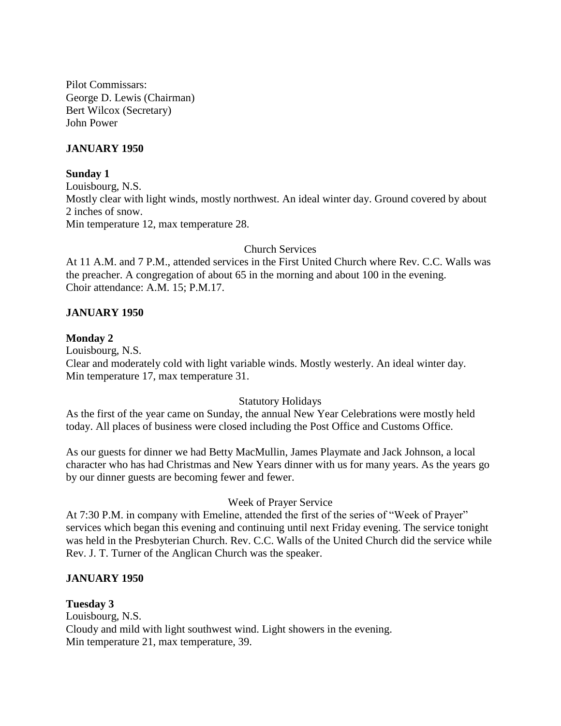Pilot Commissars: George D. Lewis (Chairman) Bert Wilcox (Secretary) John Power

## **JANUARY 1950**

#### **Sunday 1**

Louisbourg, N.S. Mostly clear with light winds, mostly northwest. An ideal winter day. Ground covered by about 2 inches of snow. Min temperature 12, max temperature 28.

### Church Services

At 11 A.M. and 7 P.M., attended services in the First United Church where Rev. C.C. Walls was the preacher. A congregation of about 65 in the morning and about 100 in the evening. Choir attendance: A.M. 15; P.M.17.

## **JANUARY 1950**

### **Monday 2**

Louisbourg, N.S. Clear and moderately cold with light variable winds. Mostly westerly. An ideal winter day. Min temperature 17, max temperature 31.

### Statutory Holidays

As the first of the year came on Sunday, the annual New Year Celebrations were mostly held today. All places of business were closed including the Post Office and Customs Office.

As our guests for dinner we had Betty MacMullin, James Playmate and Jack Johnson, a local character who has had Christmas and New Years dinner with us for many years. As the years go by our dinner guests are becoming fewer and fewer.

### Week of Prayer Service

At 7:30 P.M. in company with Emeline, attended the first of the series of "Week of Prayer" services which began this evening and continuing until next Friday evening. The service tonight was held in the Presbyterian Church. Rev. C.C. Walls of the United Church did the service while Rev. J. T. Turner of the Anglican Church was the speaker.

### **JANUARY 1950**

### **Tuesday 3**

Louisbourg, N.S. Cloudy and mild with light southwest wind. Light showers in the evening. Min temperature 21, max temperature, 39.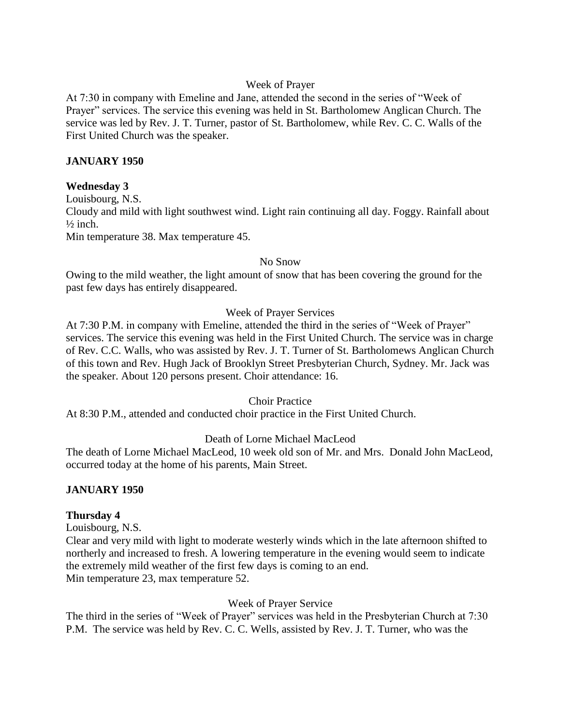# Week of Prayer

At 7:30 in company with Emeline and Jane, attended the second in the series of "Week of Prayer" services. The service this evening was held in St. Bartholomew Anglican Church. The service was led by Rev. J. T. Turner, pastor of St. Bartholomew, while Rev. C. C. Walls of the First United Church was the speaker.

## **JANUARY 1950**

## **Wednesday 3**

Louisbourg, N.S. Cloudy and mild with light southwest wind. Light rain continuing all day. Foggy. Rainfall about  $\frac{1}{2}$  inch.

Min temperature 38. Max temperature 45.

#### No Snow

Owing to the mild weather, the light amount of snow that has been covering the ground for the past few days has entirely disappeared.

### Week of Prayer Services

At 7:30 P.M. in company with Emeline, attended the third in the series of "Week of Prayer" services. The service this evening was held in the First United Church. The service was in charge of Rev. C.C. Walls, who was assisted by Rev. J. T. Turner of St. Bartholomews Anglican Church of this town and Rev. Hugh Jack of Brooklyn Street Presbyterian Church, Sydney. Mr. Jack was the speaker. About 120 persons present. Choir attendance: 16.

### Choir Practice

At 8:30 P.M., attended and conducted choir practice in the First United Church.

# Death of Lorne Michael MacLeod

The death of Lorne Michael MacLeod, 10 week old son of Mr. and Mrs. Donald John MacLeod, occurred today at the home of his parents, Main Street.

### **JANUARY 1950**

### **Thursday 4**

Louisbourg, N.S.

Clear and very mild with light to moderate westerly winds which in the late afternoon shifted to northerly and increased to fresh. A lowering temperature in the evening would seem to indicate the extremely mild weather of the first few days is coming to an end. Min temperature 23, max temperature 52.

### Week of Prayer Service

The third in the series of "Week of Prayer" services was held in the Presbyterian Church at 7:30 P.M. The service was held by Rev. C. C. Wells, assisted by Rev. J. T. Turner, who was the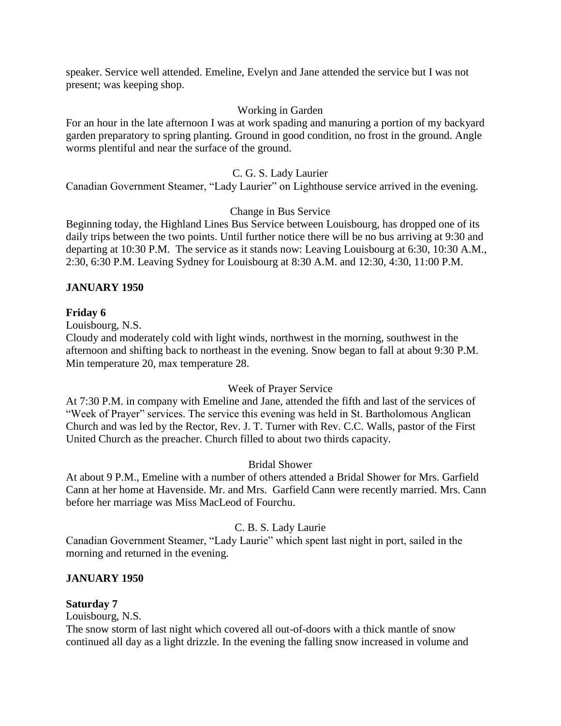speaker. Service well attended. Emeline, Evelyn and Jane attended the service but I was not present; was keeping shop.

# Working in Garden

For an hour in the late afternoon I was at work spading and manuring a portion of my backyard garden preparatory to spring planting. Ground in good condition, no frost in the ground. Angle worms plentiful and near the surface of the ground.

### C. G. S. Lady Laurier

Canadian Government Steamer, "Lady Laurier" on Lighthouse service arrived in the evening.

## Change in Bus Service

Beginning today, the Highland Lines Bus Service between Louisbourg, has dropped one of its daily trips between the two points. Until further notice there will be no bus arriving at 9:30 and departing at 10:30 P.M. The service as it stands now: Leaving Louisbourg at 6:30, 10:30 A.M., 2:30, 6:30 P.M. Leaving Sydney for Louisbourg at 8:30 A.M. and 12:30, 4:30, 11:00 P.M.

## **JANUARY 1950**

### **Friday 6**

Louisbourg, N.S.

Cloudy and moderately cold with light winds, northwest in the morning, southwest in the afternoon and shifting back to northeast in the evening. Snow began to fall at about 9:30 P.M. Min temperature 20, max temperature 28.

### Week of Prayer Service

At 7:30 P.M. in company with Emeline and Jane, attended the fifth and last of the services of "Week of Prayer" services. The service this evening was held in St. Bartholomous Anglican Church and was led by the Rector, Rev. J. T. Turner with Rev. C.C. Walls, pastor of the First United Church as the preacher. Church filled to about two thirds capacity.

### Bridal Shower

At about 9 P.M., Emeline with a number of others attended a Bridal Shower for Mrs. Garfield Cann at her home at Havenside. Mr. and Mrs. Garfield Cann were recently married. Mrs. Cann before her marriage was Miss MacLeod of Fourchu.

### C. B. S. Lady Laurie

Canadian Government Steamer, "Lady Laurie" which spent last night in port, sailed in the morning and returned in the evening.

### **JANUARY 1950**

### **Saturday 7**

Louisbourg, N.S.

The snow storm of last night which covered all out-of-doors with a thick mantle of snow continued all day as a light drizzle. In the evening the falling snow increased in volume and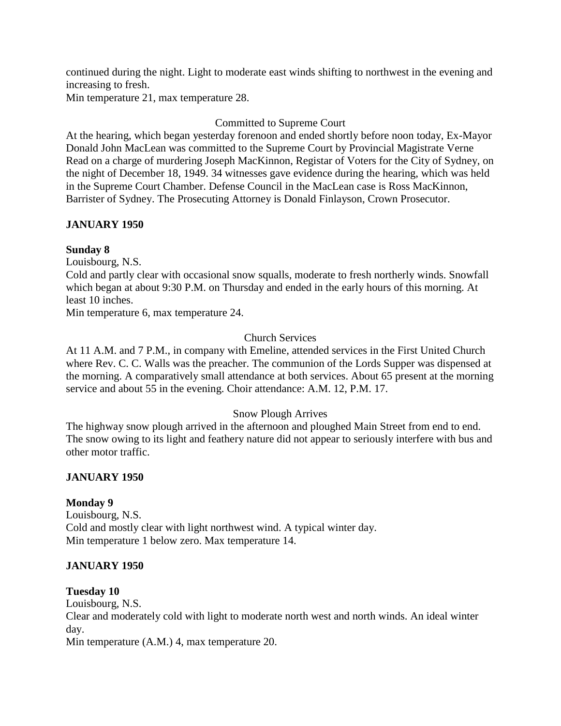continued during the night. Light to moderate east winds shifting to northwest in the evening and increasing to fresh.

Min temperature 21, max temperature 28.

# Committed to Supreme Court

At the hearing, which began yesterday forenoon and ended shortly before noon today, Ex-Mayor Donald John MacLean was committed to the Supreme Court by Provincial Magistrate Verne Read on a charge of murdering Joseph MacKinnon, Registar of Voters for the City of Sydney, on the night of December 18, 1949. 34 witnesses gave evidence during the hearing, which was held in the Supreme Court Chamber. Defense Council in the MacLean case is Ross MacKinnon, Barrister of Sydney. The Prosecuting Attorney is Donald Finlayson, Crown Prosecutor.

# **JANUARY 1950**

# **Sunday 8**

Louisbourg, N.S.

Cold and partly clear with occasional snow squalls, moderate to fresh northerly winds. Snowfall which began at about 9:30 P.M. on Thursday and ended in the early hours of this morning. At least 10 inches.

Min temperature 6, max temperature 24.

# Church Services

At 11 A.M. and 7 P.M., in company with Emeline, attended services in the First United Church where Rev. C. C. Walls was the preacher. The communion of the Lords Supper was dispensed at the morning. A comparatively small attendance at both services. About 65 present at the morning service and about 55 in the evening. Choir attendance: A.M. 12, P.M. 17.

# Snow Plough Arrives

The highway snow plough arrived in the afternoon and ploughed Main Street from end to end. The snow owing to its light and feathery nature did not appear to seriously interfere with bus and other motor traffic.

# **JANUARY 1950**

# **Monday 9**

Louisbourg, N.S. Cold and mostly clear with light northwest wind. A typical winter day. Min temperature 1 below zero. Max temperature 14.

# **JANUARY 1950**

### **Tuesday 10**

Louisbourg, N.S.

Clear and moderately cold with light to moderate north west and north winds. An ideal winter day.

Min temperature (A.M.) 4, max temperature 20.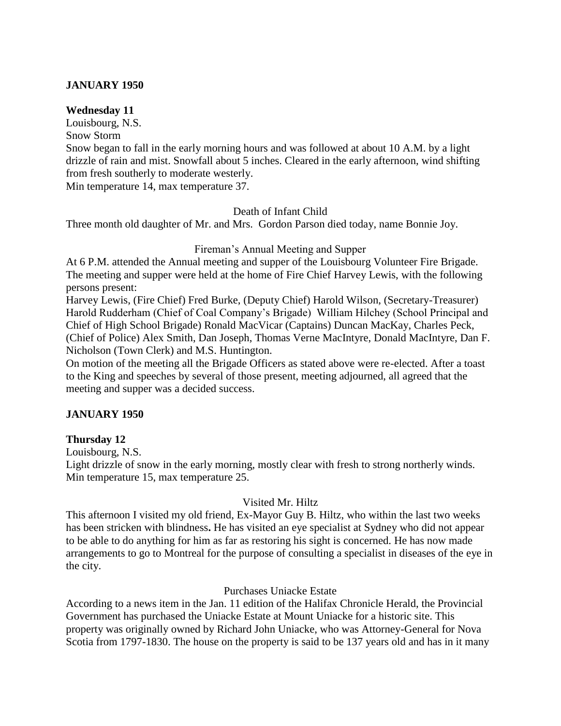# **JANUARY 1950**

#### **Wednesday 11**

Louisbourg, N.S.

Snow Storm

Snow began to fall in the early morning hours and was followed at about 10 A.M. by a light drizzle of rain and mist. Snowfall about 5 inches. Cleared in the early afternoon, wind shifting from fresh southerly to moderate westerly.

Min temperature 14, max temperature 37.

### Death of Infant Child

Three month old daughter of Mr. and Mrs. Gordon Parson died today, name Bonnie Joy.

### Fireman's Annual Meeting and Supper

At 6 P.M. attended the Annual meeting and supper of the Louisbourg Volunteer Fire Brigade. The meeting and supper were held at the home of Fire Chief Harvey Lewis, with the following persons present:

Harvey Lewis, (Fire Chief) Fred Burke, (Deputy Chief) Harold Wilson, (Secretary-Treasurer) Harold Rudderham (Chief of Coal Company's Brigade) William Hilchey (School Principal and Chief of High School Brigade) Ronald MacVicar (Captains) Duncan MacKay, Charles Peck, (Chief of Police) Alex Smith, Dan Joseph, Thomas Verne MacIntyre, Donald MacIntyre, Dan F. Nicholson (Town Clerk) and M.S. Huntington.

On motion of the meeting all the Brigade Officers as stated above were re-elected. After a toast to the King and speeches by several of those present, meeting adjourned, all agreed that the meeting and supper was a decided success.

### **JANUARY 1950**

### **Thursday 12**

Louisbourg, N.S.

Light drizzle of snow in the early morning, mostly clear with fresh to strong northerly winds. Min temperature 15, max temperature 25.

### Visited Mr. Hiltz

This afternoon I visited my old friend, Ex-Mayor Guy B. Hiltz, who within the last two weeks has been stricken with blindness**.** He has visited an eye specialist at Sydney who did not appear to be able to do anything for him as far as restoring his sight is concerned. He has now made arrangements to go to Montreal for the purpose of consulting a specialist in diseases of the eye in the city.

### Purchases Uniacke Estate

According to a news item in the Jan. 11 edition of the Halifax Chronicle Herald, the Provincial Government has purchased the Uniacke Estate at Mount Uniacke for a historic site. This property was originally owned by Richard John Uniacke, who was Attorney-General for Nova Scotia from 1797-1830. The house on the property is said to be 137 years old and has in it many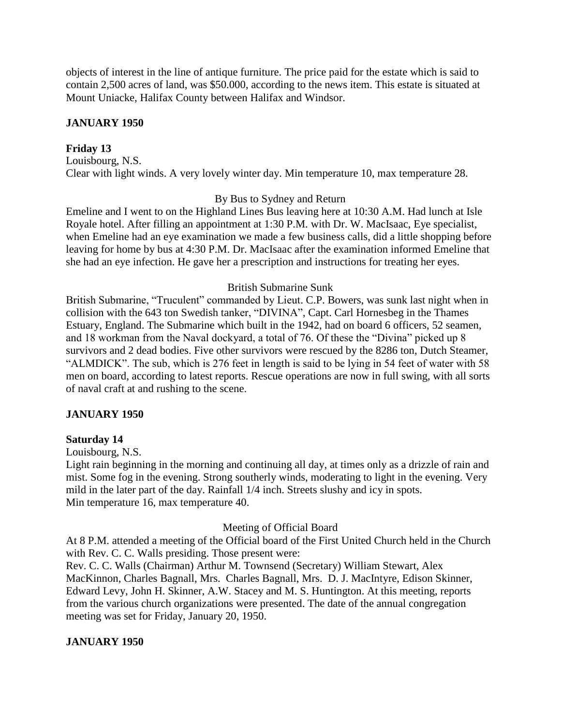objects of interest in the line of antique furniture. The price paid for the estate which is said to contain 2,500 acres of land, was \$50.000, according to the news item. This estate is situated at Mount Uniacke, Halifax County between Halifax and Windsor.

# **JANUARY 1950**

## **Friday 13**

Louisbourg, N.S. Clear with light winds. A very lovely winter day. Min temperature 10, max temperature 28.

### By Bus to Sydney and Return

Emeline and I went to on the Highland Lines Bus leaving here at 10:30 A.M. Had lunch at Isle Royale hotel. After filling an appointment at 1:30 P.M. with Dr. W. MacIsaac, Eye specialist, when Emeline had an eye examination we made a few business calls, did a little shopping before leaving for home by bus at 4:30 P.M. Dr. MacIsaac after the examination informed Emeline that she had an eye infection. He gave her a prescription and instructions for treating her eyes.

### British Submarine Sunk

British Submarine, "Truculent" commanded by Lieut. C.P. Bowers, was sunk last night when in collision with the 643 ton Swedish tanker, "DIVINA", Capt. Carl Hornesbeg in the Thames Estuary, England. The Submarine which built in the 1942, had on board 6 officers, 52 seamen, and 18 workman from the Naval dockyard, a total of 76. Of these the "Divina" picked up 8 survivors and 2 dead bodies. Five other survivors were rescued by the 8286 ton, Dutch Steamer, "ALMDICK". The sub, which is 276 feet in length is said to be lying in 54 feet of water with 58 men on board, according to latest reports. Rescue operations are now in full swing, with all sorts of naval craft at and rushing to the scene.

### **JANUARY 1950**

### **Saturday 14**

Louisbourg, N.S.

Light rain beginning in the morning and continuing all day, at times only as a drizzle of rain and mist. Some fog in the evening. Strong southerly winds, moderating to light in the evening. Very mild in the later part of the day. Rainfall 1/4 inch. Streets slushy and icy in spots. Min temperature 16, max temperature 40.

### Meeting of Official Board

At 8 P.M. attended a meeting of the Official board of the First United Church held in the Church with Rev. C. C. Walls presiding. Those present were:

Rev. C. C. Walls (Chairman) Arthur M. Townsend (Secretary) William Stewart, Alex MacKinnon, Charles Bagnall, Mrs. Charles Bagnall, Mrs. D. J. MacIntyre, Edison Skinner, Edward Levy, John H. Skinner, A.W. Stacey and M. S. Huntington. At this meeting, reports from the various church organizations were presented. The date of the annual congregation meeting was set for Friday, January 20, 1950.

### **JANUARY 1950**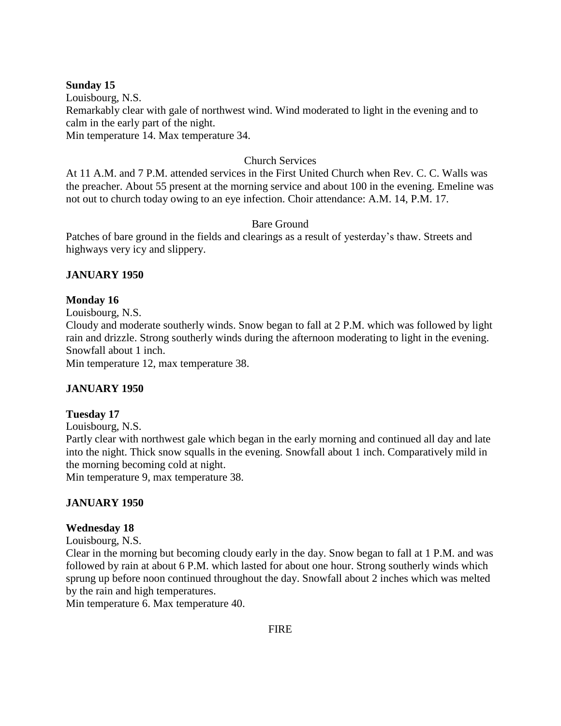## **Sunday 15**

Louisbourg, N.S. Remarkably clear with gale of northwest wind. Wind moderated to light in the evening and to calm in the early part of the night. Min temperature 14. Max temperature 34.

## Church Services

At 11 A.M. and 7 P.M. attended services in the First United Church when Rev. C. C. Walls was the preacher. About 55 present at the morning service and about 100 in the evening. Emeline was not out to church today owing to an eye infection. Choir attendance: A.M. 14, P.M. 17.

## Bare Ground

Patches of bare ground in the fields and clearings as a result of yesterday's thaw. Streets and highways very icy and slippery.

## **JANUARY 1950**

## **Monday 16**

Louisbourg, N.S.

Cloudy and moderate southerly winds. Snow began to fall at 2 P.M. which was followed by light rain and drizzle. Strong southerly winds during the afternoon moderating to light in the evening. Snowfall about 1 inch.

Min temperature 12, max temperature 38.

# **JANUARY 1950**

### **Tuesday 17**

Louisbourg, N.S.

Partly clear with northwest gale which began in the early morning and continued all day and late into the night. Thick snow squalls in the evening. Snowfall about 1 inch. Comparatively mild in the morning becoming cold at night.

Min temperature 9, max temperature 38.

### **JANUARY 1950**

### **Wednesday 18**

Louisbourg, N.S.

Clear in the morning but becoming cloudy early in the day. Snow began to fall at 1 P.M. and was followed by rain at about 6 P.M. which lasted for about one hour. Strong southerly winds which sprung up before noon continued throughout the day. Snowfall about 2 inches which was melted by the rain and high temperatures.

Min temperature 6. Max temperature 40.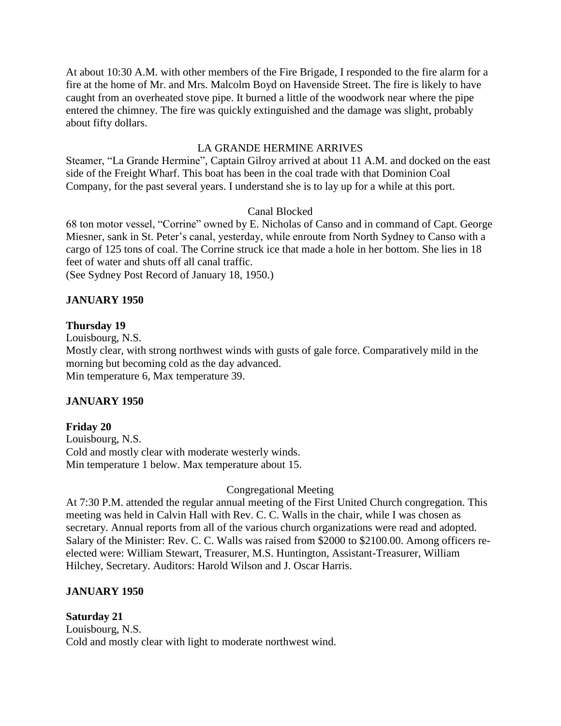At about 10:30 A.M. with other members of the Fire Brigade, I responded to the fire alarm for a fire at the home of Mr. and Mrs. Malcolm Boyd on Havenside Street. The fire is likely to have caught from an overheated stove pipe. It burned a little of the woodwork near where the pipe entered the chimney. The fire was quickly extinguished and the damage was slight, probably about fifty dollars.

## LA GRANDE HERMINE ARRIVES

Steamer, "La Grande Hermine", Captain Gilroy arrived at about 11 A.M. and docked on the east side of the Freight Wharf. This boat has been in the coal trade with that Dominion Coal Company, for the past several years. I understand she is to lay up for a while at this port.

## Canal Blocked

68 ton motor vessel, "Corrine" owned by E. Nicholas of Canso and in command of Capt. George Miesner, sank in St. Peter's canal, yesterday, while enroute from North Sydney to Canso with a cargo of 125 tons of coal. The Corrine struck ice that made a hole in her bottom. She lies in 18 feet of water and shuts off all canal traffic.

(See Sydney Post Record of January 18, 1950.)

## **JANUARY 1950**

### **Thursday 19**

Louisbourg, N.S.

Mostly clear, with strong northwest winds with gusts of gale force. Comparatively mild in the morning but becoming cold as the day advanced. Min temperature 6, Max temperature 39.

### **JANUARY 1950**

### **Friday 20**

Louisbourg, N.S. Cold and mostly clear with moderate westerly winds. Min temperature 1 below. Max temperature about 15.

### Congregational Meeting

At 7:30 P.M. attended the regular annual meeting of the First United Church congregation. This meeting was held in Calvin Hall with Rev. C. C. Walls in the chair, while I was chosen as secretary. Annual reports from all of the various church organizations were read and adopted. Salary of the Minister: Rev. C. C. Walls was raised from \$2000 to \$2100.00. Among officers reelected were: William Stewart, Treasurer, M.S. Huntington, Assistant-Treasurer, William Hilchey, Secretary. Auditors: Harold Wilson and J. Oscar Harris.

# **JANUARY 1950**

### **Saturday 21**

Louisbourg, N.S. Cold and mostly clear with light to moderate northwest wind.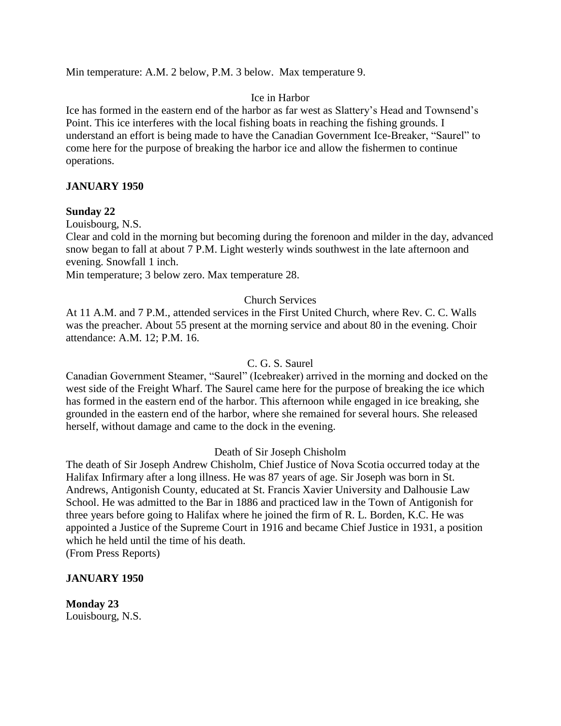Min temperature: A.M. 2 below, P.M. 3 below. Max temperature 9.

### Ice in Harbor

Ice has formed in the eastern end of the harbor as far west as Slattery's Head and Townsend's Point. This ice interferes with the local fishing boats in reaching the fishing grounds. I understand an effort is being made to have the Canadian Government Ice-Breaker, "Saurel" to come here for the purpose of breaking the harbor ice and allow the fishermen to continue operations.

### **JANUARY 1950**

#### **Sunday 22**

Louisbourg, N.S.

Clear and cold in the morning but becoming during the forenoon and milder in the day, advanced snow began to fall at about 7 P.M. Light westerly winds southwest in the late afternoon and evening. Snowfall 1 inch.

Min temperature; 3 below zero. Max temperature 28.

## Church Services

At 11 A.M. and 7 P.M., attended services in the First United Church, where Rev. C. C. Walls was the preacher. About 55 present at the morning service and about 80 in the evening. Choir attendance: A.M. 12; P.M. 16.

#### C. G. S. Saurel

Canadian Government Steamer, "Saurel" (Icebreaker) arrived in the morning and docked on the west side of the Freight Wharf. The Saurel came here for the purpose of breaking the ice which has formed in the eastern end of the harbor. This afternoon while engaged in ice breaking, she grounded in the eastern end of the harbor, where she remained for several hours. She released herself, without damage and came to the dock in the evening.

#### Death of Sir Joseph Chisholm

The death of Sir Joseph Andrew Chisholm, Chief Justice of Nova Scotia occurred today at the Halifax Infirmary after a long illness. He was 87 years of age. Sir Joseph was born in St. Andrews, Antigonish County, educated at St. Francis Xavier University and Dalhousie Law School. He was admitted to the Bar in 1886 and practiced law in the Town of Antigonish for three years before going to Halifax where he joined the firm of R. L. Borden, K.C. He was appointed a Justice of the Supreme Court in 1916 and became Chief Justice in 1931, a position which he held until the time of his death.

(From Press Reports)

### **JANUARY 1950**

**Monday 23** Louisbourg, N.S.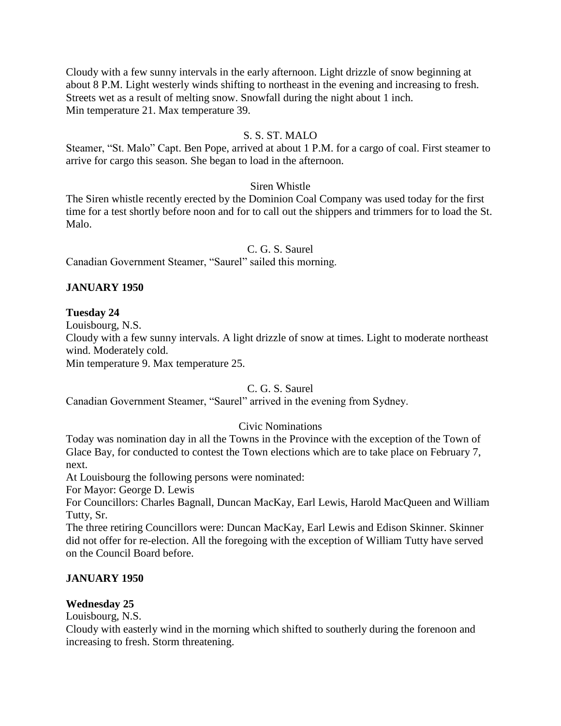Cloudy with a few sunny intervals in the early afternoon. Light drizzle of snow beginning at about 8 P.M. Light westerly winds shifting to northeast in the evening and increasing to fresh. Streets wet as a result of melting snow. Snowfall during the night about 1 inch. Min temperature 21. Max temperature 39.

### S. S. ST. MALO

Steamer, "St. Malo" Capt. Ben Pope, arrived at about 1 P.M. for a cargo of coal. First steamer to arrive for cargo this season. She began to load in the afternoon.

## Siren Whistle

The Siren whistle recently erected by the Dominion Coal Company was used today for the first time for a test shortly before noon and for to call out the shippers and trimmers for to load the St. Malo.

### C. G. S. Saurel

Canadian Government Steamer, "Saurel" sailed this morning.

## **JANUARY 1950**

### **Tuesday 24**

Louisbourg, N.S.

Cloudy with a few sunny intervals. A light drizzle of snow at times. Light to moderate northeast wind. Moderately cold.

Min temperature 9. Max temperature 25.

## C. G. S. Saurel

Canadian Government Steamer, "Saurel" arrived in the evening from Sydney.

### Civic Nominations

Today was nomination day in all the Towns in the Province with the exception of the Town of Glace Bay, for conducted to contest the Town elections which are to take place on February 7, next.

At Louisbourg the following persons were nominated:

For Mayor: George D. Lewis

For Councillors: Charles Bagnall, Duncan MacKay, Earl Lewis, Harold MacQueen and William Tutty, Sr.

The three retiring Councillors were: Duncan MacKay, Earl Lewis and Edison Skinner. Skinner did not offer for re-election. All the foregoing with the exception of William Tutty have served on the Council Board before.

### **JANUARY 1950**

### **Wednesday 25**

Louisbourg, N.S.

Cloudy with easterly wind in the morning which shifted to southerly during the forenoon and increasing to fresh. Storm threatening.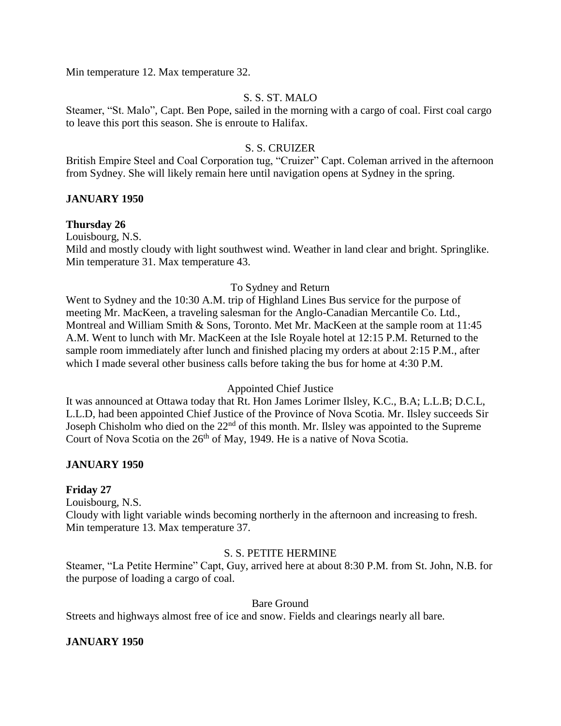Min temperature 12. Max temperature 32.

## S. S. ST. MALO

Steamer, "St. Malo", Capt. Ben Pope, sailed in the morning with a cargo of coal. First coal cargo to leave this port this season. She is enroute to Halifax.

## S. S. CRUIZER

British Empire Steel and Coal Corporation tug, "Cruizer" Capt. Coleman arrived in the afternoon from Sydney. She will likely remain here until navigation opens at Sydney in the spring.

### **JANUARY 1950**

#### **Thursday 26**

Louisbourg, N.S. Mild and mostly cloudy with light southwest wind. Weather in land clear and bright. Springlike. Min temperature 31. Max temperature 43.

### To Sydney and Return

Went to Sydney and the 10:30 A.M. trip of Highland Lines Bus service for the purpose of meeting Mr. MacKeen, a traveling salesman for the Anglo-Canadian Mercantile Co. Ltd., Montreal and William Smith & Sons, Toronto. Met Mr. MacKeen at the sample room at 11:45 A.M. Went to lunch with Mr. MacKeen at the Isle Royale hotel at 12:15 P.M. Returned to the sample room immediately after lunch and finished placing my orders at about 2:15 P.M., after which I made several other business calls before taking the bus for home at 4:30 P.M.

#### Appointed Chief Justice

It was announced at Ottawa today that Rt. Hon James Lorimer Ilsley, K.C., B.A; L.L.B; D.C.L, L.L.D, had been appointed Chief Justice of the Province of Nova Scotia. Mr. Ilsley succeeds Sir Joseph Chisholm who died on the 22<sup>nd</sup> of this month. Mr. Ilsley was appointed to the Supreme Court of Nova Scotia on the 26<sup>th</sup> of May, 1949. He is a native of Nova Scotia.

### **JANUARY 1950**

#### **Friday 27**

Louisbourg, N.S.

Cloudy with light variable winds becoming northerly in the afternoon and increasing to fresh. Min temperature 13. Max temperature 37.

### S. S. PETITE HERMINE

Steamer, "La Petite Hermine" Capt, Guy, arrived here at about 8:30 P.M. from St. John, N.B. for the purpose of loading a cargo of coal.

#### Bare Ground

Streets and highways almost free of ice and snow. Fields and clearings nearly all bare.

### **JANUARY 1950**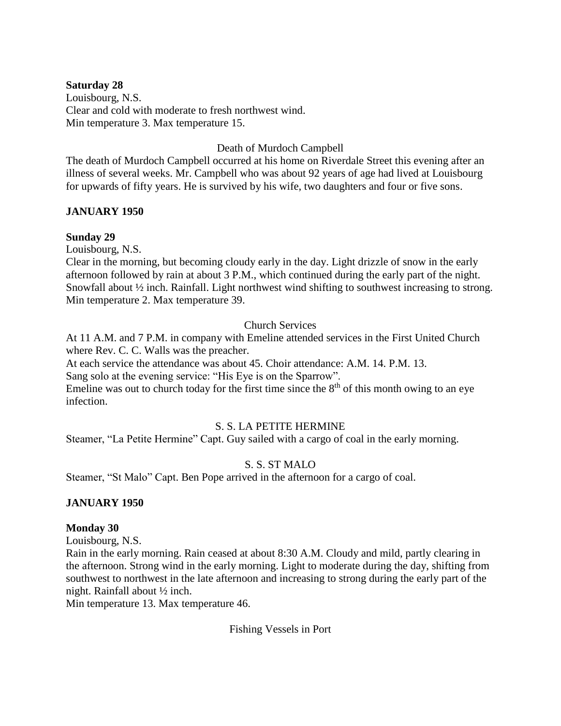### **Saturday 28**

Louisbourg, N.S. Clear and cold with moderate to fresh northwest wind. Min temperature 3. Max temperature 15.

Death of Murdoch Campbell

The death of Murdoch Campbell occurred at his home on Riverdale Street this evening after an illness of several weeks. Mr. Campbell who was about 92 years of age had lived at Louisbourg for upwards of fifty years. He is survived by his wife, two daughters and four or five sons.

# **JANUARY 1950**

## **Sunday 29**

Louisbourg, N.S.

Clear in the morning, but becoming cloudy early in the day. Light drizzle of snow in the early afternoon followed by rain at about 3 P.M., which continued during the early part of the night. Snowfall about ½ inch. Rainfall. Light northwest wind shifting to southwest increasing to strong. Min temperature 2. Max temperature 39.

## Church Services

At 11 A.M. and 7 P.M. in company with Emeline attended services in the First United Church where Rev. C. C. Walls was the preacher.

At each service the attendance was about 45. Choir attendance: A.M. 14. P.M. 13.

Sang solo at the evening service: "His Eye is on the Sparrow".

Emeline was out to church today for the first time since the  $8<sup>th</sup>$  of this month owing to an eye infection.

# S. S. LA PETITE HERMINE

Steamer, "La Petite Hermine" Capt. Guy sailed with a cargo of coal in the early morning.

# S. S. ST MALO

Steamer, "St Malo" Capt. Ben Pope arrived in the afternoon for a cargo of coal.

### **JANUARY 1950**

### **Monday 30**

Louisbourg, N.S.

Rain in the early morning. Rain ceased at about 8:30 A.M. Cloudy and mild, partly clearing in the afternoon. Strong wind in the early morning. Light to moderate during the day, shifting from southwest to northwest in the late afternoon and increasing to strong during the early part of the night. Rainfall about ½ inch.

Min temperature 13. Max temperature 46.

Fishing Vessels in Port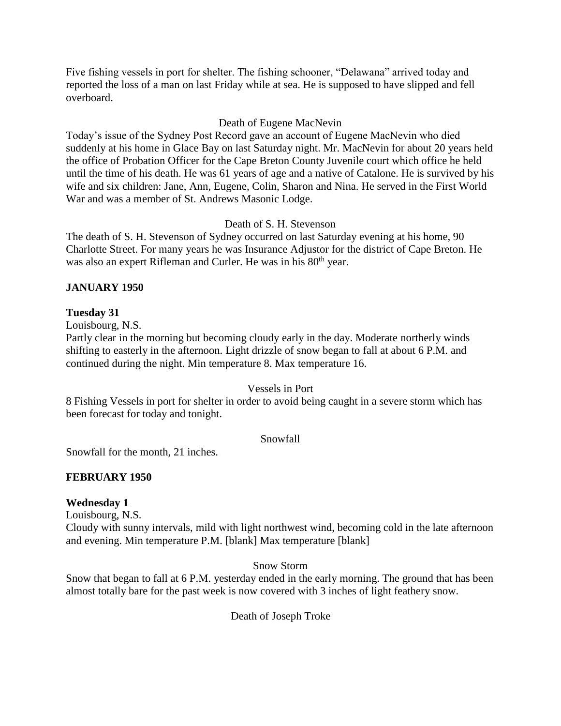Five fishing vessels in port for shelter. The fishing schooner, "Delawana" arrived today and reported the loss of a man on last Friday while at sea. He is supposed to have slipped and fell overboard.

## Death of Eugene MacNevin

Today's issue of the Sydney Post Record gave an account of Eugene MacNevin who died suddenly at his home in Glace Bay on last Saturday night. Mr. MacNevin for about 20 years held the office of Probation Officer for the Cape Breton County Juvenile court which office he held until the time of his death. He was 61 years of age and a native of Catalone. He is survived by his wife and six children: Jane, Ann, Eugene, Colin, Sharon and Nina. He served in the First World War and was a member of St. Andrews Masonic Lodge.

# Death of S. H. Stevenson

The death of S. H. Stevenson of Sydney occurred on last Saturday evening at his home, 90 Charlotte Street. For many years he was Insurance Adjustor for the district of Cape Breton. He was also an expert Rifleman and Curler. He was in his 80<sup>th</sup> year.

# **JANUARY 1950**

### **Tuesday 31**

Louisbourg, N.S.

Partly clear in the morning but becoming cloudy early in the day. Moderate northerly winds shifting to easterly in the afternoon. Light drizzle of snow began to fall at about 6 P.M. and continued during the night. Min temperature 8. Max temperature 16.

## Vessels in Port

8 Fishing Vessels in port for shelter in order to avoid being caught in a severe storm which has been forecast for today and tonight.

### Snowfall

Snowfall for the month, 21 inches.

### **FEBRUARY 1950**

### **Wednesday 1**

Louisbourg, N.S.

Cloudy with sunny intervals, mild with light northwest wind, becoming cold in the late afternoon and evening. Min temperature P.M. [blank] Max temperature [blank]

Snow Storm

Snow that began to fall at 6 P.M. yesterday ended in the early morning. The ground that has been almost totally bare for the past week is now covered with 3 inches of light feathery snow.

Death of Joseph Troke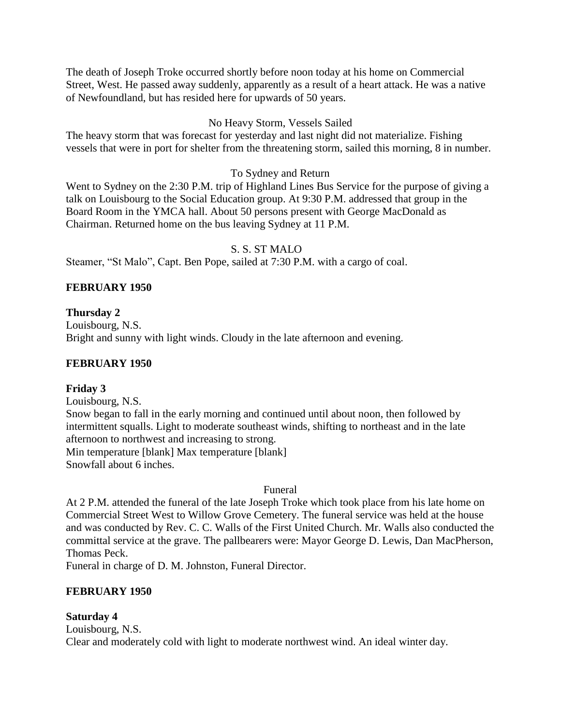The death of Joseph Troke occurred shortly before noon today at his home on Commercial Street, West. He passed away suddenly, apparently as a result of a heart attack. He was a native of Newfoundland, but has resided here for upwards of 50 years.

# No Heavy Storm, Vessels Sailed

The heavy storm that was forecast for yesterday and last night did not materialize. Fishing vessels that were in port for shelter from the threatening storm, sailed this morning, 8 in number.

# To Sydney and Return

Went to Sydney on the 2:30 P.M. trip of Highland Lines Bus Service for the purpose of giving a talk on Louisbourg to the Social Education group. At 9:30 P.M. addressed that group in the Board Room in the YMCA hall. About 50 persons present with George MacDonald as Chairman. Returned home on the bus leaving Sydney at 11 P.M.

## S. S. ST MALO

Steamer, "St Malo", Capt. Ben Pope, sailed at 7:30 P.M. with a cargo of coal.

## **FEBRUARY 1950**

## **Thursday 2**

Louisbourg, N.S. Bright and sunny with light winds. Cloudy in the late afternoon and evening.

# **FEBRUARY 1950**

### **Friday 3**

Louisbourg, N.S.

Snow began to fall in the early morning and continued until about noon, then followed by intermittent squalls. Light to moderate southeast winds, shifting to northeast and in the late afternoon to northwest and increasing to strong. Min temperature [blank] Max temperature [blank] Snowfall about 6 inches.

### Funeral

At 2 P.M. attended the funeral of the late Joseph Troke which took place from his late home on Commercial Street West to Willow Grove Cemetery. The funeral service was held at the house and was conducted by Rev. C. C. Walls of the First United Church. Mr. Walls also conducted the committal service at the grave. The pallbearers were: Mayor George D. Lewis, Dan MacPherson, Thomas Peck.

Funeral in charge of D. M. Johnston, Funeral Director.

### **FEBRUARY 1950**

### **Saturday 4**

Louisbourg, N.S. Clear and moderately cold with light to moderate northwest wind. An ideal winter day.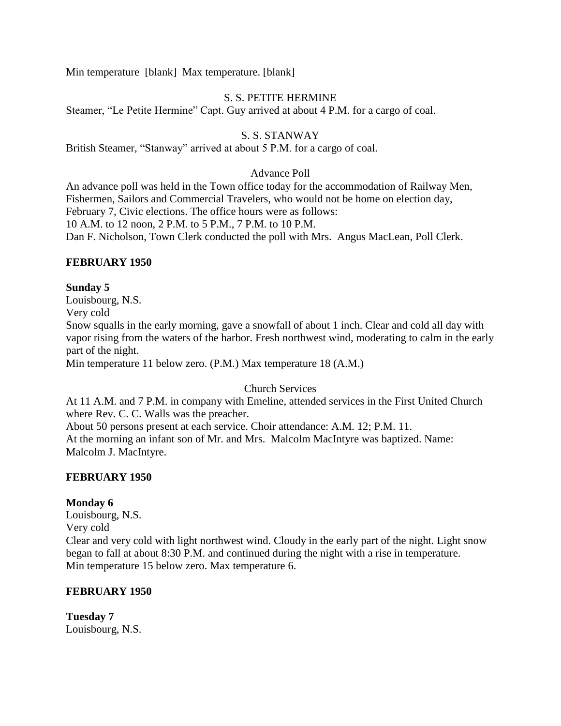Min temperature [blank] Max temperature. [blank]

# S. S. PETITE HERMINE

Steamer, "Le Petite Hermine" Capt. Guy arrived at about 4 P.M. for a cargo of coal.

## S. S. STANWAY

British Steamer, "Stanway" arrived at about 5 P.M. for a cargo of coal.

#### Advance Poll

An advance poll was held in the Town office today for the accommodation of Railway Men, Fishermen, Sailors and Commercial Travelers, who would not be home on election day, February 7, Civic elections. The office hours were as follows: 10 A.M. to 12 noon, 2 P.M. to 5 P.M., 7 P.M. to 10 P.M. Dan F. Nicholson, Town Clerk conducted the poll with Mrs. Angus MacLean, Poll Clerk.

### **FEBRUARY 1950**

### **Sunday 5**

Louisbourg, N.S. Very cold Snow squalls in the early morning, gave a snowfall of about 1 inch. Clear and cold all day with vapor rising from the waters of the harbor. Fresh northwest wind, moderating to calm in the early part of the night.

Min temperature 11 below zero. (P.M.) Max temperature 18 (A.M.)

## Church Services

At 11 A.M. and 7 P.M. in company with Emeline, attended services in the First United Church where Rev. C. C. Walls was the preacher.

About 50 persons present at each service. Choir attendance: A.M. 12; P.M. 11. At the morning an infant son of Mr. and Mrs. Malcolm MacIntyre was baptized. Name: Malcolm J. MacIntyre.

### **FEBRUARY 1950**

### **Monday 6**

Louisbourg, N.S.

Very cold

Clear and very cold with light northwest wind. Cloudy in the early part of the night. Light snow began to fall at about 8:30 P.M. and continued during the night with a rise in temperature. Min temperature 15 below zero. Max temperature 6.

### **FEBRUARY 1950**

**Tuesday 7** Louisbourg, N.S.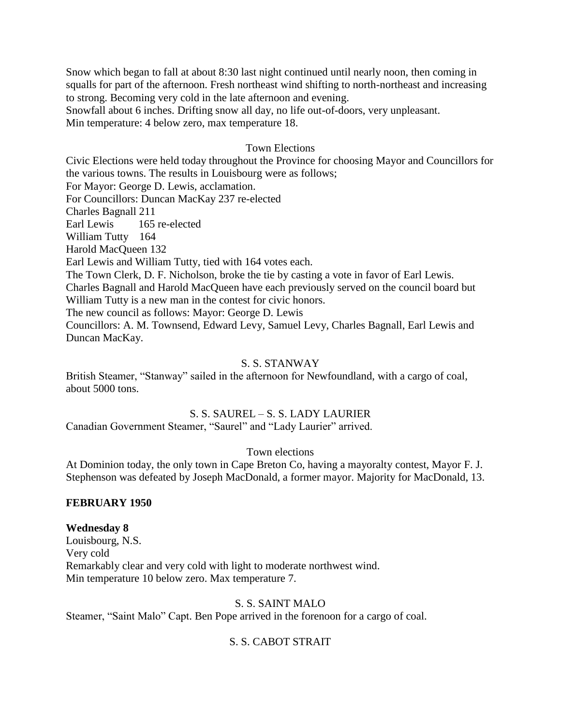Snow which began to fall at about 8:30 last night continued until nearly noon, then coming in squalls for part of the afternoon. Fresh northeast wind shifting to north-northeast and increasing to strong. Becoming very cold in the late afternoon and evening. Snowfall about 6 inches. Drifting snow all day, no life out-of-doors, very unpleasant.

Min temperature: 4 below zero, max temperature 18.

### Town Elections

Civic Elections were held today throughout the Province for choosing Mayor and Councillors for the various towns. The results in Louisbourg were as follows; For Mayor: George D. Lewis, acclamation. For Councillors: Duncan MacKay 237 re-elected Charles Bagnall 211 Earl Lewis 165 re-elected William Tutty 164 Harold MacQueen 132 Earl Lewis and William Tutty, tied with 164 votes each. The Town Clerk, D. F. Nicholson, broke the tie by casting a vote in favor of Earl Lewis. Charles Bagnall and Harold MacQueen have each previously served on the council board but William Tutty is a new man in the contest for civic honors. The new council as follows: Mayor: George D. Lewis Councillors: A. M. Townsend, Edward Levy, Samuel Levy, Charles Bagnall, Earl Lewis and Duncan MacKay.

### S. S. STANWAY

British Steamer, "Stanway" sailed in the afternoon for Newfoundland, with a cargo of coal, about 5000 tons.

#### S. S. SAUREL – S. S. LADY LAURIER

Canadian Government Steamer, "Saurel" and "Lady Laurier" arrived.

Town elections

At Dominion today, the only town in Cape Breton Co, having a mayoralty contest, Mayor F. J. Stephenson was defeated by Joseph MacDonald, a former mayor. Majority for MacDonald, 13.

#### **FEBRUARY 1950**

#### **Wednesday 8**

Louisbourg, N.S. Very cold Remarkably clear and very cold with light to moderate northwest wind. Min temperature 10 below zero. Max temperature 7.

### S. S. SAINT MALO

Steamer, "Saint Malo" Capt. Ben Pope arrived in the forenoon for a cargo of coal.

# S. S. CABOT STRAIT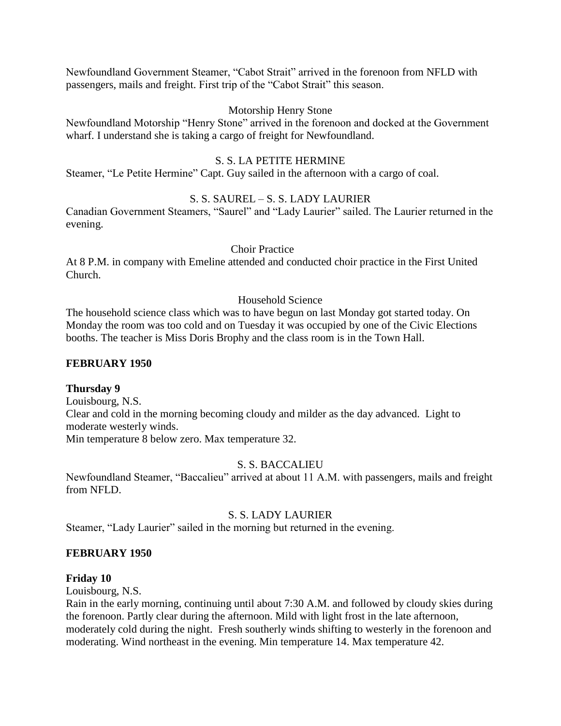Newfoundland Government Steamer, "Cabot Strait" arrived in the forenoon from NFLD with passengers, mails and freight. First trip of the "Cabot Strait" this season.

## Motorship Henry Stone

Newfoundland Motorship "Henry Stone" arrived in the forenoon and docked at the Government wharf. I understand she is taking a cargo of freight for Newfoundland.

# S. S. LA PETITE HERMINE

Steamer, "Le Petite Hermine" Capt. Guy sailed in the afternoon with a cargo of coal.

# S. S. SAUREL – S. S. LADY LAURIER

Canadian Government Steamers, "Saurel" and "Lady Laurier" sailed. The Laurier returned in the evening.

### Choir Practice

At 8 P.M. in company with Emeline attended and conducted choir practice in the First United Church.

## Household Science

The household science class which was to have begun on last Monday got started today. On Monday the room was too cold and on Tuesday it was occupied by one of the Civic Elections booths. The teacher is Miss Doris Brophy and the class room is in the Town Hall.

## **FEBRUARY 1950**

### **Thursday 9**

Louisbourg, N.S. Clear and cold in the morning becoming cloudy and milder as the day advanced. Light to moderate westerly winds. Min temperature 8 below zero. Max temperature 32.

# S. S. BACCALIEU

Newfoundland Steamer, "Baccalieu" arrived at about 11 A.M. with passengers, mails and freight from NFLD.

# S. S. LADY LAURIER

Steamer, "Lady Laurier" sailed in the morning but returned in the evening.

### **FEBRUARY 1950**

### **Friday 10**

Louisbourg, N.S.

Rain in the early morning, continuing until about 7:30 A.M. and followed by cloudy skies during the forenoon. Partly clear during the afternoon. Mild with light frost in the late afternoon, moderately cold during the night. Fresh southerly winds shifting to westerly in the forenoon and moderating. Wind northeast in the evening. Min temperature 14. Max temperature 42.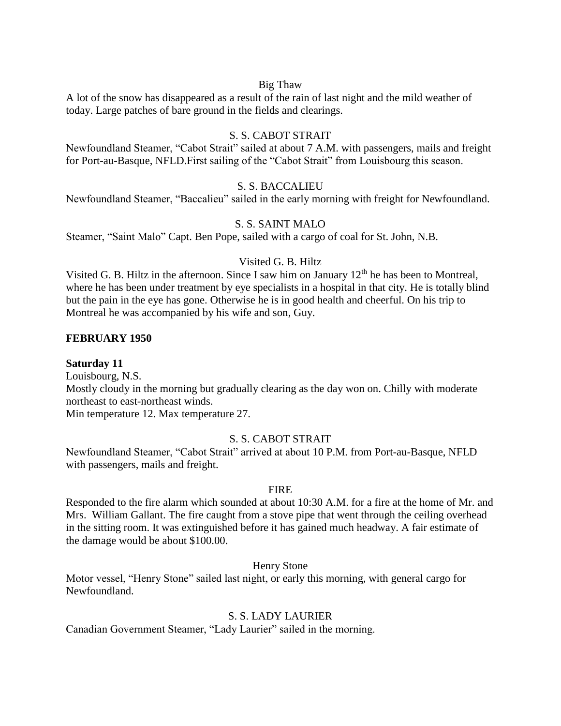#### Big Thaw

A lot of the snow has disappeared as a result of the rain of last night and the mild weather of today. Large patches of bare ground in the fields and clearings.

### S. S. CABOT STRAIT

Newfoundland Steamer, "Cabot Strait" sailed at about 7 A.M. with passengers, mails and freight for Port-au-Basque, NFLD.First sailing of the "Cabot Strait" from Louisbourg this season.

### S. S. BACCALIEU

Newfoundland Steamer, "Baccalieu" sailed in the early morning with freight for Newfoundland.

## S. S. SAINT MALO

Steamer, "Saint Malo" Capt. Ben Pope, sailed with a cargo of coal for St. John, N.B.

### Visited G. B. Hiltz

Visited G. B. Hiltz in the afternoon. Since I saw him on January  $12<sup>th</sup>$  he has been to Montreal, where he has been under treatment by eye specialists in a hospital in that city. He is totally blind but the pain in the eye has gone. Otherwise he is in good health and cheerful. On his trip to Montreal he was accompanied by his wife and son, Guy.

### **FEBRUARY 1950**

#### **Saturday 11**

Louisbourg, N.S. Mostly cloudy in the morning but gradually clearing as the day won on. Chilly with moderate northeast to east-northeast winds.

Min temperature 12. Max temperature 27.

# S. S. CABOT STRAIT

Newfoundland Steamer, "Cabot Strait" arrived at about 10 P.M. from Port-au-Basque, NFLD with passengers, mails and freight.

### FIRE

Responded to the fire alarm which sounded at about 10:30 A.M. for a fire at the home of Mr. and Mrs. William Gallant. The fire caught from a stove pipe that went through the ceiling overhead in the sitting room. It was extinguished before it has gained much headway. A fair estimate of the damage would be about \$100.00.

Henry Stone

Motor vessel, "Henry Stone" sailed last night, or early this morning, with general cargo for Newfoundland.

## S. S. LADY LAURIER

Canadian Government Steamer, "Lady Laurier" sailed in the morning.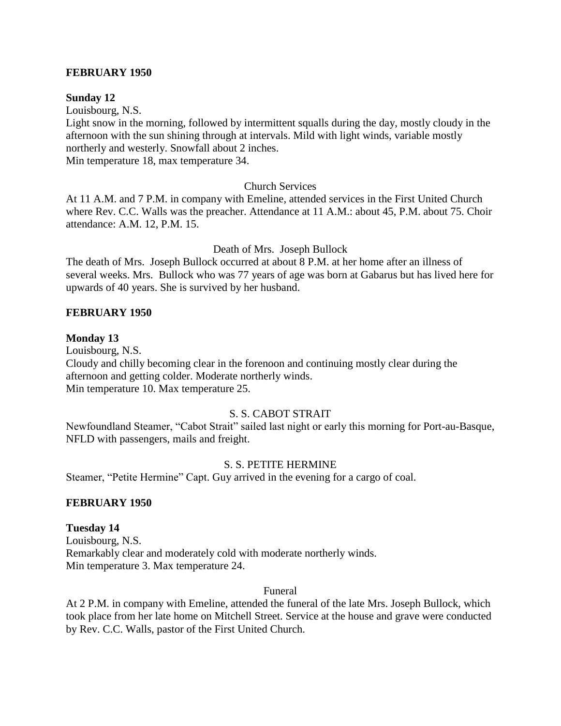### **FEBRUARY 1950**

#### **Sunday 12**

Louisbourg, N.S.

Light snow in the morning, followed by intermittent squalls during the day, mostly cloudy in the afternoon with the sun shining through at intervals. Mild with light winds, variable mostly northerly and westerly. Snowfall about 2 inches.

Min temperature 18, max temperature 34.

#### Church Services

At 11 A.M. and 7 P.M. in company with Emeline, attended services in the First United Church where Rev. C.C. Walls was the preacher. Attendance at 11 A.M.: about 45, P.M. about 75. Choir attendance: A.M. 12, P.M. 15.

#### Death of Mrs. Joseph Bullock

The death of Mrs. Joseph Bullock occurred at about 8 P.M. at her home after an illness of several weeks. Mrs. Bullock who was 77 years of age was born at Gabarus but has lived here for upwards of 40 years. She is survived by her husband.

#### **FEBRUARY 1950**

#### **Monday 13**

Louisbourg, N.S. Cloudy and chilly becoming clear in the forenoon and continuing mostly clear during the afternoon and getting colder. Moderate northerly winds. Min temperature 10. Max temperature 25.

## S. S. CABOT STRAIT

Newfoundland Steamer, "Cabot Strait" sailed last night or early this morning for Port-au-Basque, NFLD with passengers, mails and freight.

#### S. S. PETITE HERMINE

Steamer, "Petite Hermine" Capt. Guy arrived in the evening for a cargo of coal.

#### **FEBRUARY 1950**

#### **Tuesday 14**

Louisbourg, N.S. Remarkably clear and moderately cold with moderate northerly winds. Min temperature 3. Max temperature 24.

#### Funeral

At 2 P.M. in company with Emeline, attended the funeral of the late Mrs. Joseph Bullock, which took place from her late home on Mitchell Street. Service at the house and grave were conducted by Rev. C.C. Walls, pastor of the First United Church.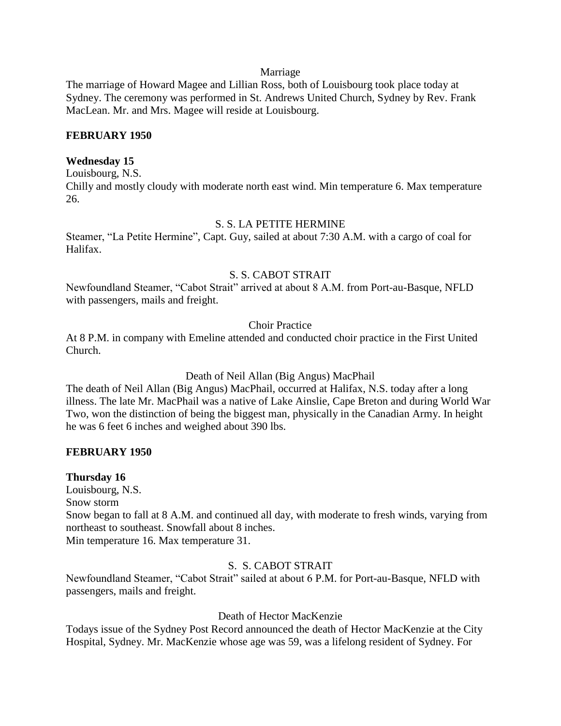#### Marriage

The marriage of Howard Magee and Lillian Ross, both of Louisbourg took place today at Sydney. The ceremony was performed in St. Andrews United Church, Sydney by Rev. Frank MacLean. Mr. and Mrs. Magee will reside at Louisbourg.

### **FEBRUARY 1950**

### **Wednesday 15**

Louisbourg, N.S. Chilly and mostly cloudy with moderate north east wind. Min temperature 6. Max temperature 26.

### S. S. LA PETITE HERMINE

Steamer, "La Petite Hermine", Capt. Guy, sailed at about 7:30 A.M. with a cargo of coal for Halifax.

### S. S. CABOT STRAIT

Newfoundland Steamer, "Cabot Strait" arrived at about 8 A.M. from Port-au-Basque, NFLD with passengers, mails and freight.

### Choir Practice

At 8 P.M. in company with Emeline attended and conducted choir practice in the First United Church.

Death of Neil Allan (Big Angus) MacPhail

The death of Neil Allan (Big Angus) MacPhail, occurred at Halifax, N.S. today after a long illness. The late Mr. MacPhail was a native of Lake Ainslie, Cape Breton and during World War Two, won the distinction of being the biggest man, physically in the Canadian Army. In height he was 6 feet 6 inches and weighed about 390 lbs.

### **FEBRUARY 1950**

### **Thursday 16**

Louisbourg, N.S. Snow storm Snow began to fall at 8 A.M. and continued all day, with moderate to fresh winds, varying from northeast to southeast. Snowfall about 8 inches. Min temperature 16. Max temperature 31.

# S. S. CABOT STRAIT

Newfoundland Steamer, "Cabot Strait" sailed at about 6 P.M. for Port-au-Basque, NFLD with passengers, mails and freight.

### Death of Hector MacKenzie

Todays issue of the Sydney Post Record announced the death of Hector MacKenzie at the City Hospital, Sydney. Mr. MacKenzie whose age was 59, was a lifelong resident of Sydney. For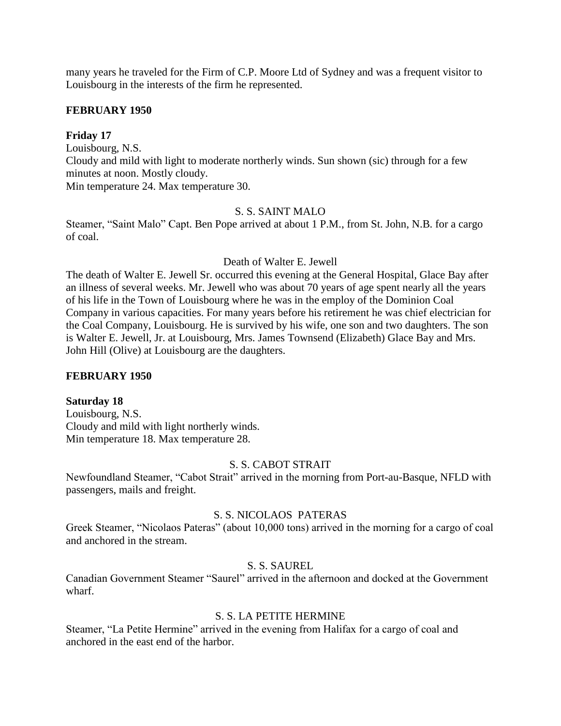many years he traveled for the Firm of C.P. Moore Ltd of Sydney and was a frequent visitor to Louisbourg in the interests of the firm he represented.

## **FEBRUARY 1950**

# **Friday 17**

Louisbourg, N.S. Cloudy and mild with light to moderate northerly winds. Sun shown (sic) through for a few minutes at noon. Mostly cloudy. Min temperature 24. Max temperature 30.

# S. S. SAINT MALO

Steamer, "Saint Malo" Capt. Ben Pope arrived at about 1 P.M., from St. John, N.B. for a cargo of coal.

#### Death of Walter E. Jewell

The death of Walter E. Jewell Sr. occurred this evening at the General Hospital, Glace Bay after an illness of several weeks. Mr. Jewell who was about 70 years of age spent nearly all the years of his life in the Town of Louisbourg where he was in the employ of the Dominion Coal Company in various capacities. For many years before his retirement he was chief electrician for the Coal Company, Louisbourg. He is survived by his wife, one son and two daughters. The son is Walter E. Jewell, Jr. at Louisbourg, Mrs. James Townsend (Elizabeth) Glace Bay and Mrs. John Hill (Olive) at Louisbourg are the daughters.

### **FEBRUARY 1950**

### **Saturday 18**

Louisbourg, N.S. Cloudy and mild with light northerly winds. Min temperature 18. Max temperature 28.

#### S. S. CABOT STRAIT

Newfoundland Steamer, "Cabot Strait" arrived in the morning from Port-au-Basque, NFLD with passengers, mails and freight.

### S. S. NICOLAOS PATERAS

Greek Steamer, "Nicolaos Pateras" (about 10,000 tons) arrived in the morning for a cargo of coal and anchored in the stream.

### S. S. SAUREL

Canadian Government Steamer "Saurel" arrived in the afternoon and docked at the Government wharf.

# S. S. LA PETITE HERMINE

Steamer, "La Petite Hermine" arrived in the evening from Halifax for a cargo of coal and anchored in the east end of the harbor.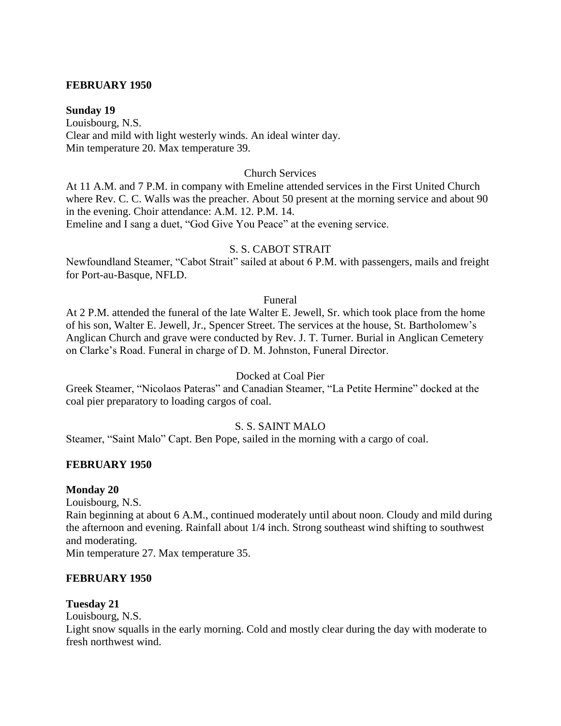#### **FEBRUARY 1950**

#### **Sunday 19**

Louisbourg, N.S. Clear and mild with light westerly winds. An ideal winter day. Min temperature 20. Max temperature 39.

#### Church Services

At 11 A.M. and 7 P.M. in company with Emeline attended services in the First United Church where Rev. C. C. Walls was the preacher. About 50 present at the morning service and about 90 in the evening. Choir attendance: A.M. 12. P.M. 14. Emeline and I sang a duet, "God Give You Peace" at the evening service.

#### S. S. CABOT STRAIT

Newfoundland Steamer, "Cabot Strait" sailed at about 6 P.M. with passengers, mails and freight for Port-au-Basque, NFLD.

#### Funeral

At 2 P.M. attended the funeral of the late Walter E. Jewell, Sr. which took place from the home of his son, Walter E. Jewell, Jr., Spencer Street. The services at the house, St. Bartholomew's Anglican Church and grave were conducted by Rev. J. T. Turner. Burial in Anglican Cemetery on Clarke's Road. Funeral in charge of D. M. Johnston, Funeral Director.

#### Docked at Coal Pier

Greek Steamer, "Nicolaos Pateras" and Canadian Steamer, "La Petite Hermine" docked at the coal pier preparatory to loading cargos of coal.

#### S. S. SAINT MALO

Steamer, "Saint Malo" Capt. Ben Pope, sailed in the morning with a cargo of coal.

#### **FEBRUARY 1950**

#### **Monday 20**

Louisbourg, N.S.

Rain beginning at about 6 A.M., continued moderately until about noon. Cloudy and mild during the afternoon and evening. Rainfall about 1/4 inch. Strong southeast wind shifting to southwest and moderating.

Min temperature 27. Max temperature 35.

#### **FEBRUARY 1950**

#### **Tuesday 21**

Louisbourg, N.S.

Light snow squalls in the early morning. Cold and mostly clear during the day with moderate to fresh northwest wind.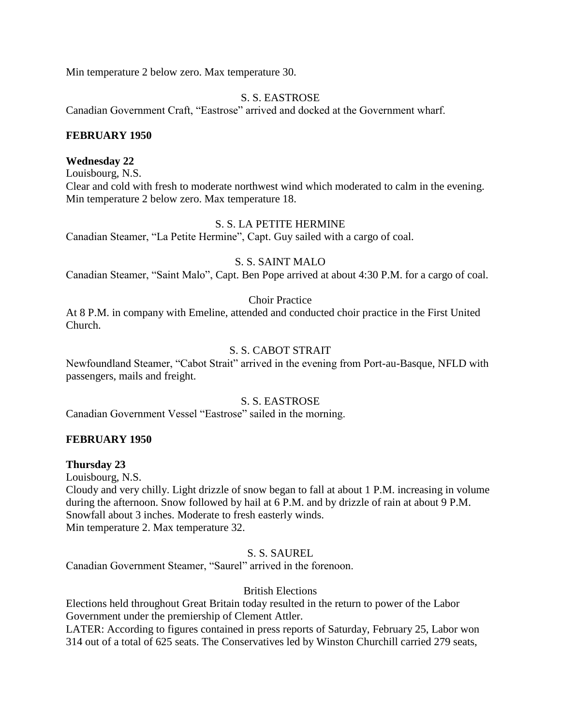Min temperature 2 below zero. Max temperature 30.

## S. S. EASTROSE

Canadian Government Craft, "Eastrose" arrived and docked at the Government wharf.

### **FEBRUARY 1950**

## **Wednesday 22**

Louisbourg, N.S. Clear and cold with fresh to moderate northwest wind which moderated to calm in the evening. Min temperature 2 below zero. Max temperature 18.

# S. S. LA PETITE HERMINE

Canadian Steamer, "La Petite Hermine", Capt. Guy sailed with a cargo of coal.

## S. S. SAINT MALO

Canadian Steamer, "Saint Malo", Capt. Ben Pope arrived at about 4:30 P.M. for a cargo of coal.

## Choir Practice

At 8 P.M. in company with Emeline, attended and conducted choir practice in the First United Church.

# S. S. CABOT STRAIT

Newfoundland Steamer, "Cabot Strait" arrived in the evening from Port-au-Basque, NFLD with passengers, mails and freight.

### S. S. EASTROSE

Canadian Government Vessel "Eastrose" sailed in the morning.

### **FEBRUARY 1950**

### **Thursday 23**

Louisbourg, N.S.

Cloudy and very chilly. Light drizzle of snow began to fall at about 1 P.M. increasing in volume during the afternoon. Snow followed by hail at 6 P.M. and by drizzle of rain at about 9 P.M. Snowfall about 3 inches. Moderate to fresh easterly winds. Min temperature 2. Max temperature 32.

### S. S. SAUREL

Canadian Government Steamer, "Saurel" arrived in the forenoon.

# British Elections

Elections held throughout Great Britain today resulted in the return to power of the Labor Government under the premiership of Clement Attler.

LATER: According to figures contained in press reports of Saturday, February 25, Labor won 314 out of a total of 625 seats. The Conservatives led by Winston Churchill carried 279 seats,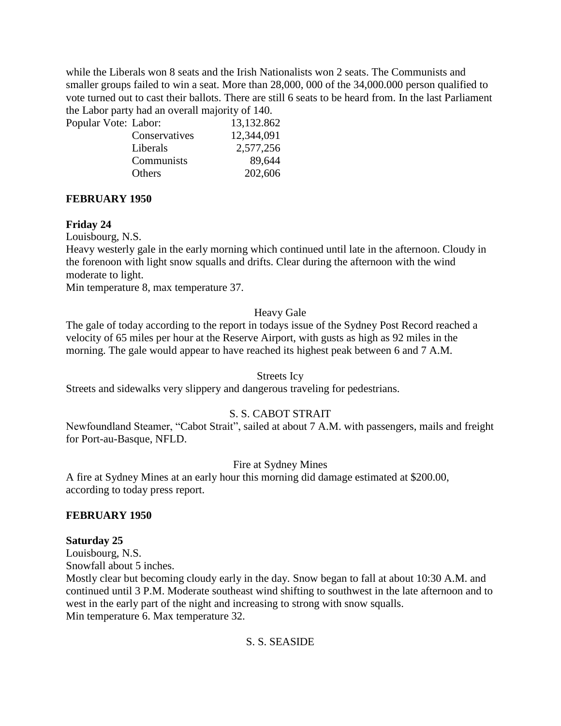while the Liberals won 8 seats and the Irish Nationalists won 2 seats. The Communists and smaller groups failed to win a seat. More than 28,000, 000 of the 34,000.000 person qualified to vote turned out to cast their ballots. There are still 6 seats to be heard from. In the last Parliament the Labor party had an overall majority of 140.

| Popular Vote: Labor: |               | 13,132.862 |
|----------------------|---------------|------------|
|                      | Conservatives | 12,344,091 |
|                      | Liberals      | 2,577,256  |
|                      | Communists    | 89,644     |
|                      | Others        | 202,606    |
|                      |               |            |

## **FEBRUARY 1950**

## **Friday 24**

Louisbourg, N.S.

Heavy westerly gale in the early morning which continued until late in the afternoon. Cloudy in the forenoon with light snow squalls and drifts. Clear during the afternoon with the wind moderate to light.

Min temperature 8, max temperature 37.

### Heavy Gale

The gale of today according to the report in todays issue of the Sydney Post Record reached a velocity of 65 miles per hour at the Reserve Airport, with gusts as high as 92 miles in the morning. The gale would appear to have reached its highest peak between 6 and 7 A.M.

### Streets Icy

Streets and sidewalks very slippery and dangerous traveling for pedestrians.

# S. S. CABOT STRAIT

Newfoundland Steamer, "Cabot Strait", sailed at about 7 A.M. with passengers, mails and freight for Port-au-Basque, NFLD.

# Fire at Sydney Mines

A fire at Sydney Mines at an early hour this morning did damage estimated at \$200.00, according to today press report.

### **FEBRUARY 1950**

### **Saturday 25**

Louisbourg, N.S. Snowfall about 5 inches.

Mostly clear but becoming cloudy early in the day. Snow began to fall at about 10:30 A.M. and continued until 3 P.M. Moderate southeast wind shifting to southwest in the late afternoon and to west in the early part of the night and increasing to strong with snow squalls. Min temperature 6. Max temperature 32.

# S. S. SEASIDE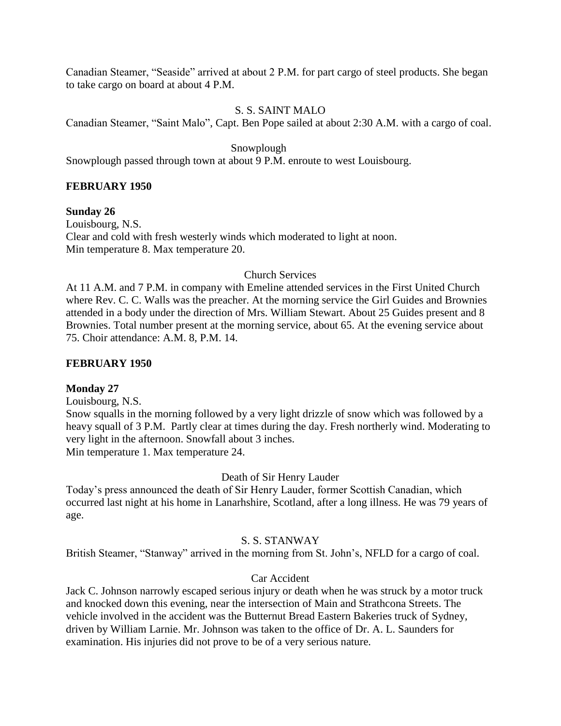Canadian Steamer, "Seaside" arrived at about 2 P.M. for part cargo of steel products. She began to take cargo on board at about 4 P.M.

### S. S. SAINT MALO

Canadian Steamer, "Saint Malo", Capt. Ben Pope sailed at about 2:30 A.M. with a cargo of coal.

Snowplough

Snowplough passed through town at about 9 P.M. enroute to west Louisbourg.

# **FEBRUARY 1950**

**Sunday 26** Louisbourg, N.S. Clear and cold with fresh westerly winds which moderated to light at noon. Min temperature 8. Max temperature 20.

# Church Services

At 11 A.M. and 7 P.M. in company with Emeline attended services in the First United Church where Rev. C. C. Walls was the preacher. At the morning service the Girl Guides and Brownies attended in a body under the direction of Mrs. William Stewart. About 25 Guides present and 8 Brownies. Total number present at the morning service, about 65. At the evening service about 75. Choir attendance: A.M. 8, P.M. 14.

# **FEBRUARY 1950**

### **Monday 27**

Louisbourg, N.S.

Snow squalls in the morning followed by a very light drizzle of snow which was followed by a heavy squall of 3 P.M. Partly clear at times during the day. Fresh northerly wind. Moderating to very light in the afternoon. Snowfall about 3 inches. Min temperature 1. Max temperature 24.

Death of Sir Henry Lauder

Today's press announced the death of Sir Henry Lauder, former Scottish Canadian, which occurred last night at his home in Lanarhshire, Scotland, after a long illness. He was 79 years of age.

# S. S. STANWAY

British Steamer, "Stanway" arrived in the morning from St. John's, NFLD for a cargo of coal.

# Car Accident

Jack C. Johnson narrowly escaped serious injury or death when he was struck by a motor truck and knocked down this evening, near the intersection of Main and Strathcona Streets. The vehicle involved in the accident was the Butternut Bread Eastern Bakeries truck of Sydney, driven by William Larnie. Mr. Johnson was taken to the office of Dr. A. L. Saunders for examination. His injuries did not prove to be of a very serious nature.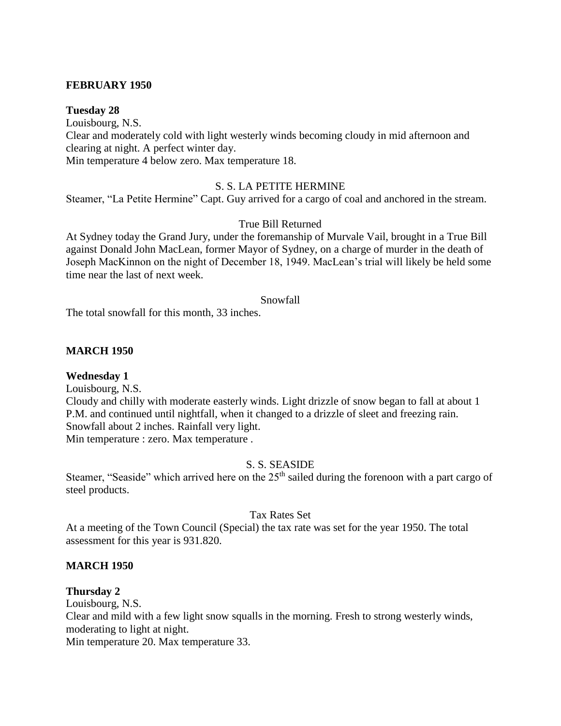### **FEBRUARY 1950**

#### **Tuesday 28**

Louisbourg, N.S. Clear and moderately cold with light westerly winds becoming cloudy in mid afternoon and clearing at night. A perfect winter day. Min temperature 4 below zero. Max temperature 18.

# S. S. LA PETITE HERMINE

Steamer, "La Petite Hermine" Capt. Guy arrived for a cargo of coal and anchored in the stream.

#### True Bill Returned

At Sydney today the Grand Jury, under the foremanship of Murvale Vail, brought in a True Bill against Donald John MacLean, former Mayor of Sydney, on a charge of murder in the death of Joseph MacKinnon on the night of December 18, 1949. MacLean's trial will likely be held some time near the last of next week.

#### Snowfall

The total snowfall for this month, 33 inches.

#### **MARCH 1950**

#### **Wednesday 1**

Louisbourg, N.S. Cloudy and chilly with moderate easterly winds. Light drizzle of snow began to fall at about 1 P.M. and continued until nightfall, when it changed to a drizzle of sleet and freezing rain. Snowfall about 2 inches. Rainfall very light. Min temperature : zero. Max temperature .

#### S. S. SEASIDE

Steamer, "Seaside" which arrived here on the 25<sup>th</sup> sailed during the forenoon with a part cargo of steel products.

#### Tax Rates Set

At a meeting of the Town Council (Special) the tax rate was set for the year 1950. The total assessment for this year is 931.820.

#### **MARCH 1950**

#### **Thursday 2**

Louisbourg, N.S. Clear and mild with a few light snow squalls in the morning. Fresh to strong westerly winds, moderating to light at night.

Min temperature 20. Max temperature 33.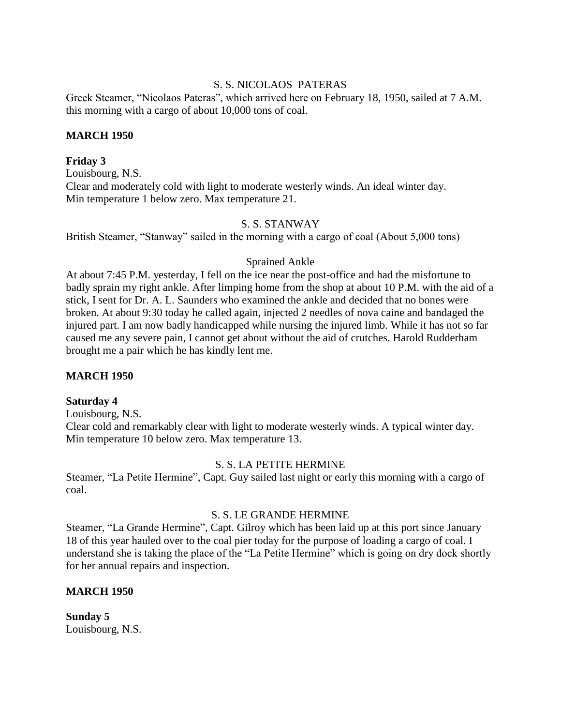## S. S. NICOLAOS PATERAS

Greek Steamer, "Nicolaos Pateras", which arrived here on February 18, 1950, sailed at 7 A.M. this morning with a cargo of about 10,000 tons of coal.

## **MARCH 1950**

## **Friday 3**

Louisbourg, N.S. Clear and moderately cold with light to moderate westerly winds. An ideal winter day. Min temperature 1 below zero. Max temperature 21.

# S. S. STANWAY

British Steamer, "Stanway" sailed in the morning with a cargo of coal (About 5,000 tons)

## Sprained Ankle

At about 7:45 P.M. yesterday, I fell on the ice near the post-office and had the misfortune to badly sprain my right ankle. After limping home from the shop at about 10 P.M. with the aid of a stick, I sent for Dr. A. L. Saunders who examined the ankle and decided that no bones were broken. At about 9:30 today he called again, injected 2 needles of nova caine and bandaged the injured part. I am now badly handicapped while nursing the injured limb. While it has not so far caused me any severe pain, I cannot get about without the aid of crutches. Harold Rudderham brought me a pair which he has kindly lent me.

# **MARCH 1950**

# **Saturday 4**

Louisbourg, N.S. Clear cold and remarkably clear with light to moderate westerly winds. A typical winter day. Min temperature 10 below zero. Max temperature 13.

# S. S. LA PETITE HERMINE

Steamer, "La Petite Hermine", Capt. Guy sailed last night or early this morning with a cargo of coal.

# S. S. LE GRANDE HERMINE

Steamer, "La Grande Hermine", Capt. Gilroy which has been laid up at this port since January 18 of this year hauled over to the coal pier today for the purpose of loading a cargo of coal. I understand she is taking the place of the "La Petite Hermine" which is going on dry dock shortly for her annual repairs and inspection.

# **MARCH 1950**

**Sunday 5** Louisbourg, N.S.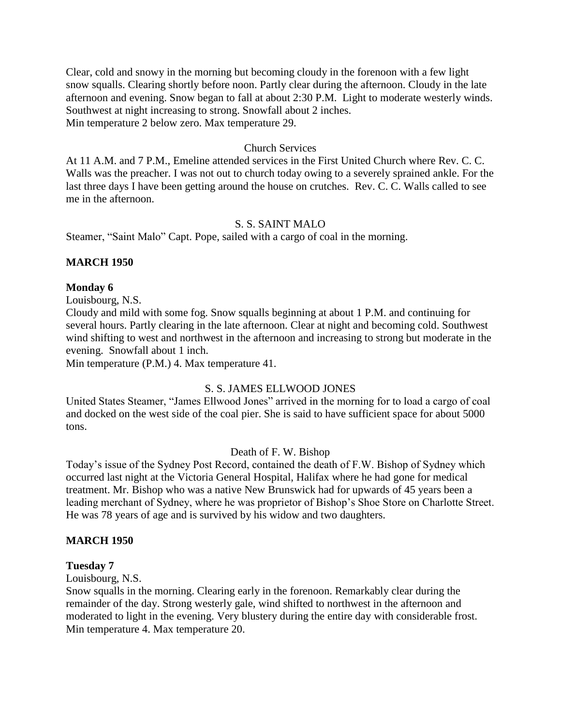Clear, cold and snowy in the morning but becoming cloudy in the forenoon with a few light snow squalls. Clearing shortly before noon. Partly clear during the afternoon. Cloudy in the late afternoon and evening. Snow began to fall at about 2:30 P.M. Light to moderate westerly winds. Southwest at night increasing to strong. Snowfall about 2 inches. Min temperature 2 below zero. Max temperature 29.

#### Church Services

At 11 A.M. and 7 P.M., Emeline attended services in the First United Church where Rev. C. C. Walls was the preacher. I was not out to church today owing to a severely sprained ankle. For the last three days I have been getting around the house on crutches. Rev. C. C. Walls called to see me in the afternoon.

### S. S. SAINT MALO

Steamer, "Saint Malo" Capt. Pope, sailed with a cargo of coal in the morning.

#### **MARCH 1950**

#### **Monday 6**

Louisbourg, N.S.

Cloudy and mild with some fog. Snow squalls beginning at about 1 P.M. and continuing for several hours. Partly clearing in the late afternoon. Clear at night and becoming cold. Southwest wind shifting to west and northwest in the afternoon and increasing to strong but moderate in the evening. Snowfall about 1 inch.

Min temperature (P.M.) 4. Max temperature 41.

### S. S. JAMES ELLWOOD JONES

United States Steamer, "James Ellwood Jones" arrived in the morning for to load a cargo of coal and docked on the west side of the coal pier. She is said to have sufficient space for about 5000 tons.

#### Death of F. W. Bishop

Today's issue of the Sydney Post Record, contained the death of F.W. Bishop of Sydney which occurred last night at the Victoria General Hospital, Halifax where he had gone for medical treatment. Mr. Bishop who was a native New Brunswick had for upwards of 45 years been a leading merchant of Sydney, where he was proprietor of Bishop's Shoe Store on Charlotte Street. He was 78 years of age and is survived by his widow and two daughters.

#### **MARCH 1950**

#### **Tuesday 7**

Louisbourg, N.S.

Snow squalls in the morning. Clearing early in the forenoon. Remarkably clear during the remainder of the day. Strong westerly gale, wind shifted to northwest in the afternoon and moderated to light in the evening. Very blustery during the entire day with considerable frost. Min temperature 4. Max temperature 20.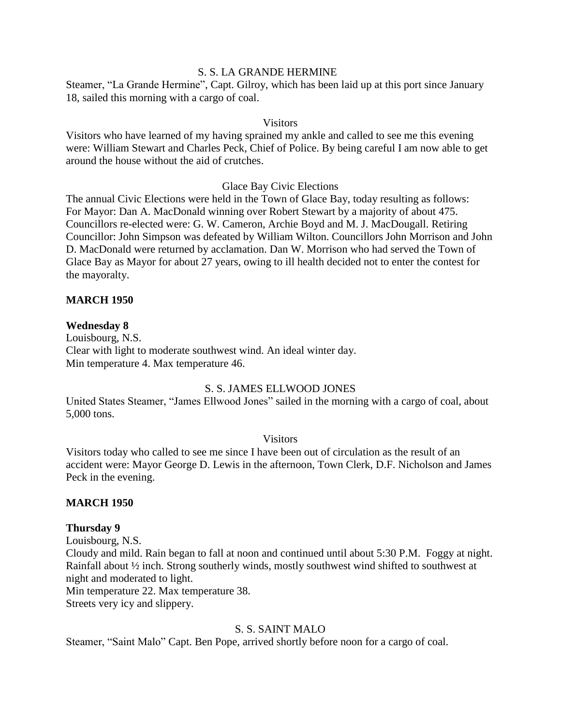### S. S. LA GRANDE HERMINE

Steamer, "La Grande Hermine", Capt. Gilroy, which has been laid up at this port since January 18, sailed this morning with a cargo of coal.

#### **Visitors**

Visitors who have learned of my having sprained my ankle and called to see me this evening were: William Stewart and Charles Peck, Chief of Police. By being careful I am now able to get around the house without the aid of crutches.

#### Glace Bay Civic Elections

The annual Civic Elections were held in the Town of Glace Bay, today resulting as follows: For Mayor: Dan A. MacDonald winning over Robert Stewart by a majority of about 475. Councillors re-elected were: G. W. Cameron, Archie Boyd and M. J. MacDougall. Retiring Councillor: John Simpson was defeated by William Wilton. Councillors John Morrison and John D. MacDonald were returned by acclamation. Dan W. Morrison who had served the Town of Glace Bay as Mayor for about 27 years, owing to ill health decided not to enter the contest for the mayoralty.

### **MARCH 1950**

#### **Wednesday 8**

Louisbourg, N.S. Clear with light to moderate southwest wind. An ideal winter day. Min temperature 4. Max temperature 46.

## S. S. JAMES ELLWOOD JONES

United States Steamer, "James Ellwood Jones" sailed in the morning with a cargo of coal, about 5,000 tons.

#### **Visitors**

Visitors today who called to see me since I have been out of circulation as the result of an accident were: Mayor George D. Lewis in the afternoon, Town Clerk, D.F. Nicholson and James Peck in the evening.

### **MARCH 1950**

#### **Thursday 9**

Louisbourg, N.S. Cloudy and mild. Rain began to fall at noon and continued until about 5:30 P.M. Foggy at night. Rainfall about ½ inch. Strong southerly winds, mostly southwest wind shifted to southwest at night and moderated to light. Min temperature 22. Max temperature 38.

Streets very icy and slippery.

### S. S. SAINT MALO

Steamer, "Saint Malo" Capt. Ben Pope, arrived shortly before noon for a cargo of coal.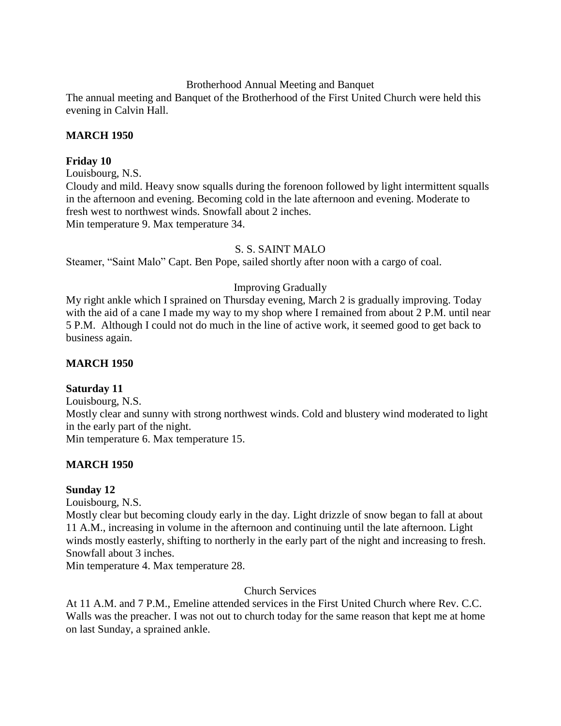Brotherhood Annual Meeting and Banquet

The annual meeting and Banquet of the Brotherhood of the First United Church were held this evening in Calvin Hall.

# **MARCH 1950**

## **Friday 10**

Louisbourg, N.S.

Cloudy and mild. Heavy snow squalls during the forenoon followed by light intermittent squalls in the afternoon and evening. Becoming cold in the late afternoon and evening. Moderate to fresh west to northwest winds. Snowfall about 2 inches. Min temperature 9. Max temperature 34.

## S. S. SAINT MALO

Steamer, "Saint Malo" Capt. Ben Pope, sailed shortly after noon with a cargo of coal.

## Improving Gradually

My right ankle which I sprained on Thursday evening, March 2 is gradually improving. Today with the aid of a cane I made my way to my shop where I remained from about 2 P.M. until near 5 P.M. Although I could not do much in the line of active work, it seemed good to get back to business again.

## **MARCH 1950**

### **Saturday 11**

Louisbourg, N.S. Mostly clear and sunny with strong northwest winds. Cold and blustery wind moderated to light in the early part of the night. Min temperature 6. Max temperature 15.

# **MARCH 1950**

### **Sunday 12**

Louisbourg, N.S.

Mostly clear but becoming cloudy early in the day. Light drizzle of snow began to fall at about 11 A.M., increasing in volume in the afternoon and continuing until the late afternoon. Light winds mostly easterly, shifting to northerly in the early part of the night and increasing to fresh. Snowfall about 3 inches.

Min temperature 4. Max temperature 28.

### Church Services

At 11 A.M. and 7 P.M., Emeline attended services in the First United Church where Rev. C.C. Walls was the preacher. I was not out to church today for the same reason that kept me at home on last Sunday, a sprained ankle.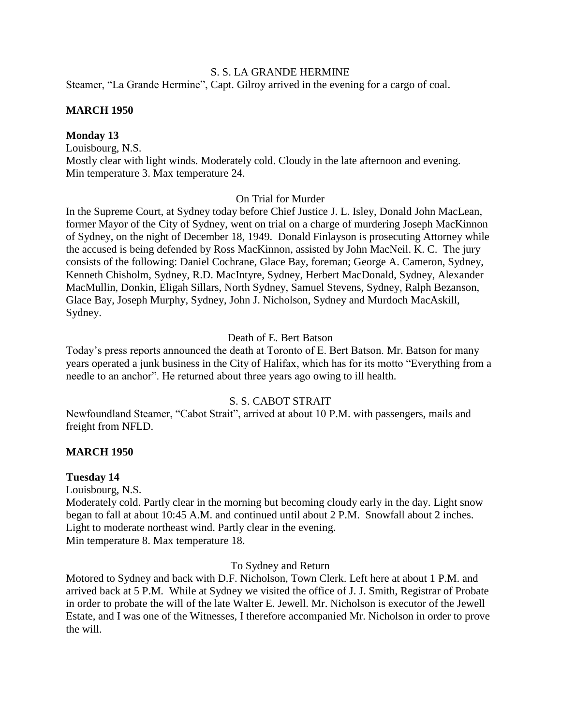#### S. S. LA GRANDE HERMINE

Steamer, "La Grande Hermine", Capt. Gilroy arrived in the evening for a cargo of coal.

## **MARCH 1950**

## **Monday 13**

Louisbourg, N.S. Mostly clear with light winds. Moderately cold. Cloudy in the late afternoon and evening. Min temperature 3. Max temperature 24.

## On Trial for Murder

In the Supreme Court, at Sydney today before Chief Justice J. L. Isley, Donald John MacLean, former Mayor of the City of Sydney, went on trial on a charge of murdering Joseph MacKinnon of Sydney, on the night of December 18, 1949. Donald Finlayson is prosecuting Attorney while the accused is being defended by Ross MacKinnon, assisted by John MacNeil. K. C. The jury consists of the following: Daniel Cochrane, Glace Bay, foreman; George A. Cameron, Sydney, Kenneth Chisholm, Sydney, R.D. MacIntyre, Sydney, Herbert MacDonald, Sydney, Alexander MacMullin, Donkin, Eligah Sillars, North Sydney, Samuel Stevens, Sydney, Ralph Bezanson, Glace Bay, Joseph Murphy, Sydney, John J. Nicholson, Sydney and Murdoch MacAskill, Sydney.

### Death of E. Bert Batson

Today's press reports announced the death at Toronto of E. Bert Batson. Mr. Batson for many years operated a junk business in the City of Halifax, which has for its motto "Everything from a needle to an anchor". He returned about three years ago owing to ill health.

# S. S. CABOT STRAIT

Newfoundland Steamer, "Cabot Strait", arrived at about 10 P.M. with passengers, mails and freight from NFLD.

### **MARCH 1950**

### **Tuesday 14**

Louisbourg, N.S.

Moderately cold. Partly clear in the morning but becoming cloudy early in the day. Light snow began to fall at about 10:45 A.M. and continued until about 2 P.M. Snowfall about 2 inches. Light to moderate northeast wind. Partly clear in the evening. Min temperature 8. Max temperature 18.

### To Sydney and Return

Motored to Sydney and back with D.F. Nicholson, Town Clerk. Left here at about 1 P.M. and arrived back at 5 P.M. While at Sydney we visited the office of J. J. Smith, Registrar of Probate in order to probate the will of the late Walter E. Jewell. Mr. Nicholson is executor of the Jewell Estate, and I was one of the Witnesses, I therefore accompanied Mr. Nicholson in order to prove the will.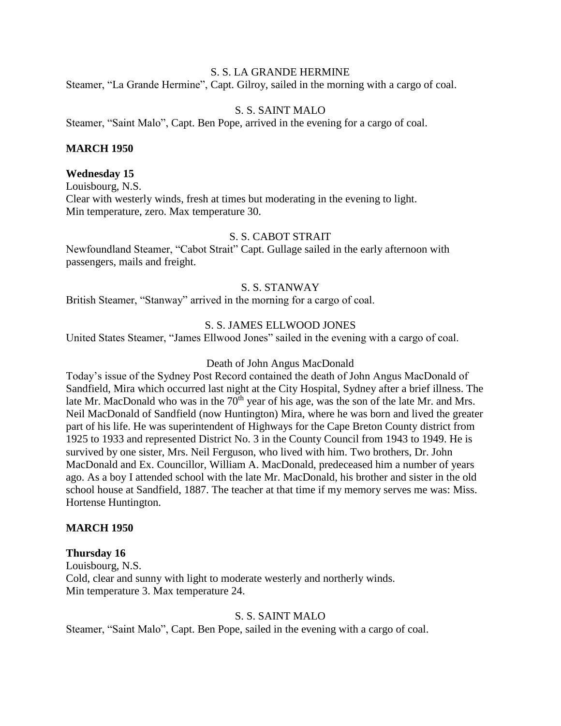#### S. S. LA GRANDE HERMINE

Steamer, "La Grande Hermine", Capt. Gilroy, sailed in the morning with a cargo of coal.

#### S. S. SAINT MALO

Steamer, "Saint Malo", Capt. Ben Pope, arrived in the evening for a cargo of coal.

#### **MARCH 1950**

#### **Wednesday 15**

Louisbourg, N.S. Clear with westerly winds, fresh at times but moderating in the evening to light. Min temperature, zero. Max temperature 30.

## S. S. CABOT STRAIT

Newfoundland Steamer, "Cabot Strait" Capt. Gullage sailed in the early afternoon with passengers, mails and freight.

### S. S. STANWAY

British Steamer, "Stanway" arrived in the morning for a cargo of coal.

#### S. S. JAMES ELLWOOD JONES

United States Steamer, "James Ellwood Jones" sailed in the evening with a cargo of coal.

#### Death of John Angus MacDonald

Today's issue of the Sydney Post Record contained the death of John Angus MacDonald of Sandfield, Mira which occurred last night at the City Hospital, Sydney after a brief illness. The late Mr. MacDonald who was in the  $70<sup>th</sup>$  year of his age, was the son of the late Mr. and Mrs. Neil MacDonald of Sandfield (now Huntington) Mira, where he was born and lived the greater part of his life. He was superintendent of Highways for the Cape Breton County district from 1925 to 1933 and represented District No. 3 in the County Council from 1943 to 1949. He is survived by one sister, Mrs. Neil Ferguson, who lived with him. Two brothers, Dr. John MacDonald and Ex. Councillor, William A. MacDonald, predeceased him a number of years ago. As a boy I attended school with the late Mr. MacDonald, his brother and sister in the old school house at Sandfield, 1887. The teacher at that time if my memory serves me was: Miss. Hortense Huntington.

#### **MARCH 1950**

#### **Thursday 16**

Louisbourg, N.S. Cold, clear and sunny with light to moderate westerly and northerly winds. Min temperature 3. Max temperature 24.

#### S. S. SAINT MALO

Steamer, "Saint Malo", Capt. Ben Pope, sailed in the evening with a cargo of coal.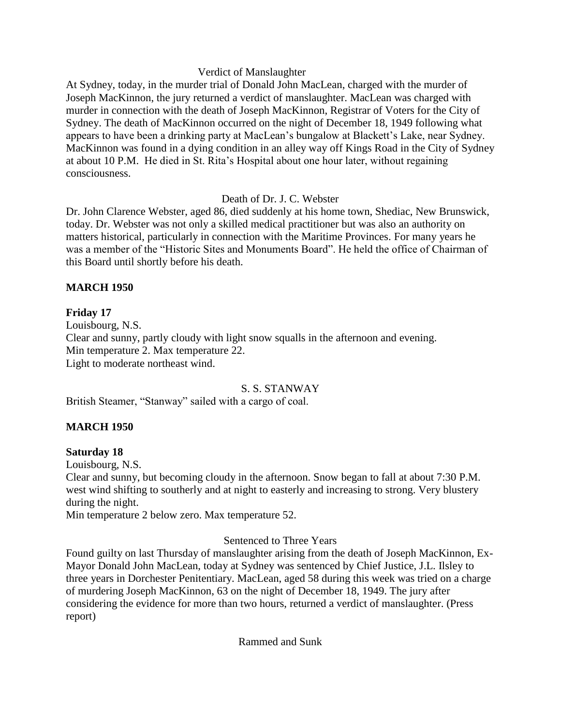# Verdict of Manslaughter

At Sydney, today, in the murder trial of Donald John MacLean, charged with the murder of Joseph MacKinnon, the jury returned a verdict of manslaughter. MacLean was charged with murder in connection with the death of Joseph MacKinnon, Registrar of Voters for the City of Sydney. The death of MacKinnon occurred on the night of December 18, 1949 following what appears to have been a drinking party at MacLean's bungalow at Blackett's Lake, near Sydney. MacKinnon was found in a dying condition in an alley way off Kings Road in the City of Sydney at about 10 P.M. He died in St. Rita's Hospital about one hour later, without regaining consciousness.

# Death of Dr. J. C. Webster

Dr. John Clarence Webster, aged 86, died suddenly at his home town, Shediac, New Brunswick, today. Dr. Webster was not only a skilled medical practitioner but was also an authority on matters historical, particularly in connection with the Maritime Provinces. For many years he was a member of the "Historic Sites and Monuments Board". He held the office of Chairman of this Board until shortly before his death.

# **MARCH 1950**

# **Friday 17**

Louisbourg, N.S. Clear and sunny, partly cloudy with light snow squalls in the afternoon and evening. Min temperature 2. Max temperature 22. Light to moderate northeast wind.

# S. S. STANWAY

British Steamer, "Stanway" sailed with a cargo of coal.

# **MARCH 1950**

# **Saturday 18**

Louisbourg, N.S.

Clear and sunny, but becoming cloudy in the afternoon. Snow began to fall at about 7:30 P.M. west wind shifting to southerly and at night to easterly and increasing to strong. Very blustery during the night.

Min temperature 2 below zero. Max temperature 52.

# Sentenced to Three Years

Found guilty on last Thursday of manslaughter arising from the death of Joseph MacKinnon, Ex-Mayor Donald John MacLean, today at Sydney was sentenced by Chief Justice, J.L. Ilsley to three years in Dorchester Penitentiary. MacLean, aged 58 during this week was tried on a charge of murdering Joseph MacKinnon, 63 on the night of December 18, 1949. The jury after considering the evidence for more than two hours, returned a verdict of manslaughter. (Press report)

Rammed and Sunk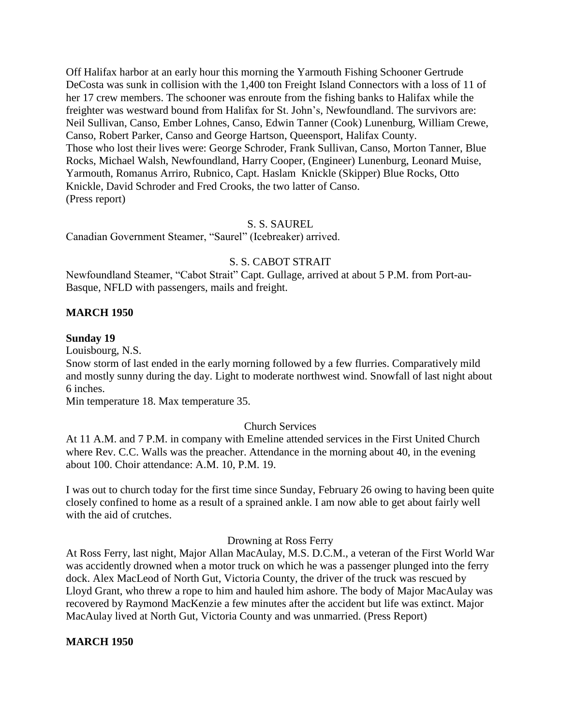Off Halifax harbor at an early hour this morning the Yarmouth Fishing Schooner Gertrude DeCosta was sunk in collision with the 1,400 ton Freight Island Connectors with a loss of 11 of her 17 crew members. The schooner was enroute from the fishing banks to Halifax while the freighter was westward bound from Halifax for St. John's, Newfoundland. The survivors are: Neil Sullivan, Canso, Ember Lohnes, Canso, Edwin Tanner (Cook) Lunenburg, William Crewe, Canso, Robert Parker, Canso and George Hartson, Queensport, Halifax County. Those who lost their lives were: George Schroder, Frank Sullivan, Canso, Morton Tanner, Blue Rocks, Michael Walsh, Newfoundland, Harry Cooper, (Engineer) Lunenburg, Leonard Muise, Yarmouth, Romanus Arriro, Rubnico, Capt. Haslam Knickle (Skipper) Blue Rocks, Otto Knickle, David Schroder and Fred Crooks, the two latter of Canso. (Press report)

### S. S. SAUREL

Canadian Government Steamer, "Saurel" (Icebreaker) arrived.

#### S. S. CABOT STRAIT

Newfoundland Steamer, "Cabot Strait" Capt. Gullage, arrived at about 5 P.M. from Port-au-Basque, NFLD with passengers, mails and freight.

#### **MARCH 1950**

#### **Sunday 19**

Louisbourg, N.S.

Snow storm of last ended in the early morning followed by a few flurries. Comparatively mild and mostly sunny during the day. Light to moderate northwest wind. Snowfall of last night about 6 inches.

Min temperature 18. Max temperature 35.

#### Church Services

At 11 A.M. and 7 P.M. in company with Emeline attended services in the First United Church where Rev. C.C. Walls was the preacher. Attendance in the morning about 40, in the evening about 100. Choir attendance: A.M. 10, P.M. 19.

I was out to church today for the first time since Sunday, February 26 owing to having been quite closely confined to home as a result of a sprained ankle. I am now able to get about fairly well with the aid of crutches.

#### Drowning at Ross Ferry

At Ross Ferry, last night, Major Allan MacAulay, M.S. D.C.M., a veteran of the First World War was accidently drowned when a motor truck on which he was a passenger plunged into the ferry dock. Alex MacLeod of North Gut, Victoria County, the driver of the truck was rescued by Lloyd Grant, who threw a rope to him and hauled him ashore. The body of Major MacAulay was recovered by Raymond MacKenzie a few minutes after the accident but life was extinct. Major MacAulay lived at North Gut, Victoria County and was unmarried. (Press Report)

#### **MARCH 1950**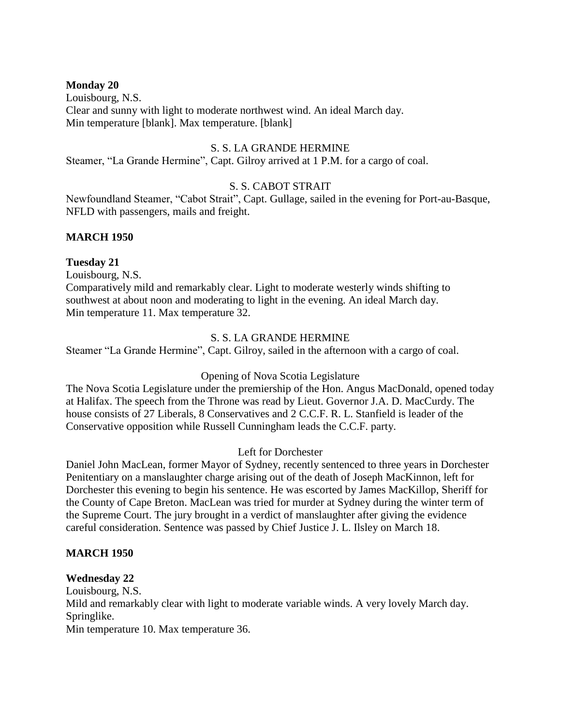## **Monday 20**

Louisbourg, N.S. Clear and sunny with light to moderate northwest wind. An ideal March day. Min temperature [blank]. Max temperature. [blank]

### S. S. LA GRANDE HERMINE

Steamer, "La Grande Hermine", Capt. Gilroy arrived at 1 P.M. for a cargo of coal.

# S. S. CABOT STRAIT

Newfoundland Steamer, "Cabot Strait", Capt. Gullage, sailed in the evening for Port-au-Basque, NFLD with passengers, mails and freight.

# **MARCH 1950**

## **Tuesday 21**

Louisbourg, N.S.

Comparatively mild and remarkably clear. Light to moderate westerly winds shifting to southwest at about noon and moderating to light in the evening. An ideal March day. Min temperature 11. Max temperature 32.

## S. S. LA GRANDE HERMINE

Steamer "La Grande Hermine", Capt. Gilroy, sailed in the afternoon with a cargo of coal.

### Opening of Nova Scotia Legislature

The Nova Scotia Legislature under the premiership of the Hon. Angus MacDonald, opened today at Halifax. The speech from the Throne was read by Lieut. Governor J.A. D. MacCurdy. The house consists of 27 Liberals, 8 Conservatives and 2 C.C.F. R. L. Stanfield is leader of the Conservative opposition while Russell Cunningham leads the C.C.F. party.

### Left for Dorchester

Daniel John MacLean, former Mayor of Sydney, recently sentenced to three years in Dorchester Penitentiary on a manslaughter charge arising out of the death of Joseph MacKinnon, left for Dorchester this evening to begin his sentence. He was escorted by James MacKillop, Sheriff for the County of Cape Breton. MacLean was tried for murder at Sydney during the winter term of the Supreme Court. The jury brought in a verdict of manslaughter after giving the evidence careful consideration. Sentence was passed by Chief Justice J. L. Ilsley on March 18.

### **MARCH 1950**

### **Wednesday 22**

Louisbourg, N.S. Mild and remarkably clear with light to moderate variable winds. A very lovely March day. Springlike. Min temperature 10. Max temperature 36.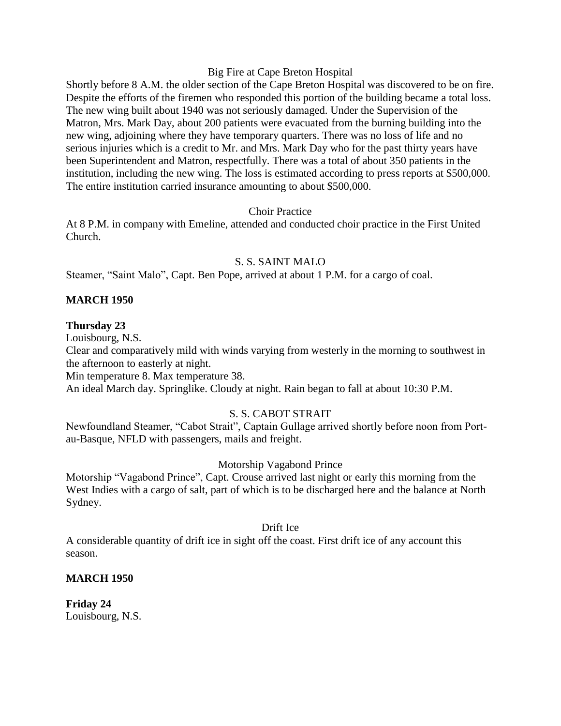#### Big Fire at Cape Breton Hospital

Shortly before 8 A.M. the older section of the Cape Breton Hospital was discovered to be on fire. Despite the efforts of the firemen who responded this portion of the building became a total loss. The new wing built about 1940 was not seriously damaged. Under the Supervision of the Matron, Mrs. Mark Day, about 200 patients were evacuated from the burning building into the new wing, adjoining where they have temporary quarters. There was no loss of life and no serious injuries which is a credit to Mr. and Mrs. Mark Day who for the past thirty years have been Superintendent and Matron, respectfully. There was a total of about 350 patients in the institution, including the new wing. The loss is estimated according to press reports at \$500,000. The entire institution carried insurance amounting to about \$500,000.

#### Choir Practice

At 8 P.M. in company with Emeline, attended and conducted choir practice in the First United Church.

#### S. S. SAINT MALO

Steamer, "Saint Malo", Capt. Ben Pope, arrived at about 1 P.M. for a cargo of coal.

## **MARCH 1950**

#### **Thursday 23**

Louisbourg, N.S.

Clear and comparatively mild with winds varying from westerly in the morning to southwest in the afternoon to easterly at night.

Min temperature 8. Max temperature 38.

An ideal March day. Springlike. Cloudy at night. Rain began to fall at about 10:30 P.M.

## S. S. CABOT STRAIT

Newfoundland Steamer, "Cabot Strait", Captain Gullage arrived shortly before noon from Portau-Basque, NFLD with passengers, mails and freight.

#### Motorship Vagabond Prince

Motorship "Vagabond Prince", Capt. Crouse arrived last night or early this morning from the West Indies with a cargo of salt, part of which is to be discharged here and the balance at North Sydney.

#### Drift Ice

A considerable quantity of drift ice in sight off the coast. First drift ice of any account this season.

#### **MARCH 1950**

**Friday 24** Louisbourg, N.S.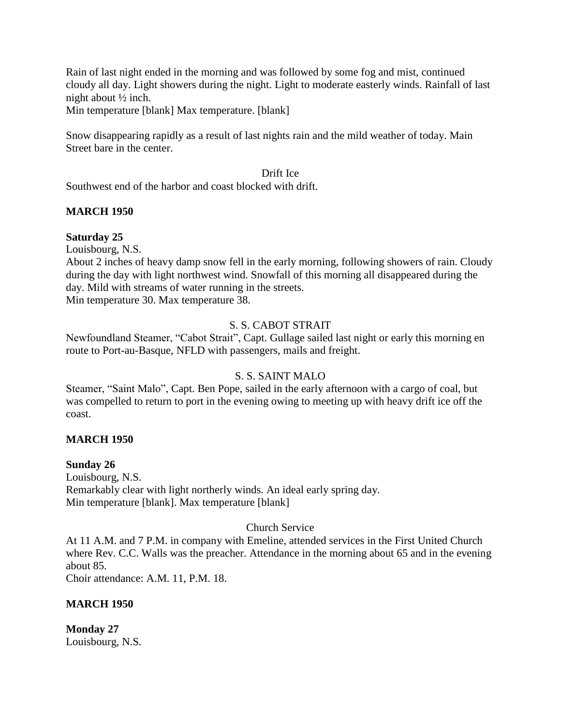Rain of last night ended in the morning and was followed by some fog and mist, continued cloudy all day. Light showers during the night. Light to moderate easterly winds. Rainfall of last night about ½ inch.

Min temperature [blank] Max temperature. [blank]

Snow disappearing rapidly as a result of last nights rain and the mild weather of today. Main Street bare in the center.

#### Drift Ice

Southwest end of the harbor and coast blocked with drift.

#### **MARCH 1950**

#### **Saturday 25**

Louisbourg, N.S.

About 2 inches of heavy damp snow fell in the early morning, following showers of rain. Cloudy during the day with light northwest wind. Snowfall of this morning all disappeared during the day. Mild with streams of water running in the streets. Min temperature 30. Max temperature 38.

#### S. S. CABOT STRAIT

Newfoundland Steamer, "Cabot Strait", Capt. Gullage sailed last night or early this morning en route to Port-au-Basque, NFLD with passengers, mails and freight.

#### S. S. SAINT MALO

Steamer, "Saint Malo", Capt. Ben Pope, sailed in the early afternoon with a cargo of coal, but was compelled to return to port in the evening owing to meeting up with heavy drift ice off the coast.

#### **MARCH 1950**

#### **Sunday 26**

Louisbourg, N.S. Remarkably clear with light northerly winds. An ideal early spring day. Min temperature [blank]. Max temperature [blank]

#### Church Service

At 11 A.M. and 7 P.M. in company with Emeline, attended services in the First United Church where Rev. C.C. Walls was the preacher. Attendance in the morning about 65 and in the evening about 85.

Choir attendance: A.M. 11, P.M. 18.

#### **MARCH 1950**

**Monday 27** Louisbourg, N.S.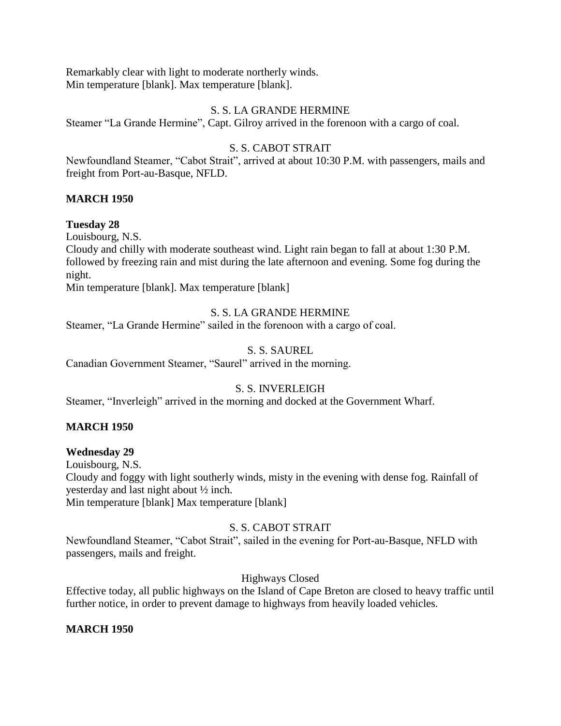Remarkably clear with light to moderate northerly winds. Min temperature [blank]. Max temperature [blank].

#### S. S. LA GRANDE HERMINE

Steamer "La Grande Hermine", Capt. Gilroy arrived in the forenoon with a cargo of coal.

## S. S. CABOT STRAIT

Newfoundland Steamer, "Cabot Strait", arrived at about 10:30 P.M. with passengers, mails and freight from Port-au-Basque, NFLD.

#### **MARCH 1950**

#### **Tuesday 28**

Louisbourg, N.S.

Cloudy and chilly with moderate southeast wind. Light rain began to fall at about 1:30 P.M. followed by freezing rain and mist during the late afternoon and evening. Some fog during the night.

Min temperature [blank]. Max temperature [blank]

## S. S. LA GRANDE HERMINE

Steamer, "La Grande Hermine" sailed in the forenoon with a cargo of coal.

#### S. S. SAUREL

Canadian Government Steamer, "Saurel" arrived in the morning.

## S. S. INVERLEIGH

Steamer, "Inverleigh" arrived in the morning and docked at the Government Wharf.

#### **MARCH 1950**

## **Wednesday 29**

Louisbourg, N.S.

Cloudy and foggy with light southerly winds, misty in the evening with dense fog. Rainfall of yesterday and last night about ½ inch.

Min temperature [blank] Max temperature [blank]

## S. S. CABOT STRAIT

Newfoundland Steamer, "Cabot Strait", sailed in the evening for Port-au-Basque, NFLD with passengers, mails and freight.

## Highways Closed

Effective today, all public highways on the Island of Cape Breton are closed to heavy traffic until further notice, in order to prevent damage to highways from heavily loaded vehicles.

#### **MARCH 1950**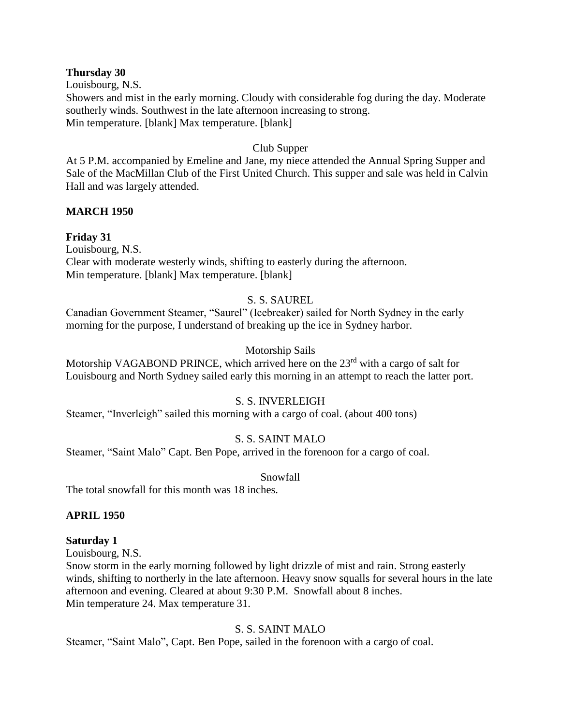#### **Thursday 30**

Louisbourg, N.S.

Showers and mist in the early morning. Cloudy with considerable fog during the day. Moderate southerly winds. Southwest in the late afternoon increasing to strong. Min temperature. [blank] Max temperature. [blank]

#### Club Supper

At 5 P.M. accompanied by Emeline and Jane, my niece attended the Annual Spring Supper and Sale of the MacMillan Club of the First United Church. This supper and sale was held in Calvin Hall and was largely attended.

#### **MARCH 1950**

## **Friday 31**

Louisbourg, N.S. Clear with moderate westerly winds, shifting to easterly during the afternoon. Min temperature. [blank] Max temperature. [blank]

## S. S. SAUREL

Canadian Government Steamer, "Saurel" (Icebreaker) sailed for North Sydney in the early morning for the purpose, I understand of breaking up the ice in Sydney harbor.

#### Motorship Sails

Motorship VAGABOND PRINCE, which arrived here on the 23<sup>rd</sup> with a cargo of salt for Louisbourg and North Sydney sailed early this morning in an attempt to reach the latter port.

#### S. S. INVERLEIGH

Steamer, "Inverleigh" sailed this morning with a cargo of coal. (about 400 tons)

## S. S. SAINT MALO

Steamer, "Saint Malo" Capt. Ben Pope, arrived in the forenoon for a cargo of coal.

#### Snowfall

The total snowfall for this month was 18 inches.

#### **APRIL 1950**

- **Saturday 1**
- Louisbourg, N.S.

Snow storm in the early morning followed by light drizzle of mist and rain. Strong easterly winds, shifting to northerly in the late afternoon. Heavy snow squalls for several hours in the late afternoon and evening. Cleared at about 9:30 P.M. Snowfall about 8 inches. Min temperature 24. Max temperature 31.

## S. S. SAINT MALO

Steamer, "Saint Malo", Capt. Ben Pope, sailed in the forenoon with a cargo of coal.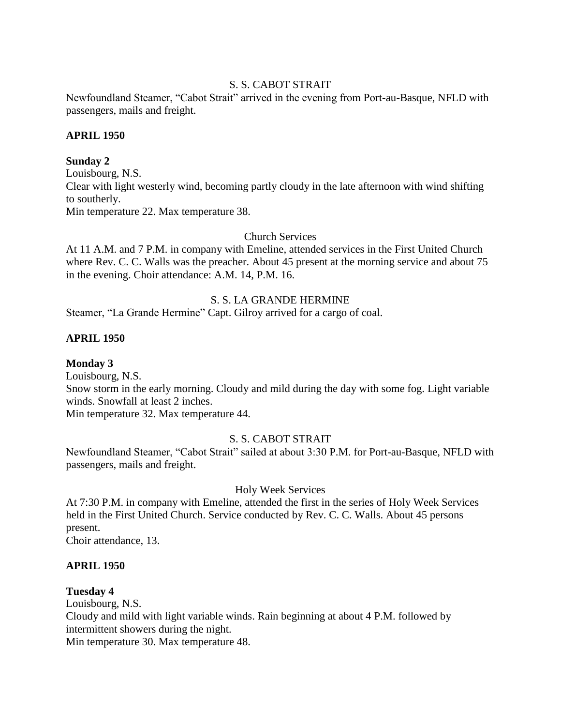#### S. S. CABOT STRAIT

Newfoundland Steamer, "Cabot Strait" arrived in the evening from Port-au-Basque, NFLD with passengers, mails and freight.

#### **APRIL 1950**

#### **Sunday 2**

Louisbourg, N.S. Clear with light westerly wind, becoming partly cloudy in the late afternoon with wind shifting to southerly. Min temperature 22. Max temperature 38.

Church Services

At 11 A.M. and 7 P.M. in company with Emeline, attended services in the First United Church where Rev. C. C. Walls was the preacher. About 45 present at the morning service and about 75 in the evening. Choir attendance: A.M. 14, P.M. 16.

#### S. S. LA GRANDE HERMINE

Steamer, "La Grande Hermine" Capt. Gilroy arrived for a cargo of coal.

#### **APRIL 1950**

#### **Monday 3**

Louisbourg, N.S.

Snow storm in the early morning. Cloudy and mild during the day with some fog. Light variable winds. Snowfall at least 2 inches.

Min temperature 32. Max temperature 44.

## S. S. CABOT STRAIT

Newfoundland Steamer, "Cabot Strait" sailed at about 3:30 P.M. for Port-au-Basque, NFLD with passengers, mails and freight.

#### Holy Week Services

At 7:30 P.M. in company with Emeline, attended the first in the series of Holy Week Services held in the First United Church. Service conducted by Rev. C. C. Walls. About 45 persons present.

Choir attendance, 13.

#### **APRIL 1950**

#### **Tuesday 4**

Louisbourg, N.S.

Cloudy and mild with light variable winds. Rain beginning at about 4 P.M. followed by intermittent showers during the night.

Min temperature 30. Max temperature 48.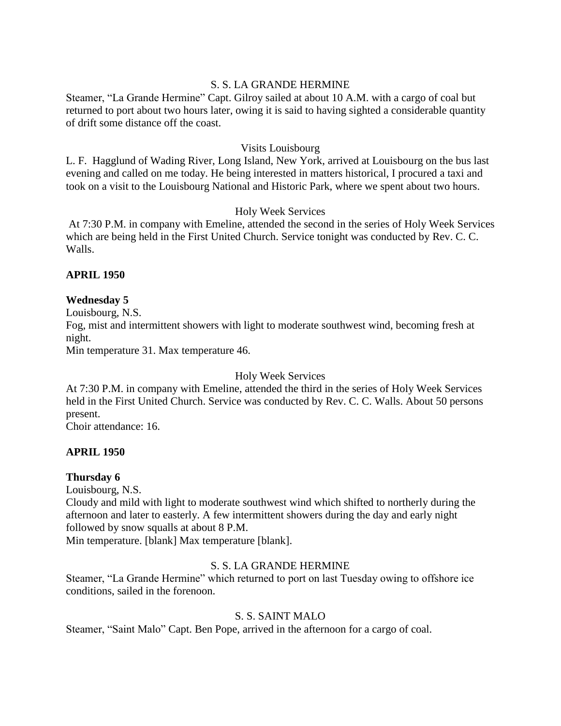## S. S. LA GRANDE HERMINE

Steamer, "La Grande Hermine" Capt. Gilroy sailed at about 10 A.M. with a cargo of coal but returned to port about two hours later, owing it is said to having sighted a considerable quantity of drift some distance off the coast.

#### Visits Louisbourg

L. F. Hagglund of Wading River, Long Island, New York, arrived at Louisbourg on the bus last evening and called on me today. He being interested in matters historical, I procured a taxi and took on a visit to the Louisbourg National and Historic Park, where we spent about two hours.

#### Holy Week Services

At 7:30 P.M. in company with Emeline, attended the second in the series of Holy Week Services which are being held in the First United Church. Service tonight was conducted by Rev. C. C. Walls.

#### **APRIL 1950**

## **Wednesday 5**

Louisbourg, N.S.

Fog, mist and intermittent showers with light to moderate southwest wind, becoming fresh at night.

Min temperature 31. Max temperature 46.

Holy Week Services

At 7:30 P.M. in company with Emeline, attended the third in the series of Holy Week Services held in the First United Church. Service was conducted by Rev. C. C. Walls. About 50 persons present.

Choir attendance: 16.

#### **APRIL 1950**

## **Thursday 6**

Louisbourg, N.S.

Cloudy and mild with light to moderate southwest wind which shifted to northerly during the afternoon and later to easterly. A few intermittent showers during the day and early night followed by snow squalls at about 8 P.M.

Min temperature. [blank] Max temperature [blank].

## S. S. LA GRANDE HERMINE

Steamer, "La Grande Hermine" which returned to port on last Tuesday owing to offshore ice conditions, sailed in the forenoon.

## S. S. SAINT MALO

Steamer, "Saint Malo" Capt. Ben Pope, arrived in the afternoon for a cargo of coal.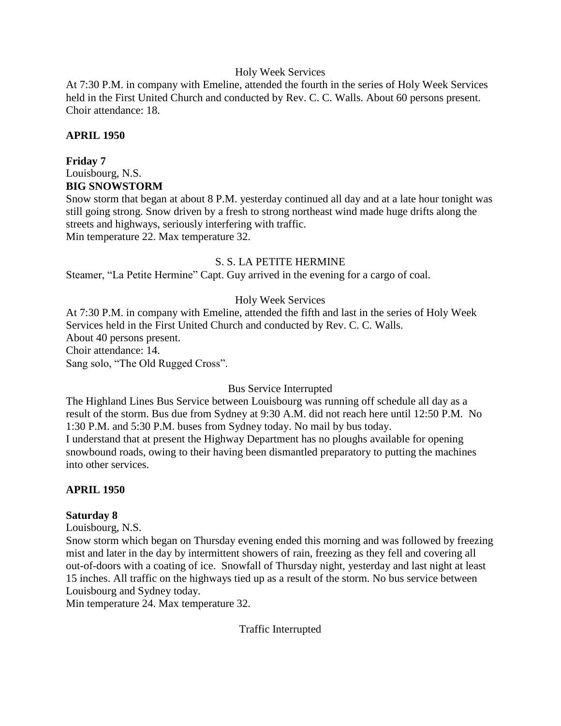#### Holy Week Services

At 7:30 P.M. in company with Emeline, attended the fourth in the series of Holy Week Services held in the First United Church and conducted by Rev. C. C. Walls. About 60 persons present. Choir attendance: 18.

#### **APRIL 1950**

#### **Friday 7**

Louisbourg, N.S. **BIG SNOWSTORM**

Snow storm that began at about 8 P.M. yesterday continued all day and at a late hour tonight was still going strong. Snow driven by a fresh to strong northeast wind made huge drifts along the streets and highways, seriously interfering with traffic.

Min temperature 22. Max temperature 32.

#### S. S. LA PETITE HERMINE

Steamer, "La Petite Hermine" Capt. Guy arrived in the evening for a cargo of coal.

#### Holy Week Services

At 7:30 P.M. in company with Emeline, attended the fifth and last in the series of Holy Week Services held in the First United Church and conducted by Rev. C. C. Walls. About 40 persons present. Choir attendance: 14. Sang solo, "The Old Rugged Cross".

#### Bus Service Interrupted

The Highland Lines Bus Service between Louisbourg was running off schedule all day as a result of the storm. Bus due from Sydney at 9:30 A.M. did not reach here until 12:50 P.M. No 1:30 P.M. and 5:30 P.M. buses from Sydney today. No mail by bus today. I understand that at present the Highway Department has no ploughs available for opening snowbound roads, owing to their having been dismantled preparatory to putting the machines into other services.

#### **APRIL 1950**

#### **Saturday 8**

Louisbourg, N.S.

Snow storm which began on Thursday evening ended this morning and was followed by freezing mist and later in the day by intermittent showers of rain, freezing as they fell and covering all out-of-doors with a coating of ice. Snowfall of Thursday night, yesterday and last night at least 15 inches. All traffic on the highways tied up as a result of the storm. No bus service between Louisbourg and Sydney today.

Min temperature 24. Max temperature 32.

Traffic Interrupted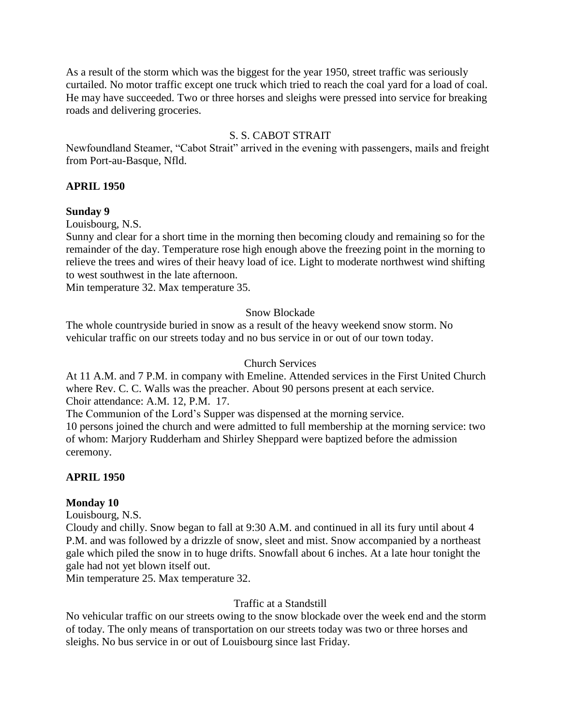As a result of the storm which was the biggest for the year 1950, street traffic was seriously curtailed. No motor traffic except one truck which tried to reach the coal yard for a load of coal. He may have succeeded. Two or three horses and sleighs were pressed into service for breaking roads and delivering groceries.

## S. S. CABOT STRAIT

Newfoundland Steamer, "Cabot Strait" arrived in the evening with passengers, mails and freight from Port-au-Basque, Nfld.

#### **APRIL 1950**

#### **Sunday 9**

Louisbourg, N.S.

Sunny and clear for a short time in the morning then becoming cloudy and remaining so for the remainder of the day. Temperature rose high enough above the freezing point in the morning to relieve the trees and wires of their heavy load of ice. Light to moderate northwest wind shifting to west southwest in the late afternoon.

Min temperature 32. Max temperature 35.

#### Snow Blockade

The whole countryside buried in snow as a result of the heavy weekend snow storm. No vehicular traffic on our streets today and no bus service in or out of our town today.

#### Church Services

At 11 A.M. and 7 P.M. in company with Emeline. Attended services in the First United Church where Rev. C. C. Walls was the preacher. About 90 persons present at each service. Choir attendance: A.M. 12, P.M. 17.

The Communion of the Lord's Supper was dispensed at the morning service.

10 persons joined the church and were admitted to full membership at the morning service: two of whom: Marjory Rudderham and Shirley Sheppard were baptized before the admission ceremony.

## **APRIL 1950**

## **Monday 10**

Louisbourg, N.S.

Cloudy and chilly. Snow began to fall at 9:30 A.M. and continued in all its fury until about 4 P.M. and was followed by a drizzle of snow, sleet and mist. Snow accompanied by a northeast gale which piled the snow in to huge drifts. Snowfall about 6 inches. At a late hour tonight the gale had not yet blown itself out.

Min temperature 25. Max temperature 32.

#### Traffic at a Standstill

No vehicular traffic on our streets owing to the snow blockade over the week end and the storm of today. The only means of transportation on our streets today was two or three horses and sleighs. No bus service in or out of Louisbourg since last Friday.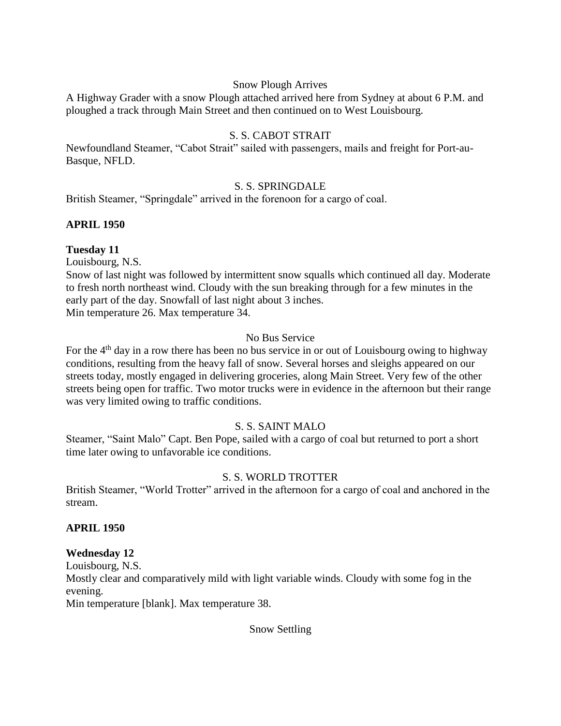#### Snow Plough Arrives

A Highway Grader with a snow Plough attached arrived here from Sydney at about 6 P.M. and ploughed a track through Main Street and then continued on to West Louisbourg.

## S. S. CABOT STRAIT

Newfoundland Steamer, "Cabot Strait" sailed with passengers, mails and freight for Port-au-Basque, NFLD.

#### S. S. SPRINGDALE

British Steamer, "Springdale" arrived in the forenoon for a cargo of coal.

#### **APRIL 1950**

#### **Tuesday 11**

Louisbourg, N.S.

Snow of last night was followed by intermittent snow squalls which continued all day. Moderate to fresh north northeast wind. Cloudy with the sun breaking through for a few minutes in the early part of the day. Snowfall of last night about 3 inches. Min temperature 26. Max temperature 34.

#### No Bus Service

For the 4<sup>th</sup> day in a row there has been no bus service in or out of Louisbourg owing to highway conditions, resulting from the heavy fall of snow. Several horses and sleighs appeared on our streets today, mostly engaged in delivering groceries, along Main Street. Very few of the other streets being open for traffic. Two motor trucks were in evidence in the afternoon but their range was very limited owing to traffic conditions.

## S. S. SAINT MALO

Steamer, "Saint Malo" Capt. Ben Pope, sailed with a cargo of coal but returned to port a short time later owing to unfavorable ice conditions.

## S. S. WORLD TROTTER

British Steamer, "World Trotter" arrived in the afternoon for a cargo of coal and anchored in the stream.

#### **APRIL 1950**

## **Wednesday 12**

Louisbourg, N.S.

Mostly clear and comparatively mild with light variable winds. Cloudy with some fog in the evening.

Min temperature [blank]. Max temperature 38.

## Snow Settling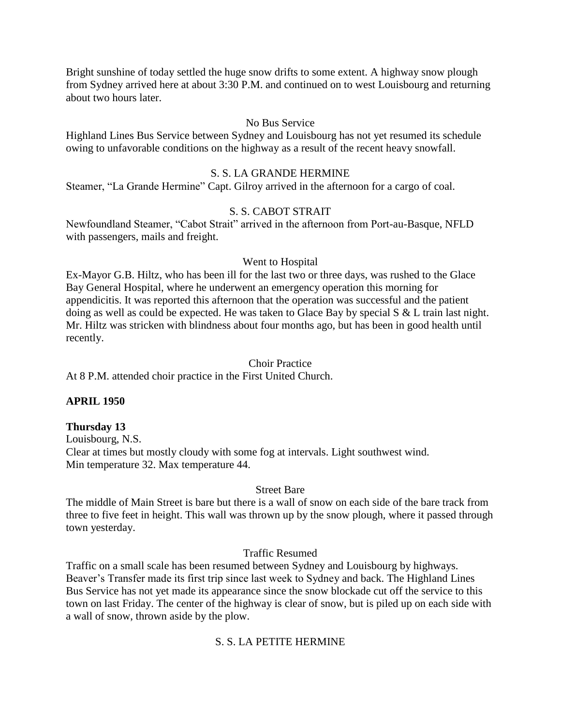Bright sunshine of today settled the huge snow drifts to some extent. A highway snow plough from Sydney arrived here at about 3:30 P.M. and continued on to west Louisbourg and returning about two hours later.

#### No Bus Service

Highland Lines Bus Service between Sydney and Louisbourg has not yet resumed its schedule owing to unfavorable conditions on the highway as a result of the recent heavy snowfall.

#### S. S. LA GRANDE HERMINE

Steamer, "La Grande Hermine" Capt. Gilroy arrived in the afternoon for a cargo of coal.

#### S. S. CABOT STRAIT

Newfoundland Steamer, "Cabot Strait" arrived in the afternoon from Port-au-Basque, NFLD with passengers, mails and freight.

#### Went to Hospital

Ex-Mayor G.B. Hiltz, who has been ill for the last two or three days, was rushed to the Glace Bay General Hospital, where he underwent an emergency operation this morning for appendicitis. It was reported this afternoon that the operation was successful and the patient doing as well as could be expected. He was taken to Glace Bay by special S & L train last night. Mr. Hiltz was stricken with blindness about four months ago, but has been in good health until recently.

#### Choir Practice

At 8 P.M. attended choir practice in the First United Church.

## **APRIL 1950**

#### **Thursday 13**

Louisbourg, N.S. Clear at times but mostly cloudy with some fog at intervals. Light southwest wind. Min temperature 32. Max temperature 44.

#### Street Bare

The middle of Main Street is bare but there is a wall of snow on each side of the bare track from three to five feet in height. This wall was thrown up by the snow plough, where it passed through town yesterday.

#### Traffic Resumed

Traffic on a small scale has been resumed between Sydney and Louisbourg by highways. Beaver's Transfer made its first trip since last week to Sydney and back. The Highland Lines Bus Service has not yet made its appearance since the snow blockade cut off the service to this town on last Friday. The center of the highway is clear of snow, but is piled up on each side with a wall of snow, thrown aside by the plow.

## S. S. LA PETITE HERMINE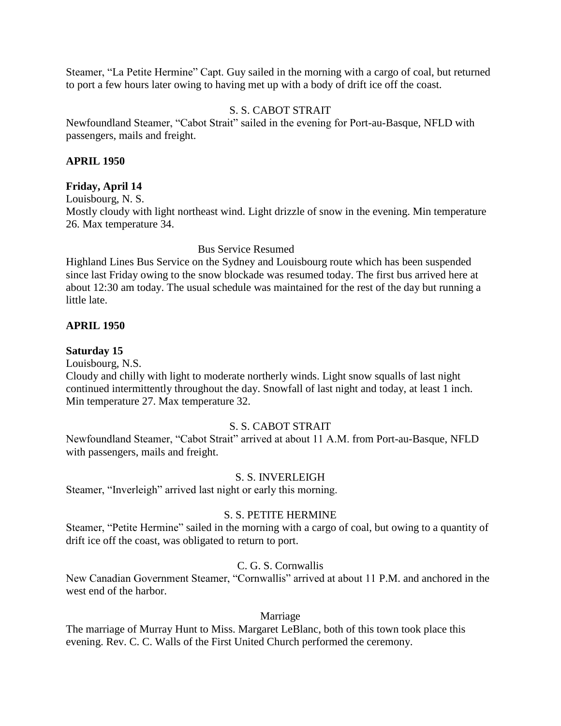Steamer, "La Petite Hermine" Capt. Guy sailed in the morning with a cargo of coal, but returned to port a few hours later owing to having met up with a body of drift ice off the coast.

#### S. S. CABOT STRAIT

Newfoundland Steamer, "Cabot Strait" sailed in the evening for Port-au-Basque, NFLD with passengers, mails and freight.

#### **APRIL 1950**

#### **Friday, April 14**

Louisbourg, N. S. Mostly cloudy with light northeast wind. Light drizzle of snow in the evening. Min temperature 26. Max temperature 34.

Bus Service Resumed

Highland Lines Bus Service on the Sydney and Louisbourg route which has been suspended since last Friday owing to the snow blockade was resumed today. The first bus arrived here at about 12:30 am today. The usual schedule was maintained for the rest of the day but running a little late.

#### **APRIL 1950**

#### **Saturday 15**

Louisbourg, N.S.

Cloudy and chilly with light to moderate northerly winds. Light snow squalls of last night continued intermittently throughout the day. Snowfall of last night and today, at least 1 inch. Min temperature 27. Max temperature 32.

#### S. S. CABOT STRAIT

Newfoundland Steamer, "Cabot Strait" arrived at about 11 A.M. from Port-au-Basque, NFLD with passengers, mails and freight.

#### S. S. INVERLEIGH

Steamer, "Inverleigh" arrived last night or early this morning.

#### S. S. PETITE HERMINE

Steamer, "Petite Hermine" sailed in the morning with a cargo of coal, but owing to a quantity of drift ice off the coast, was obligated to return to port.

#### C. G. S. Cornwallis

New Canadian Government Steamer, "Cornwallis" arrived at about 11 P.M. and anchored in the west end of the harbor.

#### Marriage

The marriage of Murray Hunt to Miss. Margaret LeBlanc, both of this town took place this evening. Rev. C. C. Walls of the First United Church performed the ceremony.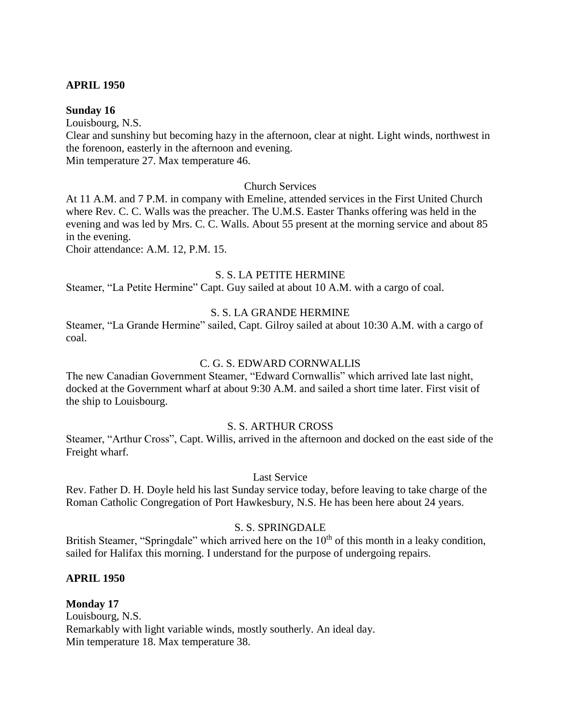#### **APRIL 1950**

#### **Sunday 16**

Louisbourg, N.S. Clear and sunshiny but becoming hazy in the afternoon, clear at night. Light winds, northwest in the forenoon, easterly in the afternoon and evening.

Min temperature 27. Max temperature 46.

#### Church Services

At 11 A.M. and 7 P.M. in company with Emeline, attended services in the First United Church where Rev. C. C. Walls was the preacher. The U.M.S. Easter Thanks offering was held in the evening and was led by Mrs. C. C. Walls. About 55 present at the morning service and about 85 in the evening.

Choir attendance: A.M. 12, P.M. 15.

#### S. S. LA PETITE HERMINE

Steamer, "La Petite Hermine" Capt. Guy sailed at about 10 A.M. with a cargo of coal.

## S. S. LA GRANDE HERMINE

Steamer, "La Grande Hermine" sailed, Capt. Gilroy sailed at about 10:30 A.M. with a cargo of coal.

#### C. G. S. EDWARD CORNWALLIS

The new Canadian Government Steamer, "Edward Cornwallis" which arrived late last night, docked at the Government wharf at about 9:30 A.M. and sailed a short time later. First visit of the ship to Louisbourg.

#### S. S. ARTHUR CROSS

Steamer, "Arthur Cross", Capt. Willis, arrived in the afternoon and docked on the east side of the Freight wharf.

#### Last Service

Rev. Father D. H. Doyle held his last Sunday service today, before leaving to take charge of the Roman Catholic Congregation of Port Hawkesbury, N.S. He has been here about 24 years.

#### S. S. SPRINGDALE

British Steamer, "Springdale" which arrived here on the  $10<sup>th</sup>$  of this month in a leaky condition, sailed for Halifax this morning. I understand for the purpose of undergoing repairs.

#### **APRIL 1950**

**Monday 17** Louisbourg, N.S. Remarkably with light variable winds, mostly southerly. An ideal day. Min temperature 18. Max temperature 38.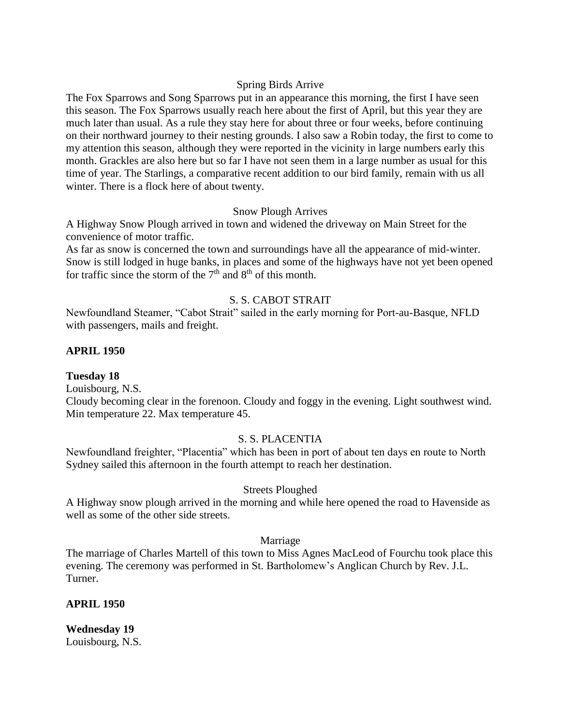#### Spring Birds Arrive

The Fox Sparrows and Song Sparrows put in an appearance this morning, the first I have seen this season. The Fox Sparrows usually reach here about the first of April, but this year they are much later than usual. As a rule they stay here for about three or four weeks, before continuing on their northward journey to their nesting grounds. I also saw a Robin today, the first to come to my attention this season, although they were reported in the vicinity in large numbers early this month. Grackles are also here but so far I have not seen them in a large number as usual for this time of year. The Starlings, a comparative recent addition to our bird family, remain with us all winter. There is a flock here of about twenty.

#### Snow Plough Arrives

A Highway Snow Plough arrived in town and widened the driveway on Main Street for the convenience of motor traffic.

As far as snow is concerned the town and surroundings have all the appearance of mid-winter. Snow is still lodged in huge banks, in places and some of the highways have not yet been opened for traffic since the storm of the  $7<sup>th</sup>$  and  $8<sup>th</sup>$  of this month.

## S. S. CABOT STRAIT

Newfoundland Steamer, "Cabot Strait" sailed in the early morning for Port-au-Basque, NFLD with passengers, mails and freight.

#### **APRIL 1950**

#### **Tuesday 18**

Louisbourg, N.S.

Cloudy becoming clear in the forenoon. Cloudy and foggy in the evening. Light southwest wind. Min temperature 22. Max temperature 45.

## S. S. PLACENTIA

Newfoundland freighter, "Placentia" which has been in port of about ten days en route to North Sydney sailed this afternoon in the fourth attempt to reach her destination.

## Streets Ploughed

A Highway snow plough arrived in the morning and while here opened the road to Havenside as well as some of the other side streets.

#### Marriage

The marriage of Charles Martell of this town to Miss Agnes MacLeod of Fourchu took place this evening. The ceremony was performed in St. Bartholomew's Anglican Church by Rev. J.L. Turner.

#### **APRIL 1950**

**Wednesday 19** Louisbourg, N.S.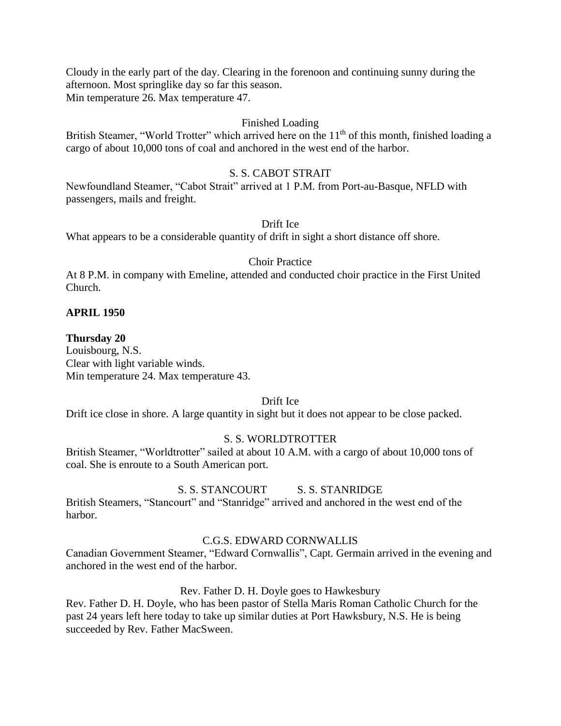Cloudy in the early part of the day. Clearing in the forenoon and continuing sunny during the afternoon. Most springlike day so far this season. Min temperature 26. Max temperature 47.

#### Finished Loading

British Steamer, "World Trotter" which arrived here on the 11<sup>th</sup> of this month, finished loading a cargo of about 10,000 tons of coal and anchored in the west end of the harbor.

#### S. S. CABOT STRAIT

Newfoundland Steamer, "Cabot Strait" arrived at 1 P.M. from Port-au-Basque, NFLD with passengers, mails and freight.

#### Drift Ice

What appears to be a considerable quantity of drift in sight a short distance off shore.

#### Choir Practice

At 8 P.M. in company with Emeline, attended and conducted choir practice in the First United Church.

#### **APRIL 1950**

#### **Thursday 20**

Louisbourg, N.S. Clear with light variable winds. Min temperature 24. Max temperature 43.

#### Drift Ice

Drift ice close in shore. A large quantity in sight but it does not appear to be close packed.

#### S. S. WORLDTROTTER

British Steamer, "Worldtrotter" sailed at about 10 A.M. with a cargo of about 10,000 tons of coal. She is enroute to a South American port.

#### S. S. STANCOURT S. S. STANRIDGE

British Steamers, "Stancourt" and "Stanridge" arrived and anchored in the west end of the harbor.

#### C.G.S. EDWARD CORNWALLIS

Canadian Government Steamer, "Edward Cornwallis", Capt. Germain arrived in the evening and anchored in the west end of the harbor.

#### Rev. Father D. H. Doyle goes to Hawkesbury

Rev. Father D. H. Doyle, who has been pastor of Stella Maris Roman Catholic Church for the past 24 years left here today to take up similar duties at Port Hawksbury, N.S. He is being succeeded by Rev. Father MacSween.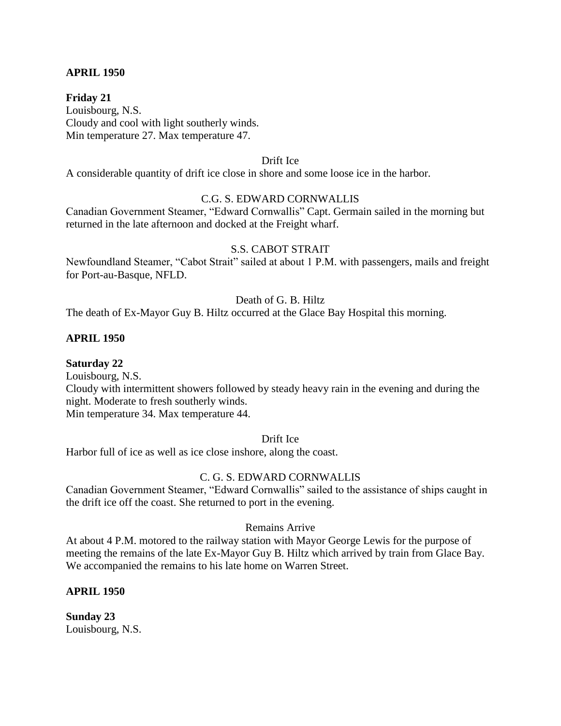#### **APRIL 1950**

**Friday 21** Louisbourg, N.S. Cloudy and cool with light southerly winds. Min temperature 27. Max temperature 47.

#### Drift Ice

A considerable quantity of drift ice close in shore and some loose ice in the harbor.

#### C.G. S. EDWARD CORNWALLIS

Canadian Government Steamer, "Edward Cornwallis" Capt. Germain sailed in the morning but returned in the late afternoon and docked at the Freight wharf.

#### S.S. CABOT STRAIT

Newfoundland Steamer, "Cabot Strait" sailed at about 1 P.M. with passengers, mails and freight for Port-au-Basque, NFLD.

## Death of G. B. Hiltz

The death of Ex-Mayor Guy B. Hiltz occurred at the Glace Bay Hospital this morning.

#### **APRIL 1950**

**Saturday 22**

Louisbourg, N.S.

Cloudy with intermittent showers followed by steady heavy rain in the evening and during the night. Moderate to fresh southerly winds.

Min temperature 34. Max temperature 44.

Drift Ice

Harbor full of ice as well as ice close inshore, along the coast.

#### C. G. S. EDWARD CORNWALLIS

Canadian Government Steamer, "Edward Cornwallis" sailed to the assistance of ships caught in the drift ice off the coast. She returned to port in the evening.

#### Remains Arrive

At about 4 P.M. motored to the railway station with Mayor George Lewis for the purpose of meeting the remains of the late Ex-Mayor Guy B. Hiltz which arrived by train from Glace Bay. We accompanied the remains to his late home on Warren Street.

#### **APRIL 1950**

**Sunday 23** Louisbourg, N.S.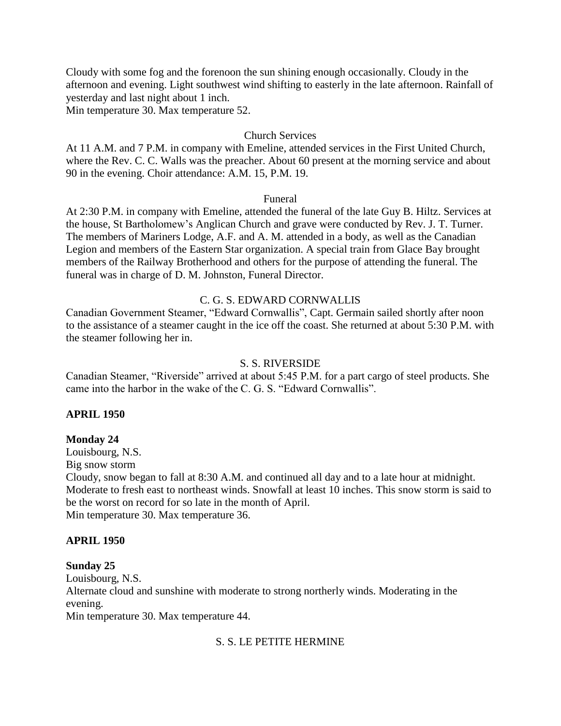Cloudy with some fog and the forenoon the sun shining enough occasionally. Cloudy in the afternoon and evening. Light southwest wind shifting to easterly in the late afternoon. Rainfall of yesterday and last night about 1 inch.

Min temperature 30. Max temperature 52.

#### Church Services

At 11 A.M. and 7 P.M. in company with Emeline, attended services in the First United Church, where the Rev. C. C. Walls was the preacher. About 60 present at the morning service and about 90 in the evening. Choir attendance: A.M. 15, P.M. 19.

#### Funeral

At 2:30 P.M. in company with Emeline, attended the funeral of the late Guy B. Hiltz. Services at the house, St Bartholomew's Anglican Church and grave were conducted by Rev. J. T. Turner. The members of Mariners Lodge, A.F. and A. M. attended in a body, as well as the Canadian Legion and members of the Eastern Star organization. A special train from Glace Bay brought members of the Railway Brotherhood and others for the purpose of attending the funeral. The funeral was in charge of D. M. Johnston, Funeral Director.

#### C. G. S. EDWARD CORNWALLIS

Canadian Government Steamer, "Edward Cornwallis", Capt. Germain sailed shortly after noon to the assistance of a steamer caught in the ice off the coast. She returned at about 5:30 P.M. with the steamer following her in.

#### S. S. RIVERSIDE

Canadian Steamer, "Riverside" arrived at about 5:45 P.M. for a part cargo of steel products. She came into the harbor in the wake of the C. G. S. "Edward Cornwallis".

#### **APRIL 1950**

#### **Monday 24**

Louisbourg, N.S.

Big snow storm

Cloudy, snow began to fall at 8:30 A.M. and continued all day and to a late hour at midnight. Moderate to fresh east to northeast winds. Snowfall at least 10 inches. This snow storm is said to be the worst on record for so late in the month of April.

Min temperature 30. Max temperature 36.

#### **APRIL 1950**

#### **Sunday 25**

Louisbourg, N.S.

Alternate cloud and sunshine with moderate to strong northerly winds. Moderating in the evening.

Min temperature 30. Max temperature 44.

#### S. S. LE PETITE HERMINE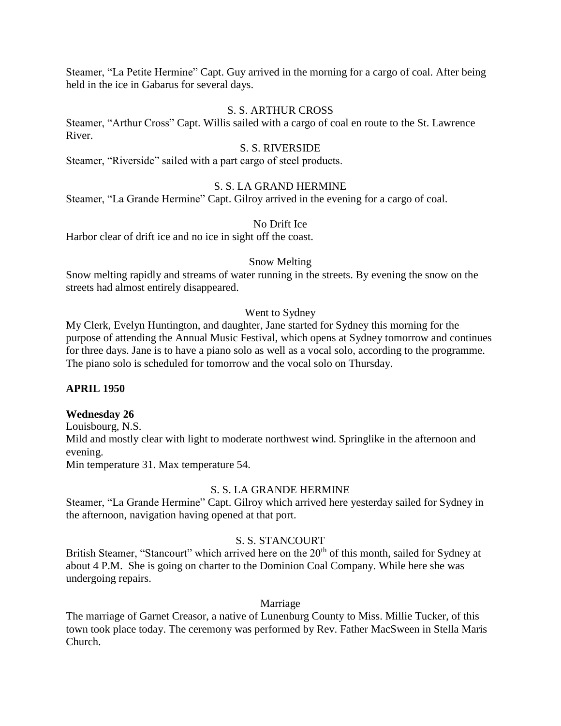Steamer, "La Petite Hermine" Capt. Guy arrived in the morning for a cargo of coal. After being held in the ice in Gabarus for several days.

#### S. S. ARTHUR CROSS

Steamer, "Arthur Cross" Capt. Willis sailed with a cargo of coal en route to the St. Lawrence River.

#### S. S. RIVERSIDE

Steamer, "Riverside" sailed with a part cargo of steel products.

#### S. S. LA GRAND HERMINE

Steamer, "La Grande Hermine" Capt. Gilroy arrived in the evening for a cargo of coal.

#### No Drift Ice

Harbor clear of drift ice and no ice in sight off the coast.

#### Snow Melting

Snow melting rapidly and streams of water running in the streets. By evening the snow on the streets had almost entirely disappeared.

#### Went to Sydney

My Clerk, Evelyn Huntington, and daughter, Jane started for Sydney this morning for the purpose of attending the Annual Music Festival, which opens at Sydney tomorrow and continues for three days. Jane is to have a piano solo as well as a vocal solo, according to the programme. The piano solo is scheduled for tomorrow and the vocal solo on Thursday.

#### **APRIL 1950**

#### **Wednesday 26**

Louisbourg, N.S. Mild and mostly clear with light to moderate northwest wind. Springlike in the afternoon and evening. Min temperature 31. Max temperature 54.

#### S. S. LA GRANDE HERMINE

Steamer, "La Grande Hermine" Capt. Gilroy which arrived here yesterday sailed for Sydney in the afternoon, navigation having opened at that port.

#### S. S. STANCOURT

British Steamer, "Stancourt" which arrived here on the 20<sup>th</sup> of this month, sailed for Sydney at about 4 P.M. She is going on charter to the Dominion Coal Company. While here she was undergoing repairs.

#### Marriage

The marriage of Garnet Creasor, a native of Lunenburg County to Miss. Millie Tucker, of this town took place today. The ceremony was performed by Rev. Father MacSween in Stella Maris Church.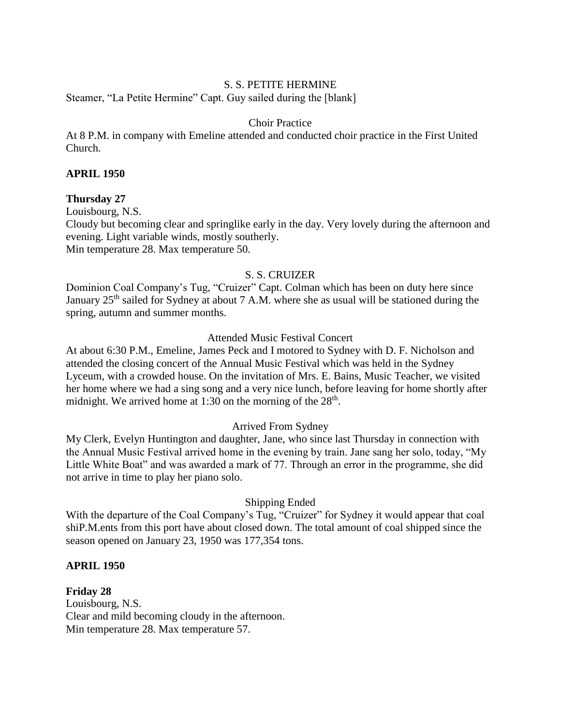#### S. S. PETITE HERMINE

Steamer, "La Petite Hermine" Capt. Guy sailed during the [blank]

#### Choir Practice

At 8 P.M. in company with Emeline attended and conducted choir practice in the First United Church.

#### **APRIL 1950**

#### **Thursday 27**

Louisbourg, N.S.

Cloudy but becoming clear and springlike early in the day. Very lovely during the afternoon and evening. Light variable winds, mostly southerly.

Min temperature 28. Max temperature 50.

## S. S. CRUIZER

Dominion Coal Company's Tug, "Cruizer" Capt. Colman which has been on duty here since January 25<sup>th</sup> sailed for Sydney at about 7 A.M. where she as usual will be stationed during the spring, autumn and summer months.

#### Attended Music Festival Concert

At about 6:30 P.M., Emeline, James Peck and I motored to Sydney with D. F. Nicholson and attended the closing concert of the Annual Music Festival which was held in the Sydney Lyceum, with a crowded house. On the invitation of Mrs. E. Bains, Music Teacher, we visited her home where we had a sing song and a very nice lunch, before leaving for home shortly after midnight. We arrived home at 1:30 on the morning of the  $28<sup>th</sup>$ .

#### Arrived From Sydney

My Clerk, Evelyn Huntington and daughter, Jane, who since last Thursday in connection with the Annual Music Festival arrived home in the evening by train. Jane sang her solo, today, "My Little White Boat" and was awarded a mark of 77. Through an error in the programme, she did not arrive in time to play her piano solo.

#### Shipping Ended

With the departure of the Coal Company's Tug, "Cruizer" for Sydney it would appear that coal shiP.M.ents from this port have about closed down. The total amount of coal shipped since the season opened on January 23, 1950 was 177,354 tons.

#### **APRIL 1950**

**Friday 28** Louisbourg, N.S. Clear and mild becoming cloudy in the afternoon. Min temperature 28. Max temperature 57.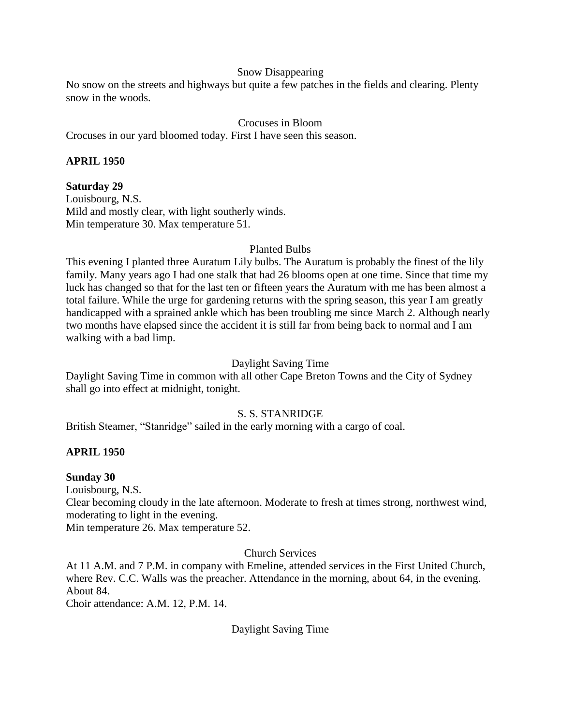#### Snow Disappearing

No snow on the streets and highways but quite a few patches in the fields and clearing. Plenty snow in the woods.

#### Crocuses in Bloom

Crocuses in our yard bloomed today. First I have seen this season.

#### **APRIL 1950**

#### **Saturday 29**

Louisbourg, N.S. Mild and mostly clear, with light southerly winds. Min temperature 30. Max temperature 51.

#### Planted Bulbs

This evening I planted three Auratum Lily bulbs. The Auratum is probably the finest of the lily family. Many years ago I had one stalk that had 26 blooms open at one time. Since that time my luck has changed so that for the last ten or fifteen years the Auratum with me has been almost a total failure. While the urge for gardening returns with the spring season, this year I am greatly handicapped with a sprained ankle which has been troubling me since March 2. Although nearly two months have elapsed since the accident it is still far from being back to normal and I am walking with a bad limp.

#### Daylight Saving Time

Daylight Saving Time in common with all other Cape Breton Towns and the City of Sydney shall go into effect at midnight, tonight.

#### S. S. STANRIDGE

British Steamer, "Stanridge" sailed in the early morning with a cargo of coal.

#### **APRIL 1950**

#### **Sunday 30**

Louisbourg, N.S.

Clear becoming cloudy in the late afternoon. Moderate to fresh at times strong, northwest wind, moderating to light in the evening.

Min temperature 26. Max temperature 52.

#### Church Services

At 11 A.M. and 7 P.M. in company with Emeline, attended services in the First United Church, where Rev. C.C. Walls was the preacher. Attendance in the morning, about 64, in the evening. About 84.

Choir attendance: A.M. 12, P.M. 14.

#### Daylight Saving Time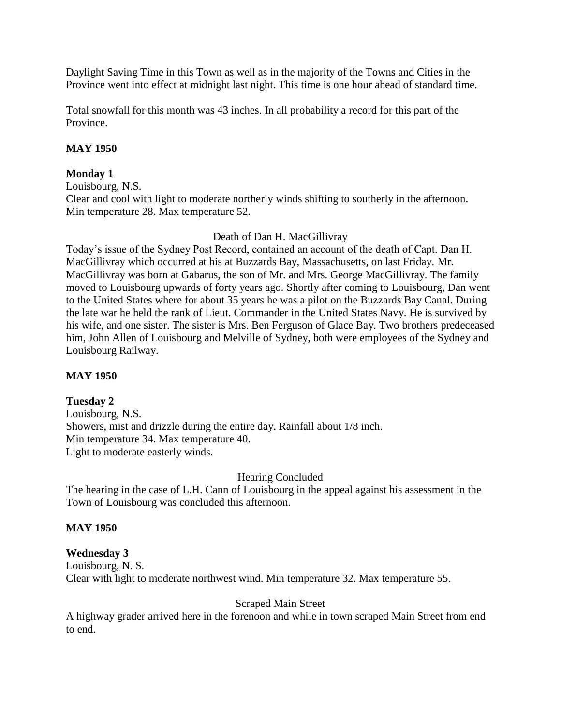Daylight Saving Time in this Town as well as in the majority of the Towns and Cities in the Province went into effect at midnight last night. This time is one hour ahead of standard time.

Total snowfall for this month was 43 inches. In all probability a record for this part of the Province.

#### **MAY 1950**

#### **Monday 1**

Louisbourg, N.S. Clear and cool with light to moderate northerly winds shifting to southerly in the afternoon. Min temperature 28. Max temperature 52.

#### Death of Dan H. MacGillivray

Today's issue of the Sydney Post Record, contained an account of the death of Capt. Dan H. MacGillivray which occurred at his at Buzzards Bay, Massachusetts, on last Friday. Mr. MacGillivray was born at Gabarus, the son of Mr. and Mrs. George MacGillivray. The family moved to Louisbourg upwards of forty years ago. Shortly after coming to Louisbourg, Dan went to the United States where for about 35 years he was a pilot on the Buzzards Bay Canal. During the late war he held the rank of Lieut. Commander in the United States Navy. He is survived by his wife, and one sister. The sister is Mrs. Ben Ferguson of Glace Bay. Two brothers predeceased him, John Allen of Louisbourg and Melville of Sydney, both were employees of the Sydney and Louisbourg Railway.

#### **MAY 1950**

## **Tuesday 2**

Louisbourg, N.S. Showers, mist and drizzle during the entire day. Rainfall about 1/8 inch. Min temperature 34. Max temperature 40. Light to moderate easterly winds.

#### Hearing Concluded

The hearing in the case of L.H. Cann of Louisbourg in the appeal against his assessment in the Town of Louisbourg was concluded this afternoon.

#### **MAY 1950**

#### **Wednesday 3**

Louisbourg, N. S. Clear with light to moderate northwest wind. Min temperature 32. Max temperature 55.

#### Scraped Main Street

A highway grader arrived here in the forenoon and while in town scraped Main Street from end to end.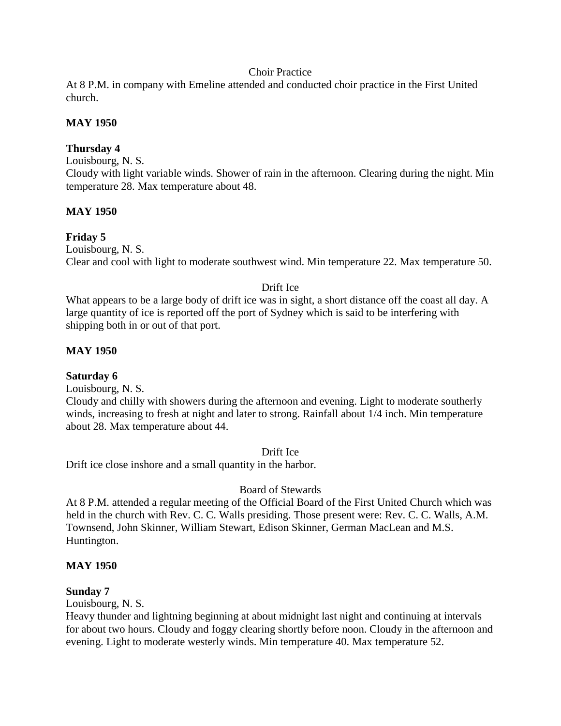#### Choir Practice

At 8 P.M. in company with Emeline attended and conducted choir practice in the First United church.

#### **MAY 1950**

#### **Thursday 4**

Louisbourg, N. S.

Cloudy with light variable winds. Shower of rain in the afternoon. Clearing during the night. Min temperature 28. Max temperature about 48.

#### **MAY 1950**

#### **Friday 5**

Louisbourg, N. S. Clear and cool with light to moderate southwest wind. Min temperature 22. Max temperature 50.

#### Drift Ice

What appears to be a large body of drift ice was in sight, a short distance off the coast all day. A large quantity of ice is reported off the port of Sydney which is said to be interfering with shipping both in or out of that port.

#### **MAY 1950**

#### **Saturday 6**

Louisbourg, N. S.

Cloudy and chilly with showers during the afternoon and evening. Light to moderate southerly winds, increasing to fresh at night and later to strong. Rainfall about 1/4 inch. Min temperature about 28. Max temperature about 44.

Drift Ice

Drift ice close inshore and a small quantity in the harbor.

Board of Stewards

At 8 P.M. attended a regular meeting of the Official Board of the First United Church which was held in the church with Rev. C. C. Walls presiding. Those present were: Rev. C. C. Walls, A.M. Townsend, John Skinner, William Stewart, Edison Skinner, German MacLean and M.S. Huntington.

#### **MAY 1950**

#### **Sunday 7**

Louisbourg, N. S.

Heavy thunder and lightning beginning at about midnight last night and continuing at intervals for about two hours. Cloudy and foggy clearing shortly before noon. Cloudy in the afternoon and evening. Light to moderate westerly winds. Min temperature 40. Max temperature 52.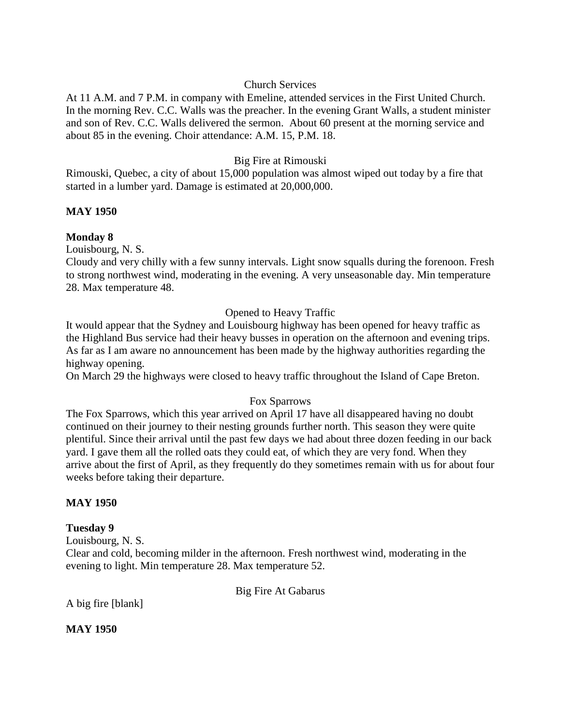#### Church Services

At 11 A.M. and 7 P.M. in company with Emeline, attended services in the First United Church. In the morning Rev. C.C. Walls was the preacher. In the evening Grant Walls, a student minister and son of Rev. C.C. Walls delivered the sermon. About 60 present at the morning service and about 85 in the evening. Choir attendance: A.M. 15, P.M. 18.

#### Big Fire at Rimouski

Rimouski, Quebec, a city of about 15,000 population was almost wiped out today by a fire that started in a lumber yard. Damage is estimated at 20,000,000.

#### **MAY 1950**

## **Monday 8**

Louisbourg, N. S.

Cloudy and very chilly with a few sunny intervals. Light snow squalls during the forenoon. Fresh to strong northwest wind, moderating in the evening. A very unseasonable day. Min temperature 28. Max temperature 48.

#### Opened to Heavy Traffic

It would appear that the Sydney and Louisbourg highway has been opened for heavy traffic as the Highland Bus service had their heavy busses in operation on the afternoon and evening trips. As far as I am aware no announcement has been made by the highway authorities regarding the highway opening.

On March 29 the highways were closed to heavy traffic throughout the Island of Cape Breton.

#### Fox Sparrows

The Fox Sparrows, which this year arrived on April 17 have all disappeared having no doubt continued on their journey to their nesting grounds further north. This season they were quite plentiful. Since their arrival until the past few days we had about three dozen feeding in our back yard. I gave them all the rolled oats they could eat, of which they are very fond. When they arrive about the first of April, as they frequently do they sometimes remain with us for about four weeks before taking their departure.

#### **MAY 1950**

#### **Tuesday 9**

Louisbourg, N. S.

Clear and cold, becoming milder in the afternoon. Fresh northwest wind, moderating in the evening to light. Min temperature 28. Max temperature 52.

Big Fire At Gabarus

A big fire [blank]

**MAY 1950**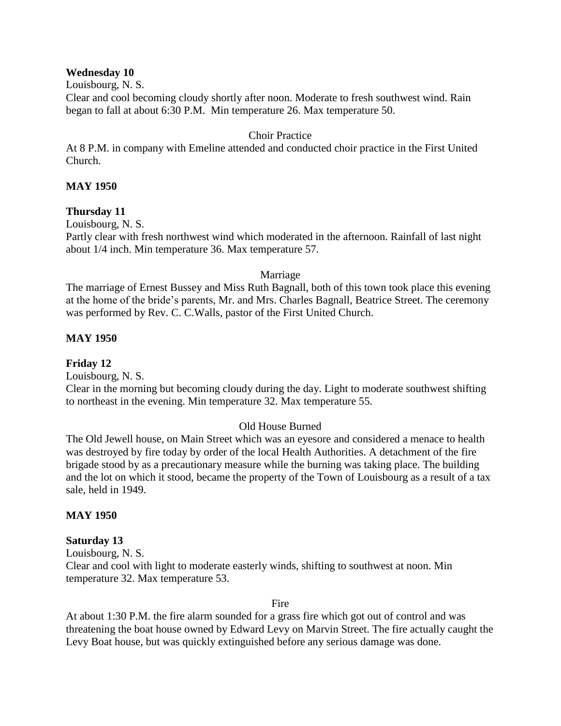#### **Wednesday 10**

Louisbourg, N. S.

Clear and cool becoming cloudy shortly after noon. Moderate to fresh southwest wind. Rain began to fall at about 6:30 P.M. Min temperature 26. Max temperature 50.

#### Choir Practice

At 8 P.M. in company with Emeline attended and conducted choir practice in the First United Church.

#### **MAY 1950**

## **Thursday 11**

Louisbourg, N. S.

Partly clear with fresh northwest wind which moderated in the afternoon. Rainfall of last night about 1/4 inch. Min temperature 36. Max temperature 57.

#### Marriage

The marriage of Ernest Bussey and Miss Ruth Bagnall, both of this town took place this evening at the home of the bride's parents, Mr. and Mrs. Charles Bagnall, Beatrice Street. The ceremony was performed by Rev. C. C.Walls, pastor of the First United Church.

#### **MAY 1950**

**Friday 12**

Louisbourg, N. S.

Clear in the morning but becoming cloudy during the day. Light to moderate southwest shifting to northeast in the evening. Min temperature 32. Max temperature 55.

## Old House Burned

The Old Jewell house, on Main Street which was an eyesore and considered a menace to health was destroyed by fire today by order of the local Health Authorities. A detachment of the fire brigade stood by as a precautionary measure while the burning was taking place. The building and the lot on which it stood, became the property of the Town of Louisbourg as a result of a tax sale, held in 1949.

#### **MAY 1950**

#### **Saturday 13**

Louisbourg, N. S. Clear and cool with light to moderate easterly winds, shifting to southwest at noon. Min temperature 32. Max temperature 53.

#### Fire

At about 1:30 P.M. the fire alarm sounded for a grass fire which got out of control and was threatening the boat house owned by Edward Levy on Marvin Street. The fire actually caught the Levy Boat house, but was quickly extinguished before any serious damage was done.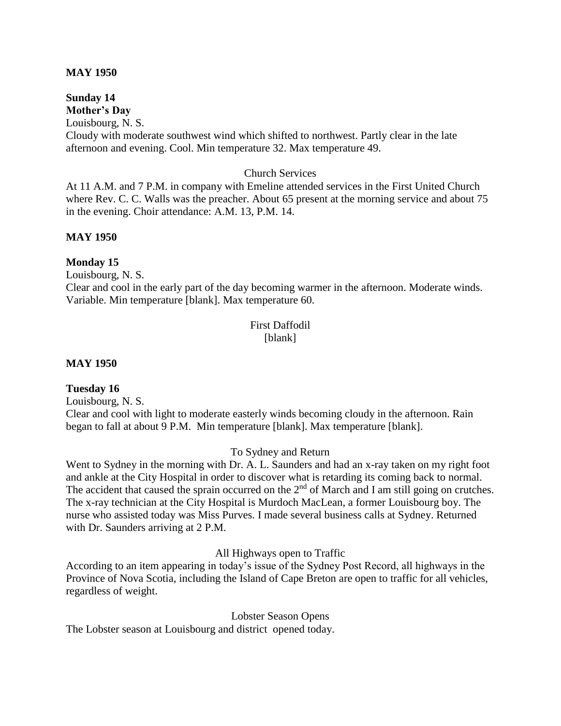#### **MAY 1950**

#### **Sunday 14 Mother's Day**

Louisbourg, N. S.

Cloudy with moderate southwest wind which shifted to northwest. Partly clear in the late afternoon and evening. Cool. Min temperature 32. Max temperature 49.

#### Church Services

At 11 A.M. and 7 P.M. in company with Emeline attended services in the First United Church where Rev. C. C. Walls was the preacher. About 65 present at the morning service and about 75 in the evening. Choir attendance: A.M. 13, P.M. 14.

#### **MAY 1950**

#### **Monday 15**

Louisbourg, N. S.

Clear and cool in the early part of the day becoming warmer in the afternoon. Moderate winds. Variable. Min temperature [blank]. Max temperature 60.

## First Daffodil [blank]

#### **MAY 1950**

#### **Tuesday 16**

Louisbourg, N. S.

Clear and cool with light to moderate easterly winds becoming cloudy in the afternoon. Rain began to fall at about 9 P.M. Min temperature [blank]. Max temperature [blank].

To Sydney and Return

Went to Sydney in the morning with Dr. A. L. Saunders and had an x-ray taken on my right foot and ankle at the City Hospital in order to discover what is retarding its coming back to normal. The accident that caused the sprain occurred on the  $2<sup>nd</sup>$  of March and I am still going on crutches. The x-ray technician at the City Hospital is Murdoch MacLean, a former Louisbourg boy. The nurse who assisted today was Miss Purves. I made several business calls at Sydney. Returned with Dr. Saunders arriving at 2 P.M.

All Highways open to Traffic

According to an item appearing in today's issue of the Sydney Post Record, all highways in the Province of Nova Scotia, including the Island of Cape Breton are open to traffic for all vehicles, regardless of weight.

Lobster Season Opens

The Lobster season at Louisbourg and district opened today.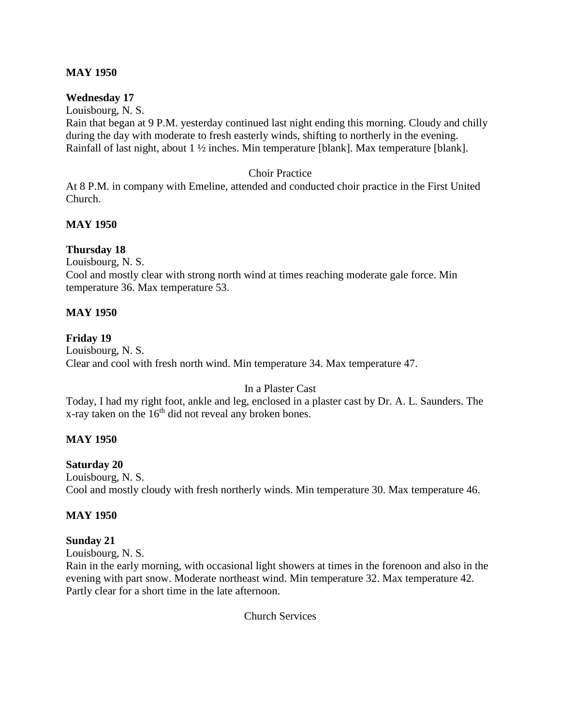#### **MAY 1950**

#### **Wednesday 17**

Louisbourg, N. S. Rain that began at 9 P.M. yesterday continued last night ending this morning. Cloudy and chilly during the day with moderate to fresh easterly winds, shifting to northerly in the evening. Rainfall of last night, about 1 ½ inches. Min temperature [blank]. Max temperature [blank].

#### Choir Practice

At 8 P.M. in company with Emeline, attended and conducted choir practice in the First United Church.

#### **MAY 1950**

#### **Thursday 18**

Louisbourg, N. S.

Cool and mostly clear with strong north wind at times reaching moderate gale force. Min temperature 36. Max temperature 53.

#### **MAY 1950**

#### **Friday 19**

Louisbourg, N. S. Clear and cool with fresh north wind. Min temperature 34. Max temperature 47.

## In a Plaster Cast

Today, I had my right foot, ankle and leg, enclosed in a plaster cast by Dr. A. L. Saunders. The x-ray taken on the  $16<sup>th</sup>$  did not reveal any broken bones.

## **MAY 1950**

#### **Saturday 20**

Louisbourg, N. S. Cool and mostly cloudy with fresh northerly winds. Min temperature 30. Max temperature 46.

## **MAY 1950**

**Sunday 21**

Louisbourg, N. S.

Rain in the early morning, with occasional light showers at times in the forenoon and also in the evening with part snow. Moderate northeast wind. Min temperature 32. Max temperature 42. Partly clear for a short time in the late afternoon.

Church Services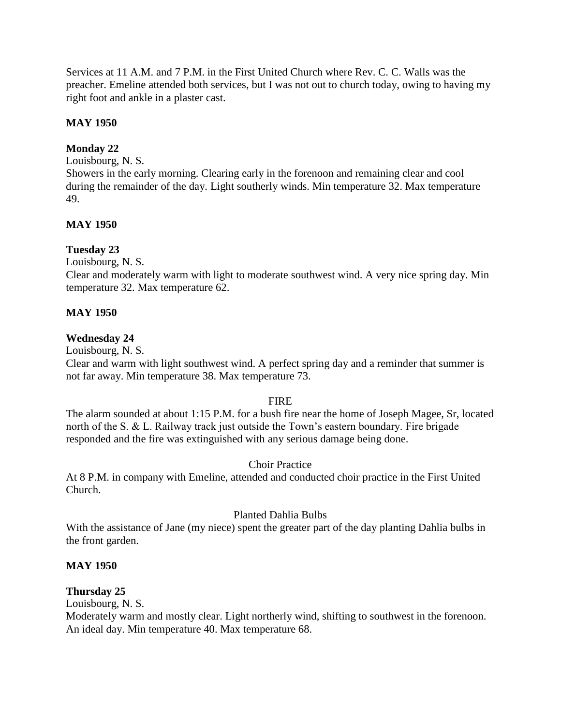Services at 11 A.M. and 7 P.M. in the First United Church where Rev. C. C. Walls was the preacher. Emeline attended both services, but I was not out to church today, owing to having my right foot and ankle in a plaster cast.

#### **MAY 1950**

## **Monday 22**

Louisbourg, N. S.

Showers in the early morning. Clearing early in the forenoon and remaining clear and cool during the remainder of the day. Light southerly winds. Min temperature 32. Max temperature 49.

#### **MAY 1950**

#### **Tuesday 23**

Louisbourg, N. S.

Clear and moderately warm with light to moderate southwest wind. A very nice spring day. Min temperature 32. Max temperature 62.

#### **MAY 1950**

#### **Wednesday 24**

Louisbourg, N. S.

Clear and warm with light southwest wind. A perfect spring day and a reminder that summer is not far away. Min temperature 38. Max temperature 73.

#### FIRE

The alarm sounded at about 1:15 P.M. for a bush fire near the home of Joseph Magee, Sr, located north of the S. & L. Railway track just outside the Town's eastern boundary. Fire brigade responded and the fire was extinguished with any serious damage being done.

#### Choir Practice

At 8 P.M. in company with Emeline, attended and conducted choir practice in the First United Church.

#### Planted Dahlia Bulbs

With the assistance of Jane (my niece) spent the greater part of the day planting Dahlia bulbs in the front garden.

#### **MAY 1950**

#### **Thursday 25**

Louisbourg, N. S.

Moderately warm and mostly clear. Light northerly wind, shifting to southwest in the forenoon. An ideal day. Min temperature 40. Max temperature 68.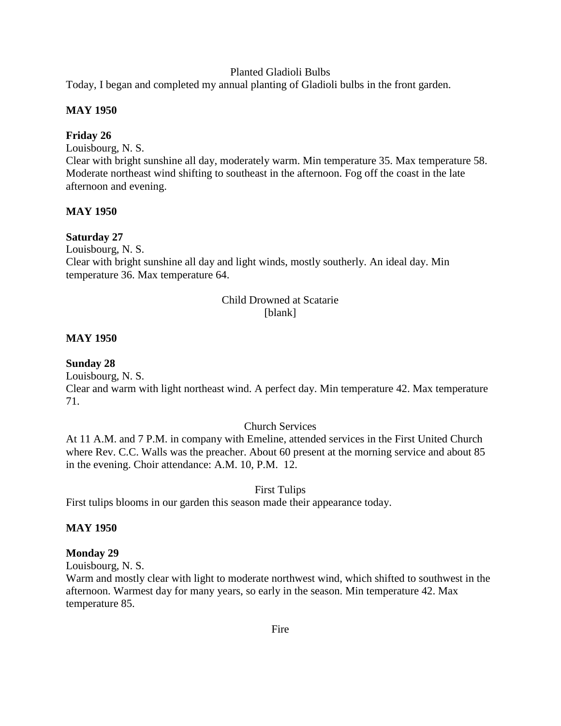#### Planted Gladioli Bulbs

Today, I began and completed my annual planting of Gladioli bulbs in the front garden.

#### **MAY 1950**

#### **Friday 26**

Louisbourg, N. S.

Clear with bright sunshine all day, moderately warm. Min temperature 35. Max temperature 58. Moderate northeast wind shifting to southeast in the afternoon. Fog off the coast in the late afternoon and evening.

#### **MAY 1950**

#### **Saturday 27**

Louisbourg, N. S.

Clear with bright sunshine all day and light winds, mostly southerly. An ideal day. Min temperature 36. Max temperature 64.

#### Child Drowned at Scatarie [blank]

#### **MAY 1950**

#### **Sunday 28**

Louisbourg, N. S. Clear and warm with light northeast wind. A perfect day. Min temperature 42. Max temperature 71.

#### Church Services

At 11 A.M. and 7 P.M. in company with Emeline, attended services in the First United Church where Rev. C.C. Walls was the preacher. About 60 present at the morning service and about 85 in the evening. Choir attendance: A.M. 10, P.M. 12.

#### First Tulips

First tulips blooms in our garden this season made their appearance today.

#### **MAY 1950**

#### **Monday 29**

Louisbourg, N. S.

Warm and mostly clear with light to moderate northwest wind, which shifted to southwest in the afternoon. Warmest day for many years, so early in the season. Min temperature 42. Max temperature 85.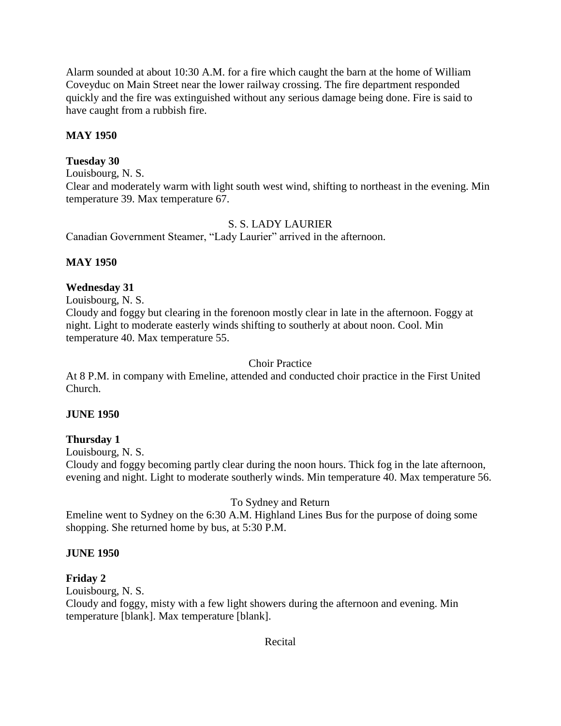Alarm sounded at about 10:30 A.M. for a fire which caught the barn at the home of William Coveyduc on Main Street near the lower railway crossing. The fire department responded quickly and the fire was extinguished without any serious damage being done. Fire is said to have caught from a rubbish fire.

## **MAY 1950**

#### **Tuesday 30**

Louisbourg, N. S.

Clear and moderately warm with light south west wind, shifting to northeast in the evening. Min temperature 39. Max temperature 67.

#### S. S. LADY LAURIER

Canadian Government Steamer, "Lady Laurier" arrived in the afternoon.

## **MAY 1950**

#### **Wednesday 31**

Louisbourg, N. S.

Cloudy and foggy but clearing in the forenoon mostly clear in late in the afternoon. Foggy at night. Light to moderate easterly winds shifting to southerly at about noon. Cool. Min temperature 40. Max temperature 55.

#### Choir Practice

At 8 P.M. in company with Emeline, attended and conducted choir practice in the First United Church.

#### **JUNE 1950**

#### **Thursday 1**

Louisbourg, N. S.

Cloudy and foggy becoming partly clear during the noon hours. Thick fog in the late afternoon, evening and night. Light to moderate southerly winds. Min temperature 40. Max temperature 56.

## To Sydney and Return

Emeline went to Sydney on the 6:30 A.M. Highland Lines Bus for the purpose of doing some shopping. She returned home by bus, at 5:30 P.M.

#### **JUNE 1950**

#### **Friday 2**

Louisbourg, N. S.

Cloudy and foggy, misty with a few light showers during the afternoon and evening. Min temperature [blank]. Max temperature [blank].

#### Recital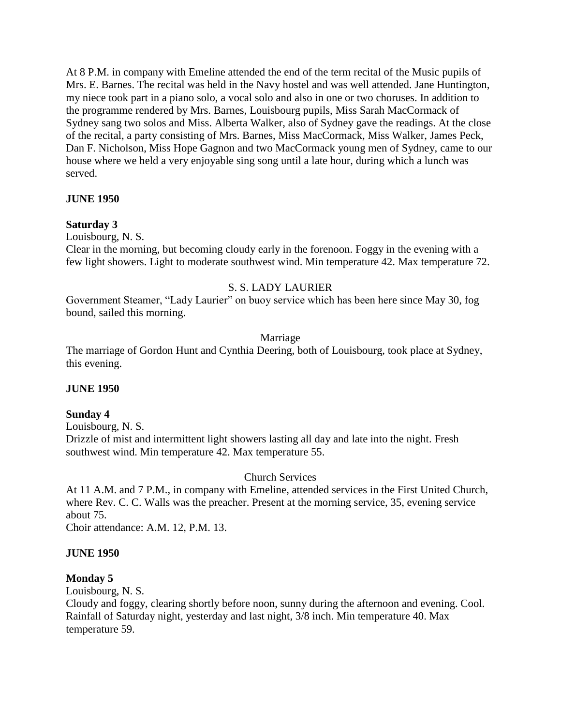At 8 P.M. in company with Emeline attended the end of the term recital of the Music pupils of Mrs. E. Barnes. The recital was held in the Navy hostel and was well attended. Jane Huntington, my niece took part in a piano solo, a vocal solo and also in one or two choruses. In addition to the programme rendered by Mrs. Barnes, Louisbourg pupils, Miss Sarah MacCormack of Sydney sang two solos and Miss. Alberta Walker, also of Sydney gave the readings. At the close of the recital, a party consisting of Mrs. Barnes, Miss MacCormack, Miss Walker, James Peck, Dan F. Nicholson, Miss Hope Gagnon and two MacCormack young men of Sydney, came to our house where we held a very enjoyable sing song until a late hour, during which a lunch was served.

#### **JUNE 1950**

#### **Saturday 3**

Louisbourg, N. S.

Clear in the morning, but becoming cloudy early in the forenoon. Foggy in the evening with a few light showers. Light to moderate southwest wind. Min temperature 42. Max temperature 72.

#### S. S. LADY LAURIER

Government Steamer, "Lady Laurier" on buoy service which has been here since May 30, fog bound, sailed this morning.

#### Marriage

The marriage of Gordon Hunt and Cynthia Deering, both of Louisbourg, took place at Sydney, this evening.

#### **JUNE 1950**

#### **Sunday 4**

Louisbourg, N. S.

Drizzle of mist and intermittent light showers lasting all day and late into the night. Fresh southwest wind. Min temperature 42. Max temperature 55.

#### Church Services

At 11 A.M. and 7 P.M., in company with Emeline, attended services in the First United Church, where Rev. C. C. Walls was the preacher. Present at the morning service, 35, evening service about 75.

Choir attendance: A.M. 12, P.M. 13.

#### **JUNE 1950**

#### **Monday 5**

Louisbourg, N. S.

Cloudy and foggy, clearing shortly before noon, sunny during the afternoon and evening. Cool. Rainfall of Saturday night, yesterday and last night, 3/8 inch. Min temperature 40. Max temperature 59.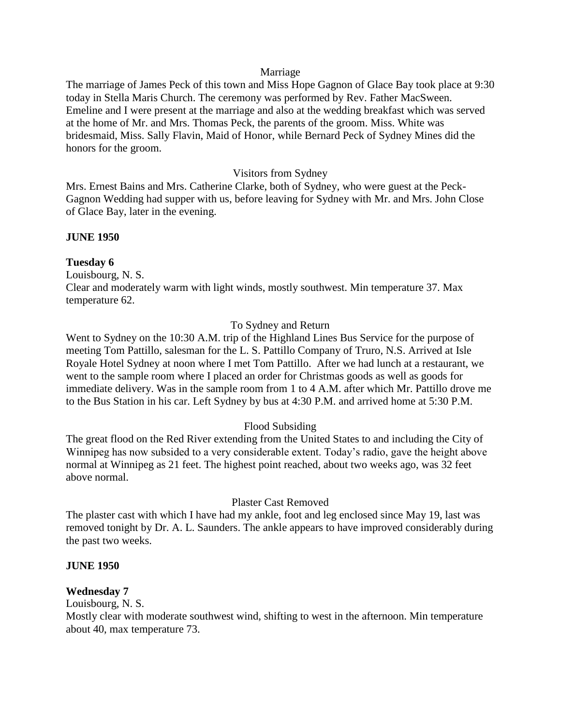#### Marriage

The marriage of James Peck of this town and Miss Hope Gagnon of Glace Bay took place at 9:30 today in Stella Maris Church. The ceremony was performed by Rev. Father MacSween. Emeline and I were present at the marriage and also at the wedding breakfast which was served at the home of Mr. and Mrs. Thomas Peck, the parents of the groom. Miss. White was bridesmaid, Miss. Sally Flavin, Maid of Honor, while Bernard Peck of Sydney Mines did the honors for the groom.

#### Visitors from Sydney

Mrs. Ernest Bains and Mrs. Catherine Clarke, both of Sydney, who were guest at the Peck-Gagnon Wedding had supper with us, before leaving for Sydney with Mr. and Mrs. John Close of Glace Bay, later in the evening.

#### **JUNE 1950**

#### **Tuesday 6**

Louisbourg, N. S. Clear and moderately warm with light winds, mostly southwest. Min temperature 37. Max temperature 62.

#### To Sydney and Return

Went to Sydney on the 10:30 A.M. trip of the Highland Lines Bus Service for the purpose of meeting Tom Pattillo, salesman for the L. S. Pattillo Company of Truro, N.S. Arrived at Isle Royale Hotel Sydney at noon where I met Tom Pattillo. After we had lunch at a restaurant, we went to the sample room where I placed an order for Christmas goods as well as goods for immediate delivery. Was in the sample room from 1 to 4 A.M. after which Mr. Pattillo drove me to the Bus Station in his car. Left Sydney by bus at 4:30 P.M. and arrived home at 5:30 P.M.

## Flood Subsiding

The great flood on the Red River extending from the United States to and including the City of Winnipeg has now subsided to a very considerable extent. Today's radio, gave the height above normal at Winnipeg as 21 feet. The highest point reached, about two weeks ago, was 32 feet above normal.

#### Plaster Cast Removed

The plaster cast with which I have had my ankle, foot and leg enclosed since May 19, last was removed tonight by Dr. A. L. Saunders. The ankle appears to have improved considerably during the past two weeks.

#### **JUNE 1950**

#### **Wednesday 7**

Louisbourg, N. S.

Mostly clear with moderate southwest wind, shifting to west in the afternoon. Min temperature about 40, max temperature 73.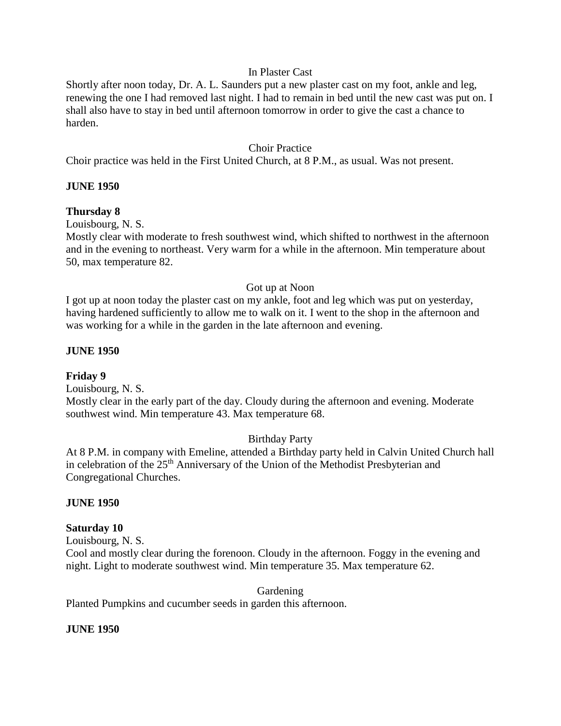#### In Plaster Cast

Shortly after noon today, Dr. A. L. Saunders put a new plaster cast on my foot, ankle and leg, renewing the one I had removed last night. I had to remain in bed until the new cast was put on. I shall also have to stay in bed until afternoon tomorrow in order to give the cast a chance to harden.

#### Choir Practice

Choir practice was held in the First United Church, at 8 P.M., as usual. Was not present.

#### **JUNE 1950**

#### **Thursday 8**

Louisbourg, N. S.

Mostly clear with moderate to fresh southwest wind, which shifted to northwest in the afternoon and in the evening to northeast. Very warm for a while in the afternoon. Min temperature about 50, max temperature 82.

#### Got up at Noon

I got up at noon today the plaster cast on my ankle, foot and leg which was put on yesterday, having hardened sufficiently to allow me to walk on it. I went to the shop in the afternoon and was working for a while in the garden in the late afternoon and evening.

#### **JUNE 1950**

#### **Friday 9**

Louisbourg, N. S. Mostly clear in the early part of the day. Cloudy during the afternoon and evening. Moderate

#### southwest wind. Min temperature 43. Max temperature 68.

#### Birthday Party

At 8 P.M. in company with Emeline, attended a Birthday party held in Calvin United Church hall in celebration of the 25<sup>th</sup> Anniversary of the Union of the Methodist Presbyterian and Congregational Churches.

#### **JUNE 1950**

#### **Saturday 10**

Louisbourg, N. S.

Cool and mostly clear during the forenoon. Cloudy in the afternoon. Foggy in the evening and night. Light to moderate southwest wind. Min temperature 35. Max temperature 62.

Gardening

Planted Pumpkins and cucumber seeds in garden this afternoon.

#### **JUNE 1950**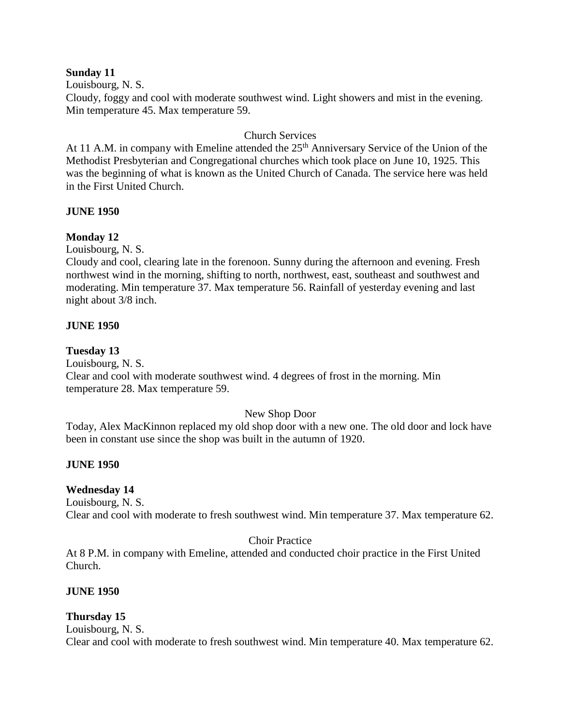#### **Sunday 11**

Louisbourg, N. S.

Cloudy, foggy and cool with moderate southwest wind. Light showers and mist in the evening. Min temperature 45. Max temperature 59.

## Church Services

At 11 A.M. in company with Emeline attended the  $25<sup>th</sup>$  Anniversary Service of the Union of the Methodist Presbyterian and Congregational churches which took place on June 10, 1925. This was the beginning of what is known as the United Church of Canada. The service here was held in the First United Church.

#### **JUNE 1950**

## **Monday 12**

Louisbourg, N. S.

Cloudy and cool, clearing late in the forenoon. Sunny during the afternoon and evening. Fresh northwest wind in the morning, shifting to north, northwest, east, southeast and southwest and moderating. Min temperature 37. Max temperature 56. Rainfall of yesterday evening and last night about 3/8 inch.

#### **JUNE 1950**

#### **Tuesday 13**

Louisbourg, N. S.

Clear and cool with moderate southwest wind. 4 degrees of frost in the morning. Min temperature 28. Max temperature 59.

#### New Shop Door

Today, Alex MacKinnon replaced my old shop door with a new one. The old door and lock have been in constant use since the shop was built in the autumn of 1920.

#### **JUNE 1950**

#### **Wednesday 14**

Louisbourg, N. S. Clear and cool with moderate to fresh southwest wind. Min temperature 37. Max temperature 62.

## Choir Practice

At 8 P.M. in company with Emeline, attended and conducted choir practice in the First United Church.

#### **JUNE 1950**

#### **Thursday 15**

Louisbourg, N. S. Clear and cool with moderate to fresh southwest wind. Min temperature 40. Max temperature 62.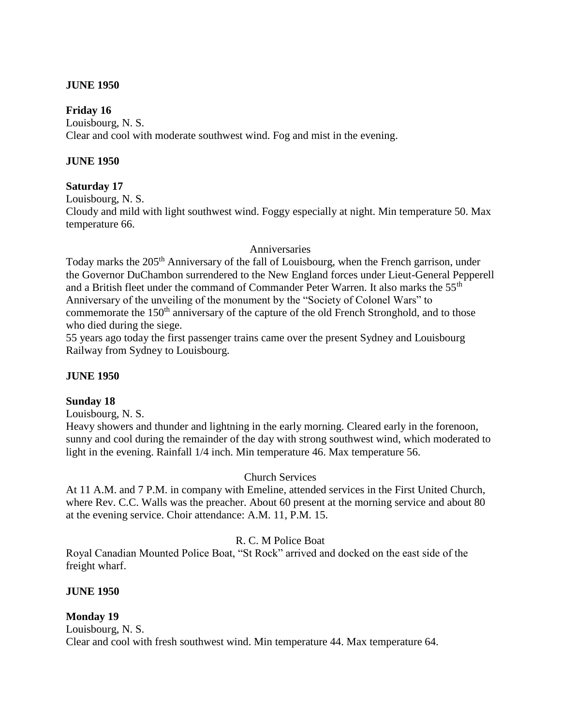#### **JUNE 1950**

#### **Friday 16**

Louisbourg, N. S. Clear and cool with moderate southwest wind. Fog and mist in the evening.

#### **JUNE 1950**

#### **Saturday 17**

Louisbourg, N. S.

Cloudy and mild with light southwest wind. Foggy especially at night. Min temperature 50. Max temperature 66.

#### Anniversaries

Today marks the 205<sup>th</sup> Anniversary of the fall of Louisbourg, when the French garrison, under the Governor DuChambon surrendered to the New England forces under Lieut-General Pepperell and a British fleet under the command of Commander Peter Warren. It also marks the 55<sup>th</sup> Anniversary of the unveiling of the monument by the "Society of Colonel Wars" to commemorate the 150<sup>th</sup> anniversary of the capture of the old French Stronghold, and to those who died during the siege.

55 years ago today the first passenger trains came over the present Sydney and Louisbourg Railway from Sydney to Louisbourg.

#### **JUNE 1950**

## **Sunday 18**

Louisbourg, N. S.

Heavy showers and thunder and lightning in the early morning. Cleared early in the forenoon, sunny and cool during the remainder of the day with strong southwest wind, which moderated to light in the evening. Rainfall 1/4 inch. Min temperature 46. Max temperature 56.

## Church Services

At 11 A.M. and 7 P.M. in company with Emeline, attended services in the First United Church, where Rev. C.C. Walls was the preacher. About 60 present at the morning service and about 80 at the evening service. Choir attendance: A.M. 11, P.M. 15.

## R. C. M Police Boat

Royal Canadian Mounted Police Boat, "St Rock" arrived and docked on the east side of the freight wharf.

#### **JUNE 1950**

## **Monday 19**

Louisbourg, N. S. Clear and cool with fresh southwest wind. Min temperature 44. Max temperature 64.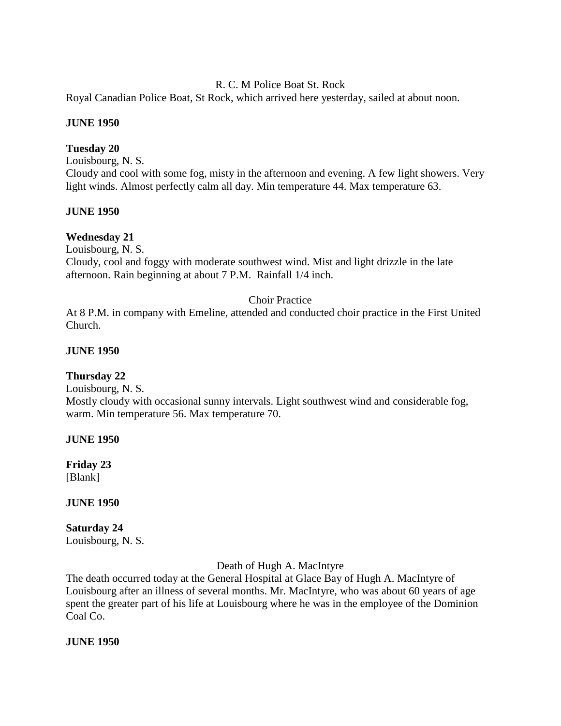#### R. C. M Police Boat St. Rock

Royal Canadian Police Boat, St Rock, which arrived here yesterday, sailed at about noon.

#### **JUNE 1950**

#### **Tuesday 20**

Louisbourg, N. S. Cloudy and cool with some fog, misty in the afternoon and evening. A few light showers. Very light winds. Almost perfectly calm all day. Min temperature 44. Max temperature 63.

#### **JUNE 1950**

#### **Wednesday 21**

Louisbourg, N. S.

Cloudy, cool and foggy with moderate southwest wind. Mist and light drizzle in the late afternoon. Rain beginning at about 7 P.M. Rainfall 1/4 inch.

#### Choir Practice

At 8 P.M. in company with Emeline, attended and conducted choir practice in the First United Church.

#### **JUNE 1950**

#### **Thursday 22**

Louisbourg, N. S.

Mostly cloudy with occasional sunny intervals. Light southwest wind and considerable fog, warm. Min temperature 56. Max temperature 70.

#### **JUNE 1950**

**Friday 23** [Blank]

#### **JUNE 1950**

# **Saturday 24**

Louisbourg, N. S.

Death of Hugh A. MacIntyre

The death occurred today at the General Hospital at Glace Bay of Hugh A. MacIntyre of Louisbourg after an illness of several months. Mr. MacIntyre, who was about 60 years of age spent the greater part of his life at Louisbourg where he was in the employee of the Dominion Coal Co.

#### **JUNE 1950**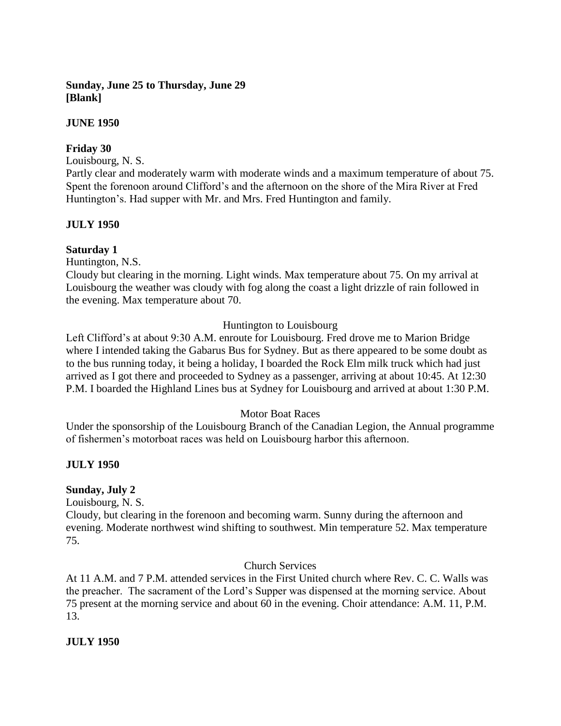## **Sunday, June 25 to Thursday, June 29 [Blank]**

#### **JUNE 1950**

#### **Friday 30**

Louisbourg, N. S.

Partly clear and moderately warm with moderate winds and a maximum temperature of about 75. Spent the forenoon around Clifford's and the afternoon on the shore of the Mira River at Fred Huntington's. Had supper with Mr. and Mrs. Fred Huntington and family.

#### **JULY 1950**

#### **Saturday 1**

Huntington, N.S.

Cloudy but clearing in the morning. Light winds. Max temperature about 75. On my arrival at Louisbourg the weather was cloudy with fog along the coast a light drizzle of rain followed in the evening. Max temperature about 70.

## Huntington to Louisbourg

Left Clifford's at about 9:30 A.M. enroute for Louisbourg. Fred drove me to Marion Bridge where I intended taking the Gabarus Bus for Sydney. But as there appeared to be some doubt as to the bus running today, it being a holiday, I boarded the Rock Elm milk truck which had just arrived as I got there and proceeded to Sydney as a passenger, arriving at about 10:45. At 12:30 P.M. I boarded the Highland Lines bus at Sydney for Louisbourg and arrived at about 1:30 P.M.

#### Motor Boat Races

Under the sponsorship of the Louisbourg Branch of the Canadian Legion, the Annual programme of fishermen's motorboat races was held on Louisbourg harbor this afternoon.

## **JULY 1950**

#### **Sunday, July 2**

Louisbourg, N. S.

Cloudy, but clearing in the forenoon and becoming warm. Sunny during the afternoon and evening. Moderate northwest wind shifting to southwest. Min temperature 52. Max temperature 75.

#### Church Services

At 11 A.M. and 7 P.M. attended services in the First United church where Rev. C. C. Walls was the preacher. The sacrament of the Lord's Supper was dispensed at the morning service. About 75 present at the morning service and about 60 in the evening. Choir attendance: A.M. 11, P.M. 13.

**JULY 1950**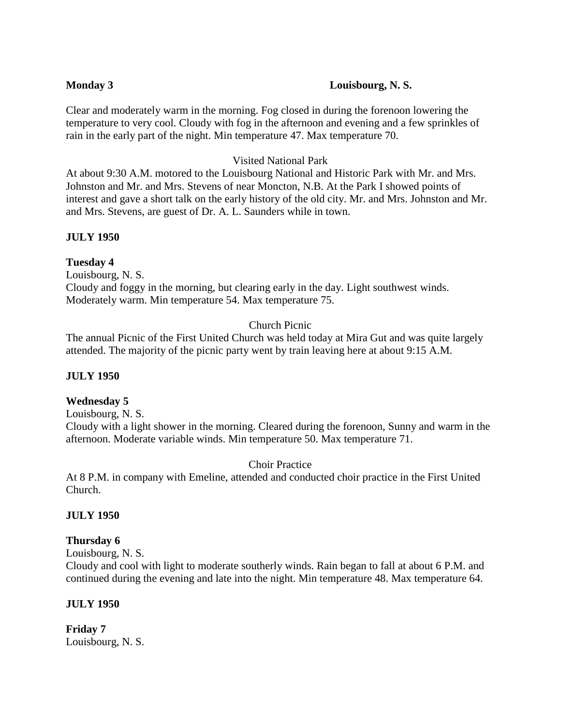#### **Monday 3 Louisbourg, N. S.**

Clear and moderately warm in the morning. Fog closed in during the forenoon lowering the temperature to very cool. Cloudy with fog in the afternoon and evening and a few sprinkles of rain in the early part of the night. Min temperature 47. Max temperature 70.

#### Visited National Park

At about 9:30 A.M. motored to the Louisbourg National and Historic Park with Mr. and Mrs. Johnston and Mr. and Mrs. Stevens of near Moncton, N.B. At the Park I showed points of interest and gave a short talk on the early history of the old city. Mr. and Mrs. Johnston and Mr. and Mrs. Stevens, are guest of Dr. A. L. Saunders while in town.

#### **JULY 1950**

#### **Tuesday 4**

Louisbourg, N. S. Cloudy and foggy in the morning, but clearing early in the day. Light southwest winds. Moderately warm. Min temperature 54. Max temperature 75.

## Church Picnic

The annual Picnic of the First United Church was held today at Mira Gut and was quite largely attended. The majority of the picnic party went by train leaving here at about 9:15 A.M.

#### **JULY 1950**

## **Wednesday 5**

Louisbourg, N. S. Cloudy with a light shower in the morning. Cleared during the forenoon, Sunny and warm in the afternoon. Moderate variable winds. Min temperature 50. Max temperature 71.

Choir Practice

At 8 P.M. in company with Emeline, attended and conducted choir practice in the First United Church.

#### **JULY 1950**

- **Thursday 6**
- Louisbourg, N. S.

Cloudy and cool with light to moderate southerly winds. Rain began to fall at about 6 P.M. and continued during the evening and late into the night. Min temperature 48. Max temperature 64.

#### **JULY 1950**

**Friday 7** Louisbourg, N. S.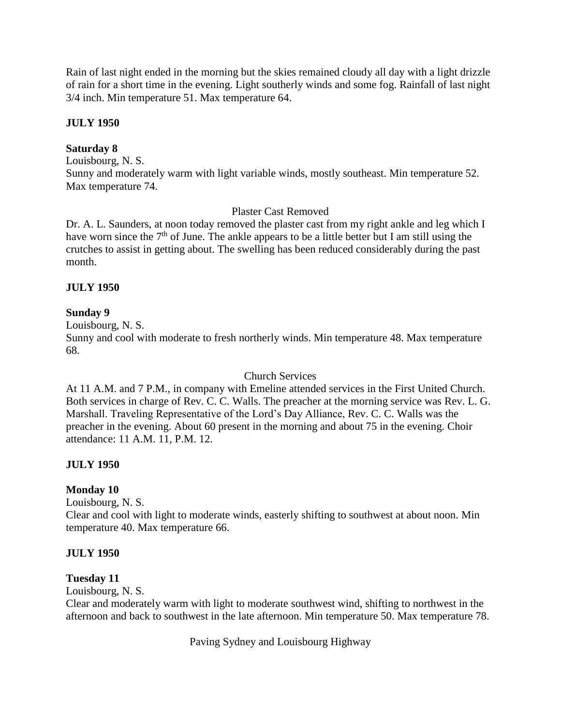Rain of last night ended in the morning but the skies remained cloudy all day with a light drizzle of rain for a short time in the evening. Light southerly winds and some fog. Rainfall of last night 3/4 inch. Min temperature 51. Max temperature 64.

# **JULY 1950**

# **Saturday 8**

Louisbourg, N. S. Sunny and moderately warm with light variable winds, mostly southeast. Min temperature 52. Max temperature 74.

# Plaster Cast Removed

Dr. A. L. Saunders, at noon today removed the plaster cast from my right ankle and leg which I have worn since the  $7<sup>th</sup>$  of June. The ankle appears to be a little better but I am still using the crutches to assist in getting about. The swelling has been reduced considerably during the past month.

### **JULY 1950**

### **Sunday 9**

Louisbourg, N. S.

Sunny and cool with moderate to fresh northerly winds. Min temperature 48. Max temperature 68.

### Church Services

At 11 A.M. and 7 P.M., in company with Emeline attended services in the First United Church. Both services in charge of Rev. C. C. Walls. The preacher at the morning service was Rev. L. G. Marshall. Traveling Representative of the Lord's Day Alliance, Rev. C. C. Walls was the preacher in the evening. About 60 present in the morning and about 75 in the evening. Choir attendance: 11 A.M. 11, P.M. 12.

# **JULY 1950**

### **Monday 10**

Louisbourg, N. S.

Clear and cool with light to moderate winds, easterly shifting to southwest at about noon. Min temperature 40. Max temperature 66.

### **JULY 1950**

### **Tuesday 11**

Louisbourg, N. S.

Clear and moderately warm with light to moderate southwest wind, shifting to northwest in the afternoon and back to southwest in the late afternoon. Min temperature 50. Max temperature 78.

Paving Sydney and Louisbourg Highway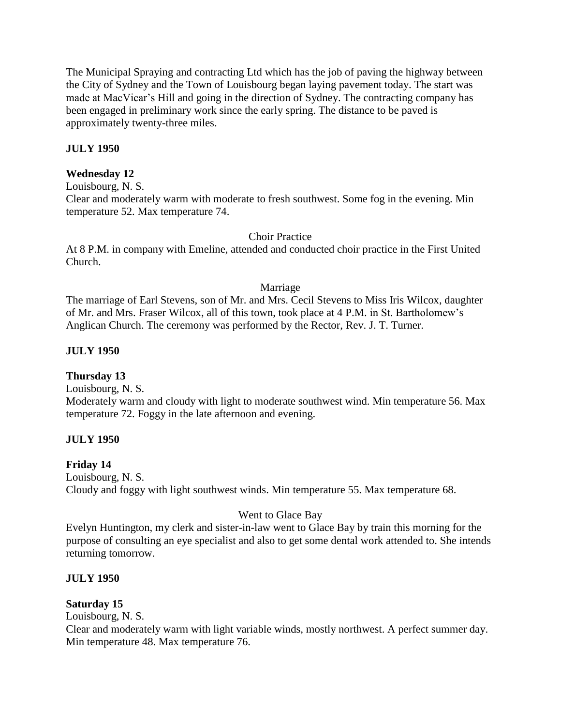The Municipal Spraying and contracting Ltd which has the job of paving the highway between the City of Sydney and the Town of Louisbourg began laying pavement today. The start was made at MacVicar's Hill and going in the direction of Sydney. The contracting company has been engaged in preliminary work since the early spring. The distance to be paved is approximately twenty-three miles.

# **JULY 1950**

### **Wednesday 12**

Louisbourg, N. S.

Clear and moderately warm with moderate to fresh southwest. Some fog in the evening. Min temperature 52. Max temperature 74.

### Choir Practice

At 8 P.M. in company with Emeline, attended and conducted choir practice in the First United Church.

#### Marriage

The marriage of Earl Stevens, son of Mr. and Mrs. Cecil Stevens to Miss Iris Wilcox, daughter of Mr. and Mrs. Fraser Wilcox, all of this town, took place at 4 P.M. in St. Bartholomew's Anglican Church. The ceremony was performed by the Rector, Rev. J. T. Turner.

# **JULY 1950**

### **Thursday 13**

Louisbourg, N. S. Moderately warm and cloudy with light to moderate southwest wind. Min temperature 56. Max temperature 72. Foggy in the late afternoon and evening.

### **JULY 1950**

### **Friday 14**

Louisbourg, N. S. Cloudy and foggy with light southwest winds. Min temperature 55. Max temperature 68.

### Went to Glace Bay

Evelyn Huntington, my clerk and sister-in-law went to Glace Bay by train this morning for the purpose of consulting an eye specialist and also to get some dental work attended to. She intends returning tomorrow.

### **JULY 1950**

# **Saturday 15**

Louisbourg, N. S.

Clear and moderately warm with light variable winds, mostly northwest. A perfect summer day. Min temperature 48. Max temperature 76.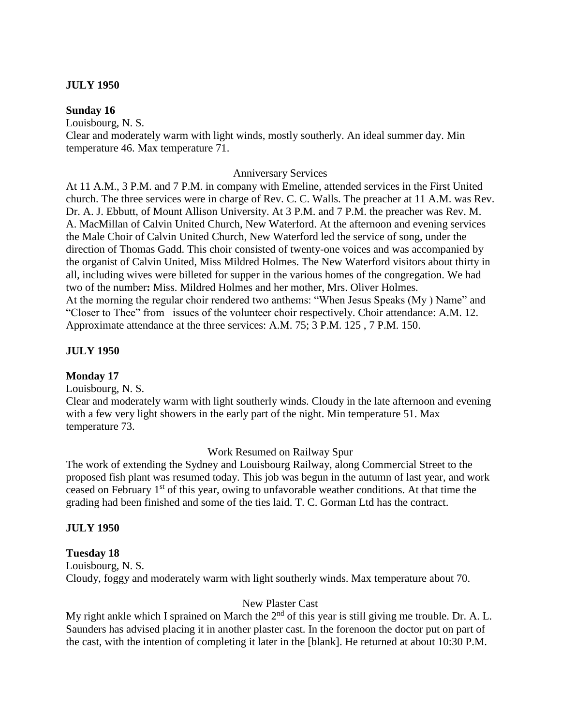#### **JULY 1950**

#### **Sunday 16**

Louisbourg, N. S.

Clear and moderately warm with light winds, mostly southerly. An ideal summer day. Min temperature 46. Max temperature 71.

#### Anniversary Services

At 11 A.M., 3 P.M. and 7 P.M. in company with Emeline, attended services in the First United church. The three services were in charge of Rev. C. C. Walls. The preacher at 11 A.M. was Rev. Dr. A. J. Ebbutt, of Mount Allison University. At 3 P.M. and 7 P.M. the preacher was Rev. M. A. MacMillan of Calvin United Church, New Waterford. At the afternoon and evening services the Male Choir of Calvin United Church, New Waterford led the service of song, under the direction of Thomas Gadd. This choir consisted of twenty-one voices and was accompanied by the organist of Calvin United, Miss Mildred Holmes. The New Waterford visitors about thirty in all, including wives were billeted for supper in the various homes of the congregation. We had two of the number**:** Miss. Mildred Holmes and her mother, Mrs. Oliver Holmes. At the morning the regular choir rendered two anthems: "When Jesus Speaks (My ) Name" and "Closer to Thee" from issues of the volunteer choir respectively. Choir attendance: A.M. 12. Approximate attendance at the three services: A.M. 75; 3 P.M. 125 , 7 P.M. 150.

#### **JULY 1950**

#### **Monday 17**

Louisbourg, N. S.

Clear and moderately warm with light southerly winds. Cloudy in the late afternoon and evening with a few very light showers in the early part of the night. Min temperature 51. Max temperature 73.

#### Work Resumed on Railway Spur

The work of extending the Sydney and Louisbourg Railway, along Commercial Street to the proposed fish plant was resumed today. This job was begun in the autumn of last year, and work ceased on February 1st of this year, owing to unfavorable weather conditions. At that time the grading had been finished and some of the ties laid. T. C. Gorman Ltd has the contract.

#### **JULY 1950**

#### **Tuesday 18**

Louisbourg, N. S. Cloudy, foggy and moderately warm with light southerly winds. Max temperature about 70.

#### New Plaster Cast

My right ankle which I sprained on March the  $2<sup>nd</sup>$  of this year is still giving me trouble. Dr. A. L. Saunders has advised placing it in another plaster cast. In the forenoon the doctor put on part of the cast, with the intention of completing it later in the [blank]. He returned at about 10:30 P.M.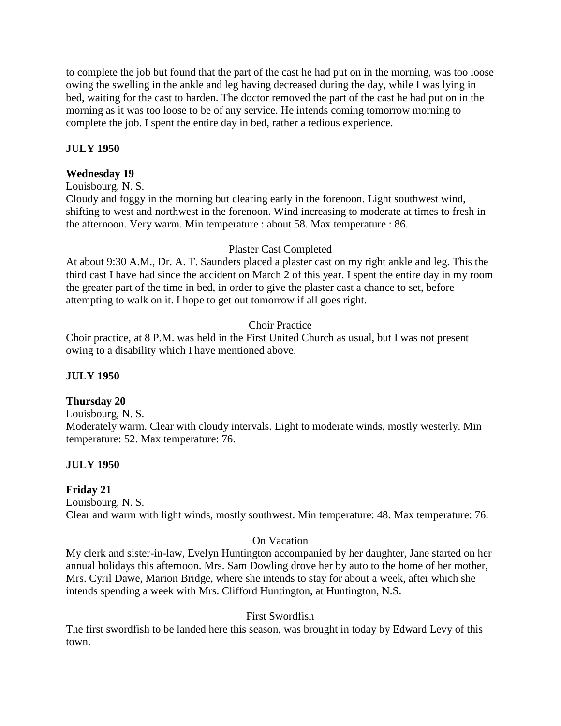to complete the job but found that the part of the cast he had put on in the morning, was too loose owing the swelling in the ankle and leg having decreased during the day, while I was lying in bed, waiting for the cast to harden. The doctor removed the part of the cast he had put on in the morning as it was too loose to be of any service. He intends coming tomorrow morning to complete the job. I spent the entire day in bed, rather a tedious experience.

# **JULY 1950**

# **Wednesday 19**

Louisbourg, N. S.

Cloudy and foggy in the morning but clearing early in the forenoon. Light southwest wind, shifting to west and northwest in the forenoon. Wind increasing to moderate at times to fresh in the afternoon. Very warm. Min temperature : about 58. Max temperature : 86.

# Plaster Cast Completed

At about 9:30 A.M., Dr. A. T. Saunders placed a plaster cast on my right ankle and leg. This the third cast I have had since the accident on March 2 of this year. I spent the entire day in my room the greater part of the time in bed, in order to give the plaster cast a chance to set, before attempting to walk on it. I hope to get out tomorrow if all goes right.

# Choir Practice

Choir practice, at 8 P.M. was held in the First United Church as usual, but I was not present owing to a disability which I have mentioned above.

# **JULY 1950**

# **Thursday 20**

Louisbourg, N. S. Moderately warm. Clear with cloudy intervals. Light to moderate winds, mostly westerly. Min temperature: 52. Max temperature: 76.

# **JULY 1950**

# **Friday 21**

Louisbourg, N. S. Clear and warm with light winds, mostly southwest. Min temperature: 48. Max temperature: 76.

# On Vacation

My clerk and sister-in-law, Evelyn Huntington accompanied by her daughter, Jane started on her annual holidays this afternoon. Mrs. Sam Dowling drove her by auto to the home of her mother, Mrs. Cyril Dawe, Marion Bridge, where she intends to stay for about a week, after which she intends spending a week with Mrs. Clifford Huntington, at Huntington, N.S.

# First Swordfish

The first swordfish to be landed here this season, was brought in today by Edward Levy of this town.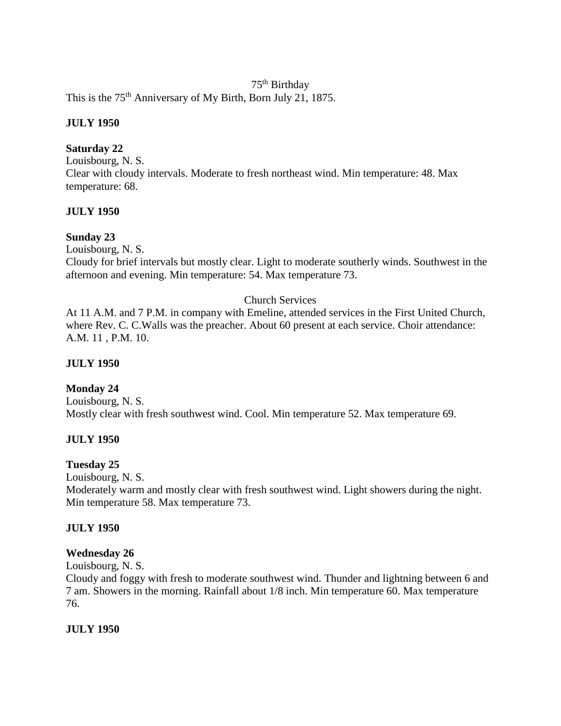### 75th Birthday

This is the 75<sup>th</sup> Anniversary of My Birth, Born July 21, 1875.

# **JULY 1950**

# **Saturday 22**

Louisbourg, N. S. Clear with cloudy intervals. Moderate to fresh northeast wind. Min temperature: 48. Max temperature: 68.

# **JULY 1950**

# **Sunday 23**

Louisbourg, N. S.

Cloudy for brief intervals but mostly clear. Light to moderate southerly winds. Southwest in the afternoon and evening. Min temperature: 54. Max temperature 73.

# Church Services

At 11 A.M. and 7 P.M. in company with Emeline, attended services in the First United Church, where Rev. C. C. Walls was the preacher. About 60 present at each service. Choir attendance: A.M. 11 , P.M. 10.

# **JULY 1950**

# **Monday 24**

Louisbourg, N. S. Mostly clear with fresh southwest wind. Cool. Min temperature 52. Max temperature 69.

### **JULY 1950**

### **Tuesday 25**

Louisbourg, N. S.

Moderately warm and mostly clear with fresh southwest wind. Light showers during the night. Min temperature 58. Max temperature 73.

### **JULY 1950**

### **Wednesday 26**

Louisbourg, N. S.

Cloudy and foggy with fresh to moderate southwest wind. Thunder and lightning between 6 and 7 am. Showers in the morning. Rainfall about 1/8 inch. Min temperature 60. Max temperature 76.

### **JULY 1950**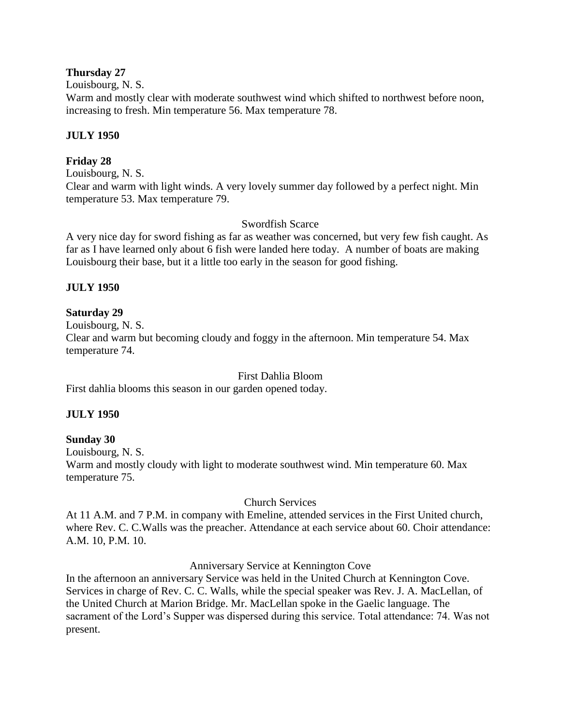### **Thursday 27**

Louisbourg, N. S.

Warm and mostly clear with moderate southwest wind which shifted to northwest before noon, increasing to fresh. Min temperature 56. Max temperature 78.

# **JULY 1950**

# **Friday 28**

Louisbourg, N. S. Clear and warm with light winds. A very lovely summer day followed by a perfect night. Min temperature 53. Max temperature 79.

# Swordfish Scarce

A very nice day for sword fishing as far as weather was concerned, but very few fish caught. As far as I have learned only about 6 fish were landed here today. A number of boats are making Louisbourg their base, but it a little too early in the season for good fishing.

# **JULY 1950**

# **Saturday 29**

Louisbourg, N. S.

Clear and warm but becoming cloudy and foggy in the afternoon. Min temperature 54. Max temperature 74.

### First Dahlia Bloom

First dahlia blooms this season in our garden opened today.

# **JULY 1950**

### **Sunday 30**

Louisbourg, N. S. Warm and mostly cloudy with light to moderate southwest wind. Min temperature 60. Max temperature 75.

### Church Services

At 11 A.M. and 7 P.M. in company with Emeline, attended services in the First United church, where Rev. C. C.Walls was the preacher. Attendance at each service about 60. Choir attendance: A.M. 10, P.M. 10.

### Anniversary Service at Kennington Cove

In the afternoon an anniversary Service was held in the United Church at Kennington Cove. Services in charge of Rev. C. C. Walls, while the special speaker was Rev. J. A. MacLellan, of the United Church at Marion Bridge. Mr. MacLellan spoke in the Gaelic language. The sacrament of the Lord's Supper was dispersed during this service. Total attendance: 74. Was not present.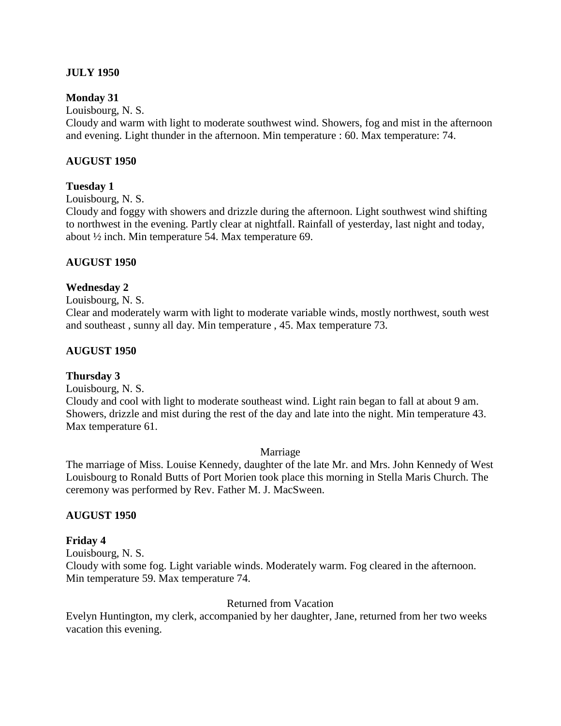### **JULY 1950**

### **Monday 31**

Louisbourg, N. S.

Cloudy and warm with light to moderate southwest wind. Showers, fog and mist in the afternoon and evening. Light thunder in the afternoon. Min temperature : 60. Max temperature: 74.

#### **AUGUST 1950**

#### **Tuesday 1**

Louisbourg, N. S.

Cloudy and foggy with showers and drizzle during the afternoon. Light southwest wind shifting to northwest in the evening. Partly clear at nightfall. Rainfall of yesterday, last night and today, about ½ inch. Min temperature 54. Max temperature 69.

### **AUGUST 1950**

#### **Wednesday 2**

Louisbourg, N. S.

Clear and moderately warm with light to moderate variable winds, mostly northwest, south west and southeast , sunny all day. Min temperature , 45. Max temperature 73.

#### **AUGUST 1950**

#### **Thursday 3**

Louisbourg, N. S.

Cloudy and cool with light to moderate southeast wind. Light rain began to fall at about 9 am. Showers, drizzle and mist during the rest of the day and late into the night. Min temperature 43. Max temperature 61.

Marriage

The marriage of Miss. Louise Kennedy, daughter of the late Mr. and Mrs. John Kennedy of West Louisbourg to Ronald Butts of Port Morien took place this morning in Stella Maris Church. The ceremony was performed by Rev. Father M. J. MacSween.

#### **AUGUST 1950**

#### **Friday 4**

Louisbourg, N. S.

Cloudy with some fog. Light variable winds. Moderately warm. Fog cleared in the afternoon. Min temperature 59. Max temperature 74.

#### Returned from Vacation

Evelyn Huntington, my clerk, accompanied by her daughter, Jane, returned from her two weeks vacation this evening.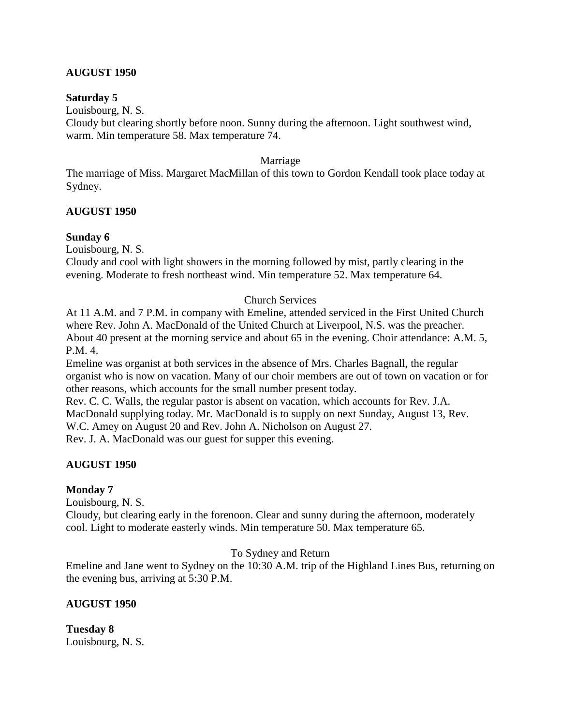# **AUGUST 1950**

#### **Saturday 5**

Louisbourg, N. S.

Cloudy but clearing shortly before noon. Sunny during the afternoon. Light southwest wind, warm. Min temperature 58. Max temperature 74.

### Marriage

The marriage of Miss. Margaret MacMillan of this town to Gordon Kendall took place today at Sydney.

### **AUGUST 1950**

### **Sunday 6**

Louisbourg, N. S.

Cloudy and cool with light showers in the morning followed by mist, partly clearing in the evening. Moderate to fresh northeast wind. Min temperature 52. Max temperature 64.

### Church Services

At 11 A.M. and 7 P.M. in company with Emeline, attended serviced in the First United Church where Rev. John A. MacDonald of the United Church at Liverpool, N.S. was the preacher. About 40 present at the morning service and about 65 in the evening. Choir attendance: A.M. 5, P.M. 4.

Emeline was organist at both services in the absence of Mrs. Charles Bagnall, the regular organist who is now on vacation. Many of our choir members are out of town on vacation or for other reasons, which accounts for the small number present today.

Rev. C. C. Walls, the regular pastor is absent on vacation, which accounts for Rev. J.A. MacDonald supplying today. Mr. MacDonald is to supply on next Sunday, August 13, Rev. W.C. Amey on August 20 and Rev. John A. Nicholson on August 27. Rev. J. A. MacDonald was our guest for supper this evening.

### **AUGUST 1950**

#### **Monday 7**

Louisbourg, N. S.

Cloudy, but clearing early in the forenoon. Clear and sunny during the afternoon, moderately cool. Light to moderate easterly winds. Min temperature 50. Max temperature 65.

To Sydney and Return

Emeline and Jane went to Sydney on the 10:30 A.M. trip of the Highland Lines Bus, returning on the evening bus, arriving at 5:30 P.M.

### **AUGUST 1950**

**Tuesday 8** Louisbourg, N. S.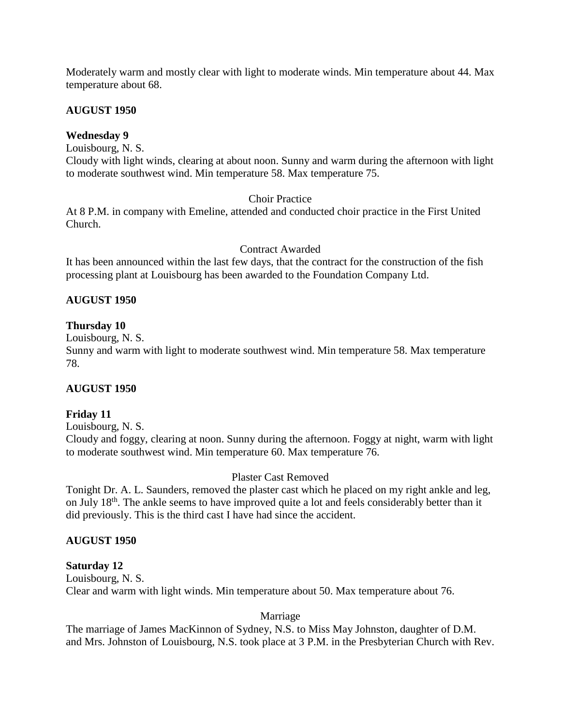Moderately warm and mostly clear with light to moderate winds. Min temperature about 44. Max temperature about 68.

# **AUGUST 1950**

# **Wednesday 9**

Louisbourg, N. S.

Cloudy with light winds, clearing at about noon. Sunny and warm during the afternoon with light to moderate southwest wind. Min temperature 58. Max temperature 75.

# Choir Practice

At 8 P.M. in company with Emeline, attended and conducted choir practice in the First United Church.

# Contract Awarded

It has been announced within the last few days, that the contract for the construction of the fish processing plant at Louisbourg has been awarded to the Foundation Company Ltd.

# **AUGUST 1950**

# **Thursday 10**

Louisbourg, N. S.

Sunny and warm with light to moderate southwest wind. Min temperature 58. Max temperature 78.

### **AUGUST 1950**

# **Friday 11**

Louisbourg, N. S.

Cloudy and foggy, clearing at noon. Sunny during the afternoon. Foggy at night, warm with light to moderate southwest wind. Min temperature 60. Max temperature 76.

# Plaster Cast Removed

Tonight Dr. A. L. Saunders, removed the plaster cast which he placed on my right ankle and leg, on July 18<sup>th</sup>. The ankle seems to have improved quite a lot and feels considerably better than it did previously. This is the third cast I have had since the accident.

### **AUGUST 1950**

### **Saturday 12**

Louisbourg, N. S. Clear and warm with light winds. Min temperature about 50. Max temperature about 76.

### Marriage

The marriage of James MacKinnon of Sydney, N.S. to Miss May Johnston, daughter of D.M. and Mrs. Johnston of Louisbourg, N.S. took place at 3 P.M. in the Presbyterian Church with Rev.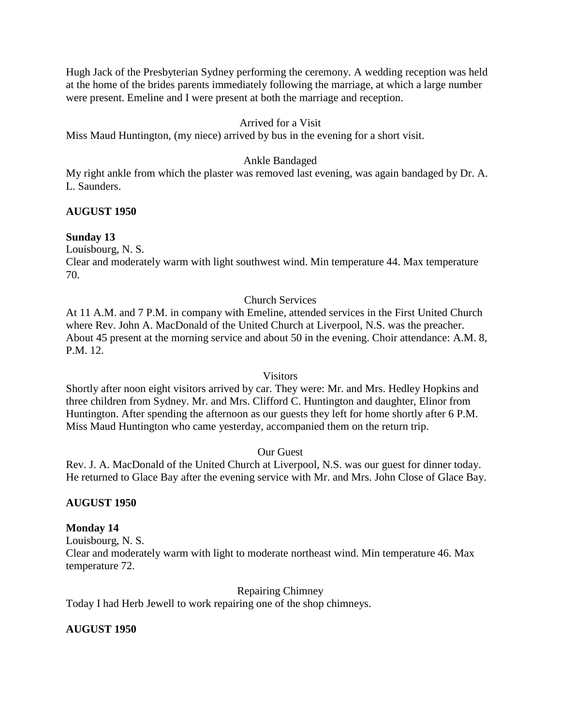Hugh Jack of the Presbyterian Sydney performing the ceremony. A wedding reception was held at the home of the brides parents immediately following the marriage, at which a large number were present. Emeline and I were present at both the marriage and reception.

# Arrived for a Visit

Miss Maud Huntington, (my niece) arrived by bus in the evening for a short visit.

# Ankle Bandaged

My right ankle from which the plaster was removed last evening, was again bandaged by Dr. A. L. Saunders.

### **AUGUST 1950**

# **Sunday 13**

Louisbourg, N. S.

Clear and moderately warm with light southwest wind. Min temperature 44. Max temperature 70.

### Church Services

At 11 A.M. and 7 P.M. in company with Emeline, attended services in the First United Church where Rev. John A. MacDonald of the United Church at Liverpool, N.S. was the preacher. About 45 present at the morning service and about 50 in the evening. Choir attendance: A.M. 8, P.M. 12.

### Visitors

Shortly after noon eight visitors arrived by car. They were: Mr. and Mrs. Hedley Hopkins and three children from Sydney. Mr. and Mrs. Clifford C. Huntington and daughter, Elinor from Huntington. After spending the afternoon as our guests they left for home shortly after 6 P.M. Miss Maud Huntington who came yesterday, accompanied them on the return trip.

### Our Guest

Rev. J. A. MacDonald of the United Church at Liverpool, N.S. was our guest for dinner today. He returned to Glace Bay after the evening service with Mr. and Mrs. John Close of Glace Bay.

### **AUGUST 1950**

### **Monday 14**

Louisbourg, N. S. Clear and moderately warm with light to moderate northeast wind. Min temperature 46. Max temperature 72.

Repairing Chimney

Today I had Herb Jewell to work repairing one of the shop chimneys.

# **AUGUST 1950**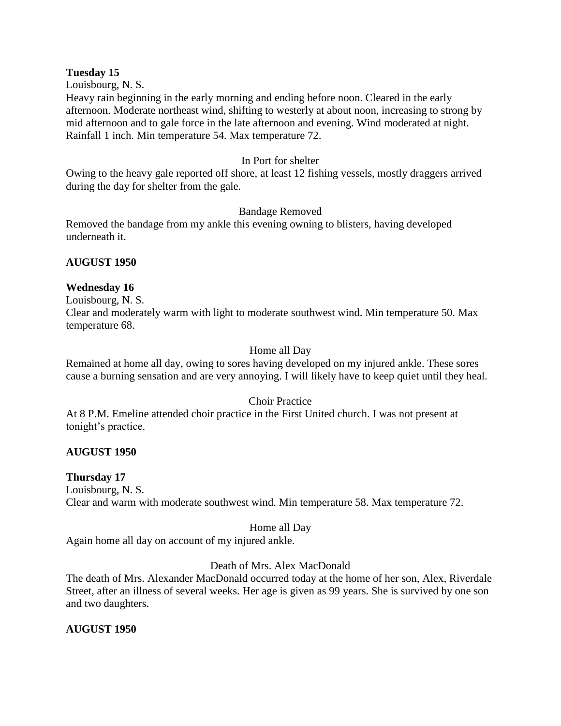#### **Tuesday 15**

Louisbourg, N. S.

Heavy rain beginning in the early morning and ending before noon. Cleared in the early afternoon. Moderate northeast wind, shifting to westerly at about noon, increasing to strong by mid afternoon and to gale force in the late afternoon and evening. Wind moderated at night. Rainfall 1 inch. Min temperature 54. Max temperature 72.

### In Port for shelter

Owing to the heavy gale reported off shore, at least 12 fishing vessels, mostly draggers arrived during the day for shelter from the gale.

# Bandage Removed

Removed the bandage from my ankle this evening owning to blisters, having developed underneath it.

# **AUGUST 1950**

# **Wednesday 16**

Louisbourg, N. S.

Clear and moderately warm with light to moderate southwest wind. Min temperature 50. Max temperature 68.

# Home all Day

Remained at home all day, owing to sores having developed on my injured ankle. These sores cause a burning sensation and are very annoying. I will likely have to keep quiet until they heal.

### Choir Practice

At 8 P.M. Emeline attended choir practice in the First United church. I was not present at tonight's practice.

### **AUGUST 1950**

### **Thursday 17**

Louisbourg, N. S. Clear and warm with moderate southwest wind. Min temperature 58. Max temperature 72.

### Home all Day

Again home all day on account of my injured ankle.

# Death of Mrs. Alex MacDonald

The death of Mrs. Alexander MacDonald occurred today at the home of her son, Alex, Riverdale Street, after an illness of several weeks. Her age is given as 99 years. She is survived by one son and two daughters.

# **AUGUST 1950**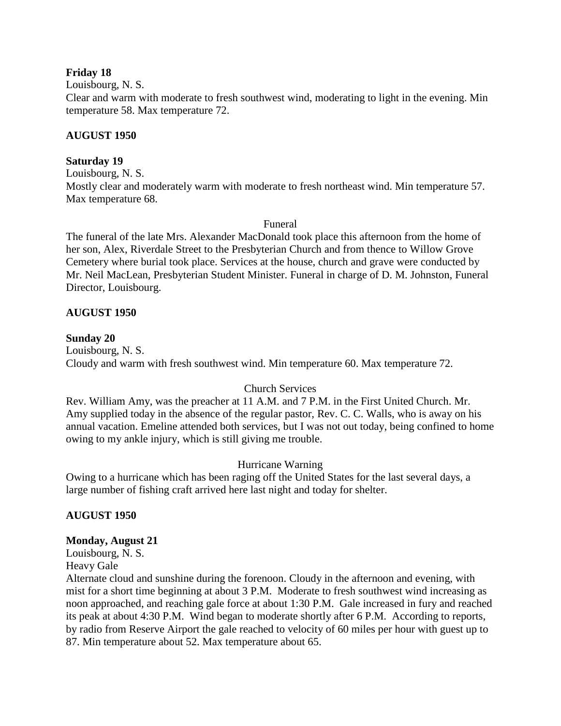### **Friday 18**

Louisbourg, N. S.

Clear and warm with moderate to fresh southwest wind, moderating to light in the evening. Min temperature 58. Max temperature 72.

### **AUGUST 1950**

#### **Saturday 19**

Louisbourg, N. S.

Mostly clear and moderately warm with moderate to fresh northeast wind. Min temperature 57. Max temperature 68.

#### Funeral

The funeral of the late Mrs. Alexander MacDonald took place this afternoon from the home of her son, Alex, Riverdale Street to the Presbyterian Church and from thence to Willow Grove Cemetery where burial took place. Services at the house, church and grave were conducted by Mr. Neil MacLean, Presbyterian Student Minister. Funeral in charge of D. M. Johnston, Funeral Director, Louisbourg.

### **AUGUST 1950**

#### **Sunday 20**

Louisbourg, N. S. Cloudy and warm with fresh southwest wind. Min temperature 60. Max temperature 72.

### Church Services

Rev. William Amy, was the preacher at 11 A.M. and 7 P.M. in the First United Church. Mr. Amy supplied today in the absence of the regular pastor, Rev. C. C. Walls, who is away on his annual vacation. Emeline attended both services, but I was not out today, being confined to home owing to my ankle injury, which is still giving me trouble.

### Hurricane Warning

Owing to a hurricane which has been raging off the United States for the last several days, a large number of fishing craft arrived here last night and today for shelter.

### **AUGUST 1950**

#### **Monday, August 21**

Louisbourg, N. S. Heavy Gale

Alternate cloud and sunshine during the forenoon. Cloudy in the afternoon and evening, with mist for a short time beginning at about 3 P.M. Moderate to fresh southwest wind increasing as noon approached, and reaching gale force at about 1:30 P.M. Gale increased in fury and reached its peak at about 4:30 P.M. Wind began to moderate shortly after 6 P.M. According to reports, by radio from Reserve Airport the gale reached to velocity of 60 miles per hour with guest up to 87. Min temperature about 52. Max temperature about 65.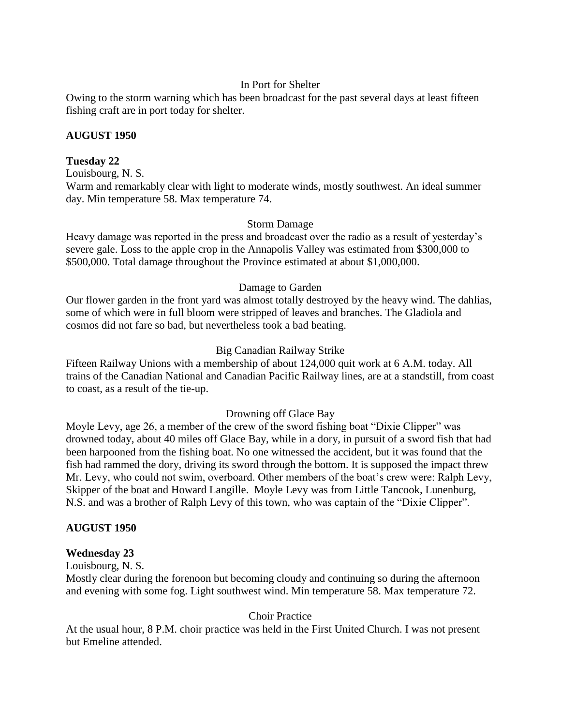### In Port for Shelter

Owing to the storm warning which has been broadcast for the past several days at least fifteen fishing craft are in port today for shelter.

### **AUGUST 1950**

# **Tuesday 22**

Louisbourg, N. S.

Warm and remarkably clear with light to moderate winds, mostly southwest. An ideal summer day. Min temperature 58. Max temperature 74.

# Storm Damage

Heavy damage was reported in the press and broadcast over the radio as a result of yesterday's severe gale. Loss to the apple crop in the Annapolis Valley was estimated from \$300,000 to \$500,000. Total damage throughout the Province estimated at about \$1,000,000.

# Damage to Garden

Our flower garden in the front yard was almost totally destroyed by the heavy wind. The dahlias, some of which were in full bloom were stripped of leaves and branches. The Gladiola and cosmos did not fare so bad, but nevertheless took a bad beating.

# Big Canadian Railway Strike

Fifteen Railway Unions with a membership of about 124,000 quit work at 6 A.M. today. All trains of the Canadian National and Canadian Pacific Railway lines, are at a standstill, from coast to coast, as a result of the tie-up.

# Drowning off Glace Bay

Moyle Levy, age 26, a member of the crew of the sword fishing boat "Dixie Clipper" was drowned today, about 40 miles off Glace Bay, while in a dory, in pursuit of a sword fish that had been harpooned from the fishing boat. No one witnessed the accident, but it was found that the fish had rammed the dory, driving its sword through the bottom. It is supposed the impact threw Mr. Levy, who could not swim, overboard. Other members of the boat's crew were: Ralph Levy, Skipper of the boat and Howard Langille. Moyle Levy was from Little Tancook, Lunenburg, N.S. and was a brother of Ralph Levy of this town, who was captain of the "Dixie Clipper".

# **AUGUST 1950**

### **Wednesday 23**

Louisbourg, N. S.

Mostly clear during the forenoon but becoming cloudy and continuing so during the afternoon and evening with some fog. Light southwest wind. Min temperature 58. Max temperature 72.

Choir Practice

At the usual hour, 8 P.M. choir practice was held in the First United Church. I was not present but Emeline attended.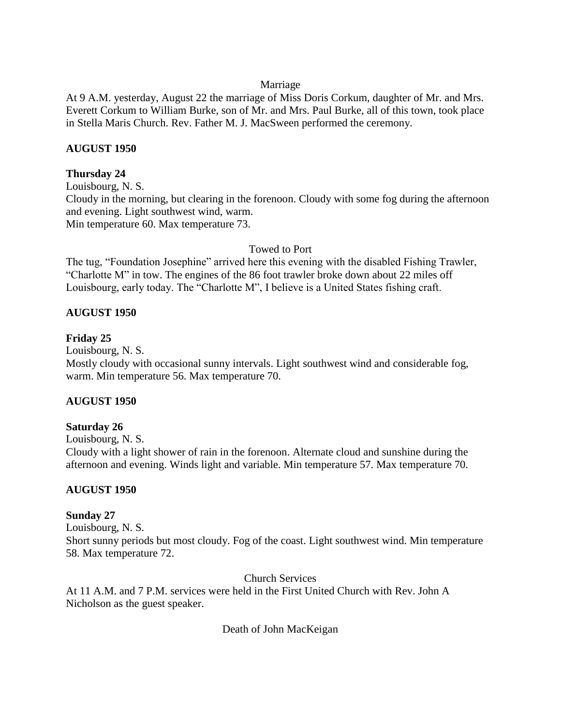### Marriage

At 9 A.M. yesterday, August 22 the marriage of Miss Doris Corkum, daughter of Mr. and Mrs. Everett Corkum to William Burke, son of Mr. and Mrs. Paul Burke, all of this town, took place in Stella Maris Church. Rev. Father M. J. MacSween performed the ceremony.

# **AUGUST 1950**

# **Thursday 24**

Louisbourg, N. S. Cloudy in the morning, but clearing in the forenoon. Cloudy with some fog during the afternoon and evening. Light southwest wind, warm. Min temperature 60. Max temperature 73.

# Towed to Port

The tug, "Foundation Josephine" arrived here this evening with the disabled Fishing Trawler, "Charlotte M" in tow. The engines of the 86 foot trawler broke down about 22 miles off Louisbourg, early today. The "Charlotte M", I believe is a United States fishing craft.

# **AUGUST 1950**

# **Friday 25**

Louisbourg, N. S.

Mostly cloudy with occasional sunny intervals. Light southwest wind and considerable fog, warm. Min temperature 56. Max temperature 70.

### **AUGUST 1950**

### **Saturday 26**

Louisbourg, N. S. Cloudy with a light shower of rain in the forenoon. Alternate cloud and sunshine during the afternoon and evening. Winds light and variable. Min temperature 57. Max temperature 70.

# **AUGUST 1950**

# **Sunday 27**

Louisbourg, N. S. Short sunny periods but most cloudy. Fog of the coast. Light southwest wind. Min temperature 58. Max temperature 72.

Church Services

At 11 A.M. and 7 P.M. services were held in the First United Church with Rev. John A Nicholson as the guest speaker.

Death of John MacKeigan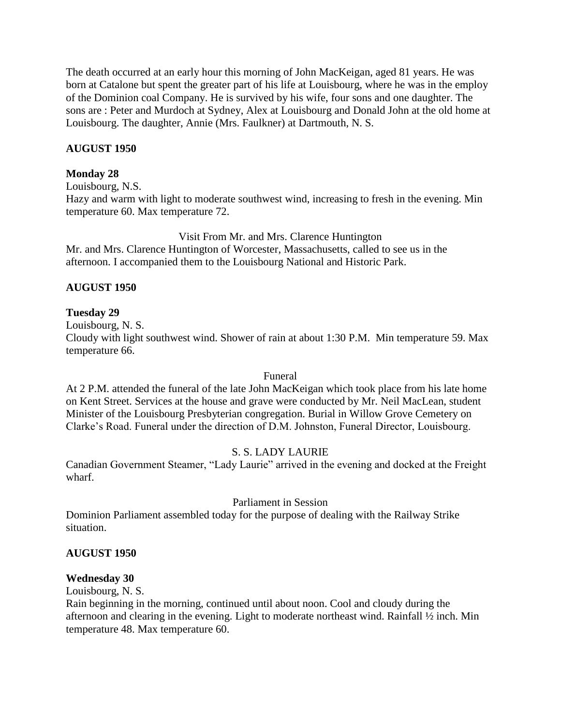The death occurred at an early hour this morning of John MacKeigan, aged 81 years. He was born at Catalone but spent the greater part of his life at Louisbourg, where he was in the employ of the Dominion coal Company. He is survived by his wife, four sons and one daughter. The sons are : Peter and Murdoch at Sydney, Alex at Louisbourg and Donald John at the old home at Louisbourg. The daughter, Annie (Mrs. Faulkner) at Dartmouth, N. S.

# **AUGUST 1950**

### **Monday 28**

Louisbourg, N.S. Hazy and warm with light to moderate southwest wind, increasing to fresh in the evening. Min temperature 60. Max temperature 72.

Visit From Mr. and Mrs. Clarence Huntington Mr. and Mrs. Clarence Huntington of Worcester, Massachusetts, called to see us in the afternoon. I accompanied them to the Louisbourg National and Historic Park.

# **AUGUST 1950**

### **Tuesday 29**

Louisbourg, N. S.

Cloudy with light southwest wind. Shower of rain at about 1:30 P.M. Min temperature 59. Max temperature 66.

### Funeral

At 2 P.M. attended the funeral of the late John MacKeigan which took place from his late home on Kent Street. Services at the house and grave were conducted by Mr. Neil MacLean, student Minister of the Louisbourg Presbyterian congregation. Burial in Willow Grove Cemetery on Clarke's Road. Funeral under the direction of D.M. Johnston, Funeral Director, Louisbourg.

# S. S. LADY LAURIE

Canadian Government Steamer, "Lady Laurie" arrived in the evening and docked at the Freight wharf.

### Parliament in Session

Dominion Parliament assembled today for the purpose of dealing with the Railway Strike situation.

### **AUGUST 1950**

### **Wednesday 30**

Louisbourg, N. S.

Rain beginning in the morning, continued until about noon. Cool and cloudy during the afternoon and clearing in the evening. Light to moderate northeast wind. Rainfall ½ inch. Min temperature 48. Max temperature 60.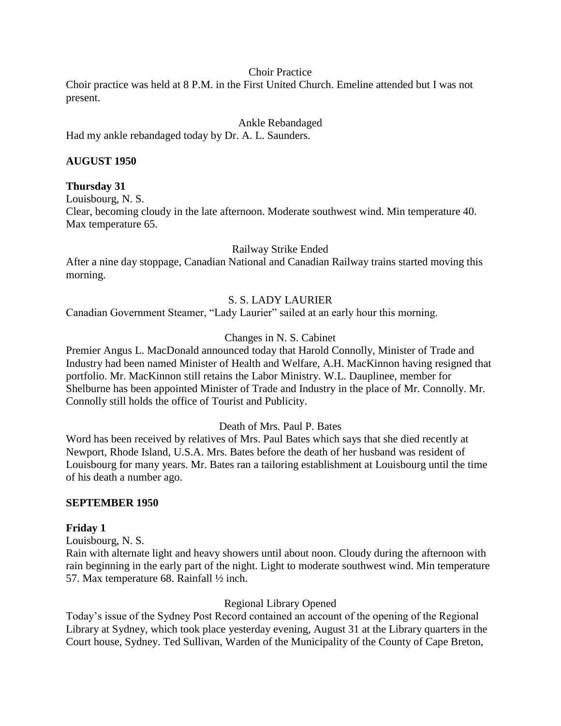#### Choir Practice

Choir practice was held at 8 P.M. in the First United Church. Emeline attended but I was not present.

Ankle Rebandaged

Had my ankle rebandaged today by Dr. A. L. Saunders.

#### **AUGUST 1950**

#### **Thursday 31**

Louisbourg, N. S.

Clear, becoming cloudy in the late afternoon. Moderate southwest wind. Min temperature 40. Max temperature 65.

Railway Strike Ended

After a nine day stoppage, Canadian National and Canadian Railway trains started moving this morning.

### S. S. LADY LAURIER

Canadian Government Steamer, "Lady Laurier" sailed at an early hour this morning.

### Changes in N. S. Cabinet

Premier Angus L. MacDonald announced today that Harold Connolly, Minister of Trade and Industry had been named Minister of Health and Welfare, A.H. MacKinnon having resigned that portfolio. Mr. MacKinnon still retains the Labor Ministry. W.L. Dauplinee, member for Shelburne has been appointed Minister of Trade and Industry in the place of Mr. Connolly. Mr. Connolly still holds the office of Tourist and Publicity.

### Death of Mrs. Paul P. Bates

Word has been received by relatives of Mrs. Paul Bates which says that she died recently at Newport, Rhode Island, U.S.A. Mrs. Bates before the death of her husband was resident of Louisbourg for many years. Mr. Bates ran a tailoring establishment at Louisbourg until the time of his death a number ago.

#### **SEPTEMBER 1950**

#### **Friday 1**

Louisbourg, N. S.

Rain with alternate light and heavy showers until about noon. Cloudy during the afternoon with rain beginning in the early part of the night. Light to moderate southwest wind. Min temperature 57. Max temperature 68. Rainfall ½ inch.

### Regional Library Opened

Today's issue of the Sydney Post Record contained an account of the opening of the Regional Library at Sydney, which took place yesterday evening, August 31 at the Library quarters in the Court house, Sydney. Ted Sullivan, Warden of the Municipality of the County of Cape Breton,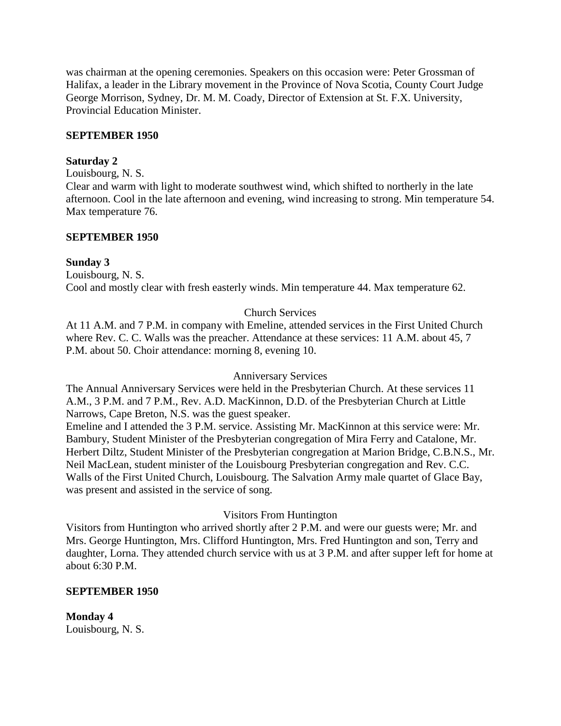was chairman at the opening ceremonies. Speakers on this occasion were: Peter Grossman of Halifax, a leader in the Library movement in the Province of Nova Scotia, County Court Judge George Morrison, Sydney, Dr. M. M. Coady, Director of Extension at St. F.X. University, Provincial Education Minister.

### **SEPTEMBER 1950**

# **Saturday 2**

Louisbourg, N. S.

Clear and warm with light to moderate southwest wind, which shifted to northerly in the late afternoon. Cool in the late afternoon and evening, wind increasing to strong. Min temperature 54. Max temperature 76.

# **SEPTEMBER 1950**

# **Sunday 3**

Louisbourg, N. S. Cool and mostly clear with fresh easterly winds. Min temperature 44. Max temperature 62.

# Church Services

At 11 A.M. and 7 P.M. in company with Emeline, attended services in the First United Church where Rev. C. C. Walls was the preacher. Attendance at these services: 11 A.M. about 45, 7 P.M. about 50. Choir attendance: morning 8, evening 10.

### Anniversary Services

The Annual Anniversary Services were held in the Presbyterian Church. At these services 11 A.M., 3 P.M. and 7 P.M., Rev. A.D. MacKinnon, D.D. of the Presbyterian Church at Little Narrows, Cape Breton, N.S. was the guest speaker.

Emeline and I attended the 3 P.M. service. Assisting Mr. MacKinnon at this service were: Mr. Bambury, Student Minister of the Presbyterian congregation of Mira Ferry and Catalone, Mr. Herbert Diltz, Student Minister of the Presbyterian congregation at Marion Bridge, C.B.N.S., Mr. Neil MacLean, student minister of the Louisbourg Presbyterian congregation and Rev. C.C. Walls of the First United Church, Louisbourg. The Salvation Army male quartet of Glace Bay, was present and assisted in the service of song.

# Visitors From Huntington

Visitors from Huntington who arrived shortly after 2 P.M. and were our guests were; Mr. and Mrs. George Huntington, Mrs. Clifford Huntington, Mrs. Fred Huntington and son, Terry and daughter, Lorna. They attended church service with us at 3 P.M. and after supper left for home at about 6:30 P.M.

### **SEPTEMBER 1950**

**Monday 4** Louisbourg, N. S.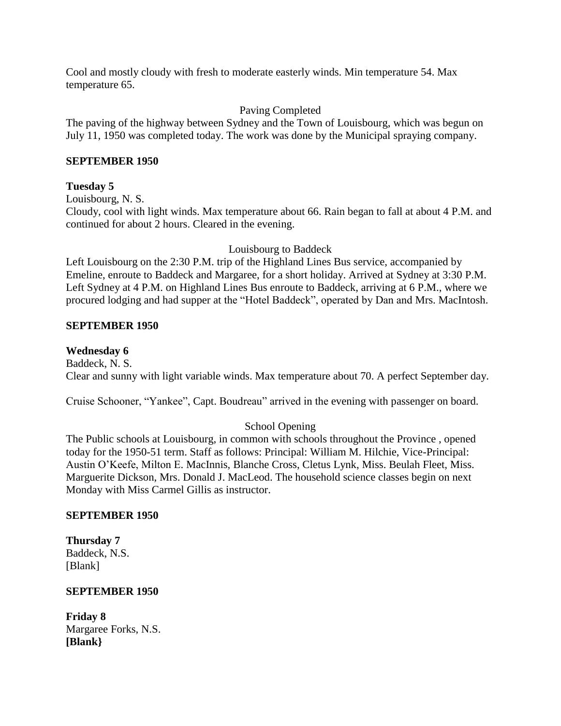Cool and mostly cloudy with fresh to moderate easterly winds. Min temperature 54. Max temperature 65.

# Paving Completed

The paving of the highway between Sydney and the Town of Louisbourg, which was begun on July 11, 1950 was completed today. The work was done by the Municipal spraying company.

# **SEPTEMBER 1950**

# **Tuesday 5**

Louisbourg, N. S.

Cloudy, cool with light winds. Max temperature about 66. Rain began to fall at about 4 P.M. and continued for about 2 hours. Cleared in the evening.

Louisbourg to Baddeck

Left Louisbourg on the 2:30 P.M. trip of the Highland Lines Bus service, accompanied by Emeline, enroute to Baddeck and Margaree, for a short holiday. Arrived at Sydney at 3:30 P.M. Left Sydney at 4 P.M. on Highland Lines Bus enroute to Baddeck, arriving at 6 P.M., where we procured lodging and had supper at the "Hotel Baddeck", operated by Dan and Mrs. MacIntosh.

# **SEPTEMBER 1950**

# **Wednesday 6**

Baddeck, N. S. Clear and sunny with light variable winds. Max temperature about 70. A perfect September day.

Cruise Schooner, "Yankee", Capt. Boudreau" arrived in the evening with passenger on board.

# School Opening

The Public schools at Louisbourg, in common with schools throughout the Province , opened today for the 1950-51 term. Staff as follows: Principal: William M. Hilchie, Vice-Principal: Austin O'Keefe, Milton E. MacInnis, Blanche Cross, Cletus Lynk, Miss. Beulah Fleet, Miss. Marguerite Dickson, Mrs. Donald J. MacLeod. The household science classes begin on next Monday with Miss Carmel Gillis as instructor.

# **SEPTEMBER 1950**

**Thursday 7** Baddeck, N.S. [Blank]

### **SEPTEMBER 1950**

**Friday 8** Margaree Forks, N.S. **[Blank}**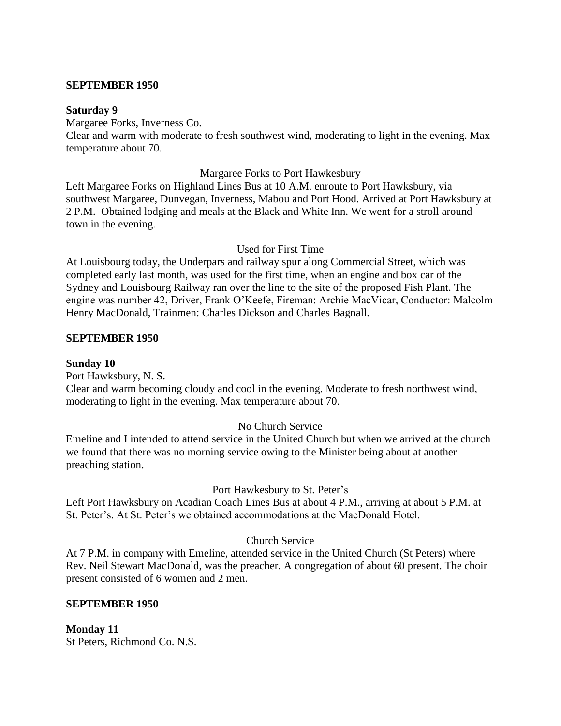#### **SEPTEMBER 1950**

#### **Saturday 9**

Margaree Forks, Inverness Co.

Clear and warm with moderate to fresh southwest wind, moderating to light in the evening. Max temperature about 70.

#### Margaree Forks to Port Hawkesbury

Left Margaree Forks on Highland Lines Bus at 10 A.M. enroute to Port Hawksbury, via southwest Margaree, Dunvegan, Inverness, Mabou and Port Hood. Arrived at Port Hawksbury at 2 P.M. Obtained lodging and meals at the Black and White Inn. We went for a stroll around town in the evening.

#### Used for First Time

At Louisbourg today, the Underpars and railway spur along Commercial Street, which was completed early last month, was used for the first time, when an engine and box car of the Sydney and Louisbourg Railway ran over the line to the site of the proposed Fish Plant. The engine was number 42, Driver, Frank O'Keefe, Fireman: Archie MacVicar, Conductor: Malcolm Henry MacDonald, Trainmen: Charles Dickson and Charles Bagnall.

### **SEPTEMBER 1950**

#### **Sunday 10**

Port Hawksbury, N. S.

Clear and warm becoming cloudy and cool in the evening. Moderate to fresh northwest wind, moderating to light in the evening. Max temperature about 70.

### No Church Service

Emeline and I intended to attend service in the United Church but when we arrived at the church we found that there was no morning service owing to the Minister being about at another preaching station.

### Port Hawkesbury to St. Peter's

Left Port Hawksbury on Acadian Coach Lines Bus at about 4 P.M., arriving at about 5 P.M. at St. Peter's. At St. Peter's we obtained accommodations at the MacDonald Hotel.

### Church Service

At 7 P.M. in company with Emeline, attended service in the United Church (St Peters) where Rev. Neil Stewart MacDonald, was the preacher. A congregation of about 60 present. The choir present consisted of 6 women and 2 men.

#### **SEPTEMBER 1950**

### **Monday 11** St Peters, Richmond Co. N.S.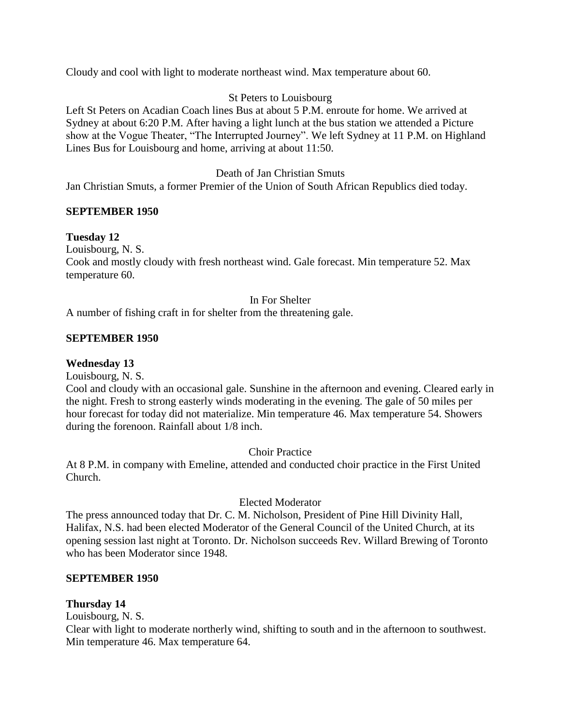Cloudy and cool with light to moderate northeast wind. Max temperature about 60.

# St Peters to Louisbourg

Left St Peters on Acadian Coach lines Bus at about 5 P.M. enroute for home. We arrived at Sydney at about 6:20 P.M. After having a light lunch at the bus station we attended a Picture show at the Vogue Theater, "The Interrupted Journey". We left Sydney at 11 P.M. on Highland Lines Bus for Louisbourg and home, arriving at about 11:50.

### Death of Jan Christian Smuts

Jan Christian Smuts, a former Premier of the Union of South African Republics died today.

# **SEPTEMBER 1950**

# **Tuesday 12**

Louisbourg, N. S.

Cook and mostly cloudy with fresh northeast wind. Gale forecast. Min temperature 52. Max temperature 60.

### In For Shelter

A number of fishing craft in for shelter from the threatening gale.

# **SEPTEMBER 1950**

### **Wednesday 13**

Louisbourg, N. S.

Cool and cloudy with an occasional gale. Sunshine in the afternoon and evening. Cleared early in the night. Fresh to strong easterly winds moderating in the evening. The gale of 50 miles per hour forecast for today did not materialize. Min temperature 46. Max temperature 54. Showers during the forenoon. Rainfall about 1/8 inch.

Choir Practice

At 8 P.M. in company with Emeline, attended and conducted choir practice in the First United Church.

### Elected Moderator

The press announced today that Dr. C. M. Nicholson, President of Pine Hill Divinity Hall, Halifax, N.S. had been elected Moderator of the General Council of the United Church, at its opening session last night at Toronto. Dr. Nicholson succeeds Rev. Willard Brewing of Toronto who has been Moderator since 1948.

### **SEPTEMBER 1950**

### **Thursday 14**

Louisbourg, N. S.

Clear with light to moderate northerly wind, shifting to south and in the afternoon to southwest. Min temperature 46. Max temperature 64.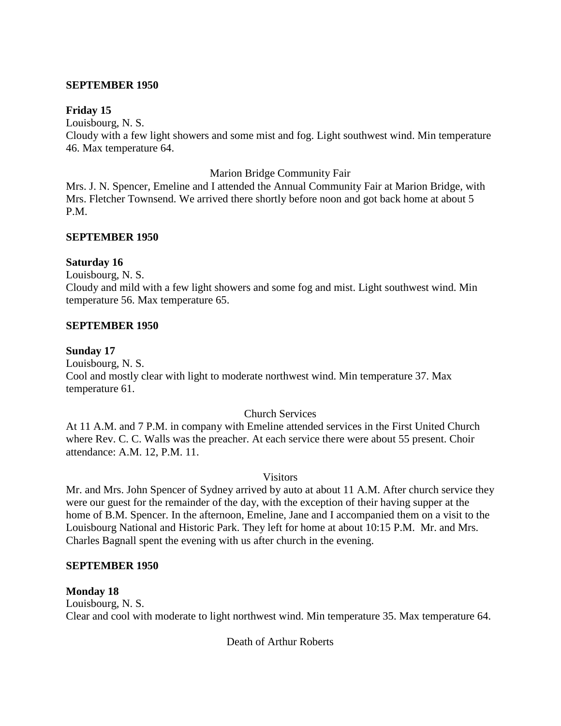#### **SEPTEMBER 1950**

#### **Friday 15**

Louisbourg, N. S.

Cloudy with a few light showers and some mist and fog. Light southwest wind. Min temperature 46. Max temperature 64.

#### Marion Bridge Community Fair

Mrs. J. N. Spencer, Emeline and I attended the Annual Community Fair at Marion Bridge, with Mrs. Fletcher Townsend. We arrived there shortly before noon and got back home at about 5 P.M.

### **SEPTEMBER 1950**

#### **Saturday 16**

Louisbourg, N. S.

Cloudy and mild with a few light showers and some fog and mist. Light southwest wind. Min temperature 56. Max temperature 65.

#### **SEPTEMBER 1950**

#### **Sunday 17**

Louisbourg, N. S. Cool and mostly clear with light to moderate northwest wind. Min temperature 37. Max temperature 61.

### Church Services

At 11 A.M. and 7 P.M. in company with Emeline attended services in the First United Church where Rev. C. C. Walls was the preacher. At each service there were about 55 present. Choir attendance: A.M. 12, P.M. 11.

#### **Visitors**

Mr. and Mrs. John Spencer of Sydney arrived by auto at about 11 A.M. After church service they were our guest for the remainder of the day, with the exception of their having supper at the home of B.M. Spencer. In the afternoon, Emeline, Jane and I accompanied them on a visit to the Louisbourg National and Historic Park. They left for home at about 10:15 P.M. Mr. and Mrs. Charles Bagnall spent the evening with us after church in the evening.

#### **SEPTEMBER 1950**

### **Monday 18**

Louisbourg, N. S. Clear and cool with moderate to light northwest wind. Min temperature 35. Max temperature 64.

Death of Arthur Roberts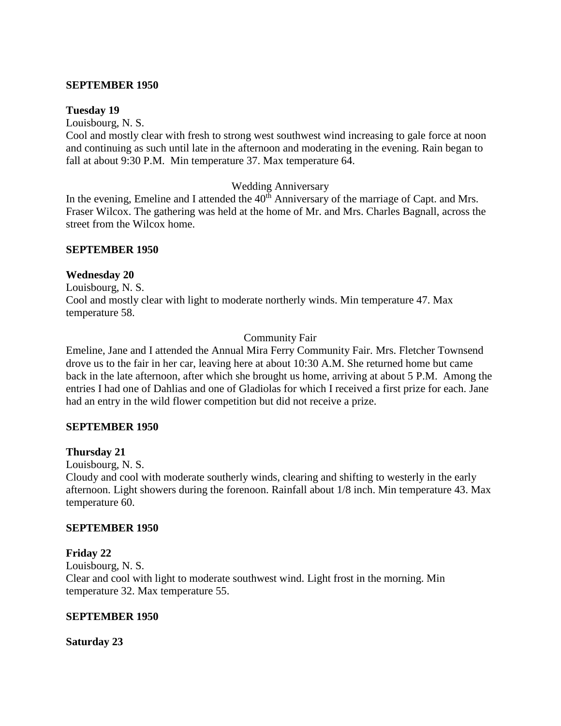#### **SEPTEMBER 1950**

#### **Tuesday 19**

Louisbourg, N. S.

Cool and mostly clear with fresh to strong west southwest wind increasing to gale force at noon and continuing as such until late in the afternoon and moderating in the evening. Rain began to fall at about 9:30 P.M. Min temperature 37. Max temperature 64.

### Wedding Anniversary

In the evening, Emeline and I attended the  $40<sup>th</sup>$  Anniversary of the marriage of Capt. and Mrs. Fraser Wilcox. The gathering was held at the home of Mr. and Mrs. Charles Bagnall, across the street from the Wilcox home.

#### **SEPTEMBER 1950**

#### **Wednesday 20**

Louisbourg, N. S. Cool and mostly clear with light to moderate northerly winds. Min temperature 47. Max temperature 58.

### Community Fair

Emeline, Jane and I attended the Annual Mira Ferry Community Fair. Mrs. Fletcher Townsend drove us to the fair in her car, leaving here at about 10:30 A.M. She returned home but came back in the late afternoon, after which she brought us home, arriving at about 5 P.M. Among the entries I had one of Dahlias and one of Gladiolas for which I received a first prize for each. Jane had an entry in the wild flower competition but did not receive a prize.

### **SEPTEMBER 1950**

#### **Thursday 21**

Louisbourg, N. S.

Cloudy and cool with moderate southerly winds, clearing and shifting to westerly in the early afternoon. Light showers during the forenoon. Rainfall about 1/8 inch. Min temperature 43. Max temperature 60.

#### **SEPTEMBER 1950**

### **Friday 22**

Louisbourg, N. S. Clear and cool with light to moderate southwest wind. Light frost in the morning. Min temperature 32. Max temperature 55.

#### **SEPTEMBER 1950**

**Saturday 23**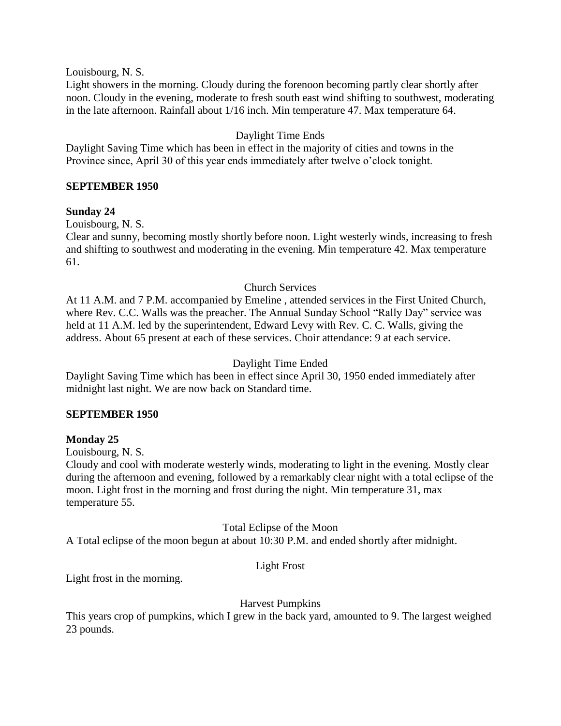Louisbourg, N. S.

Light showers in the morning. Cloudy during the forenoon becoming partly clear shortly after noon. Cloudy in the evening, moderate to fresh south east wind shifting to southwest, moderating in the late afternoon. Rainfall about 1/16 inch. Min temperature 47. Max temperature 64.

# Daylight Time Ends

Daylight Saving Time which has been in effect in the majority of cities and towns in the Province since, April 30 of this year ends immediately after twelve o'clock tonight.

# **SEPTEMBER 1950**

# **Sunday 24**

Louisbourg, N. S.

Clear and sunny, becoming mostly shortly before noon. Light westerly winds, increasing to fresh and shifting to southwest and moderating in the evening. Min temperature 42. Max temperature 61.

# Church Services

At 11 A.M. and 7 P.M. accompanied by Emeline , attended services in the First United Church, where Rev. C.C. Walls was the preacher. The Annual Sunday School "Rally Day" service was held at 11 A.M. led by the superintendent, Edward Levy with Rev. C. C. Walls, giving the address. About 65 present at each of these services. Choir attendance: 9 at each service.

# Daylight Time Ended

Daylight Saving Time which has been in effect since April 30, 1950 ended immediately after midnight last night. We are now back on Standard time.

### **SEPTEMBER 1950**

### **Monday 25**

Louisbourg, N. S.

Cloudy and cool with moderate westerly winds, moderating to light in the evening. Mostly clear during the afternoon and evening, followed by a remarkably clear night with a total eclipse of the moon. Light frost in the morning and frost during the night. Min temperature 31, max temperature 55.

Total Eclipse of the Moon

A Total eclipse of the moon begun at about 10:30 P.M. and ended shortly after midnight.

# Light Frost

Light frost in the morning.

### Harvest Pumpkins

This years crop of pumpkins, which I grew in the back yard, amounted to 9. The largest weighed 23 pounds.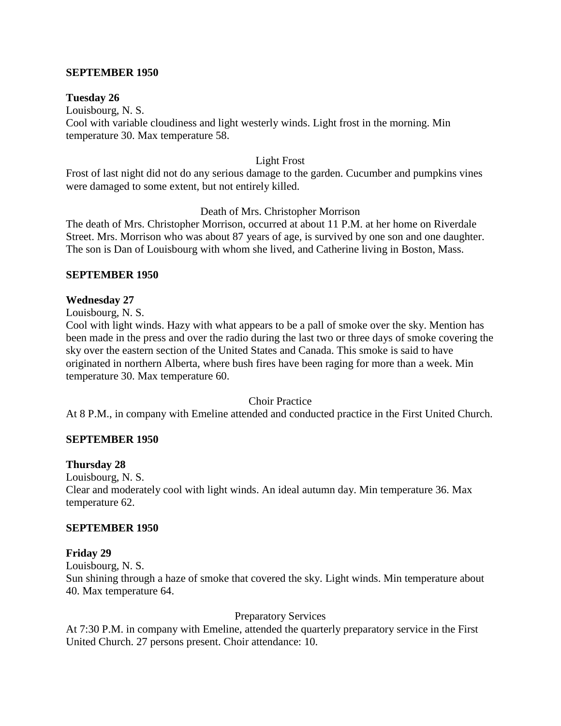### **SEPTEMBER 1950**

#### **Tuesday 26**

Louisbourg, N. S. Cool with variable cloudiness and light westerly winds. Light frost in the morning. Min temperature 30. Max temperature 58.

#### Light Frost

Frost of last night did not do any serious damage to the garden. Cucumber and pumpkins vines were damaged to some extent, but not entirely killed.

#### Death of Mrs. Christopher Morrison

The death of Mrs. Christopher Morrison, occurred at about 11 P.M. at her home on Riverdale Street. Mrs. Morrison who was about 87 years of age, is survived by one son and one daughter. The son is Dan of Louisbourg with whom she lived, and Catherine living in Boston, Mass.

#### **SEPTEMBER 1950**

#### **Wednesday 27**

Louisbourg, N. S.

Cool with light winds. Hazy with what appears to be a pall of smoke over the sky. Mention has been made in the press and over the radio during the last two or three days of smoke covering the sky over the eastern section of the United States and Canada. This smoke is said to have originated in northern Alberta, where bush fires have been raging for more than a week. Min temperature 30. Max temperature 60.

#### Choir Practice

At 8 P.M., in company with Emeline attended and conducted practice in the First United Church.

#### **SEPTEMBER 1950**

#### **Thursday 28**

Louisbourg, N. S.

Clear and moderately cool with light winds. An ideal autumn day. Min temperature 36. Max temperature 62.

#### **SEPTEMBER 1950**

#### **Friday 29**

Louisbourg, N. S.

Sun shining through a haze of smoke that covered the sky. Light winds. Min temperature about 40. Max temperature 64.

#### Preparatory Services

At 7:30 P.M. in company with Emeline, attended the quarterly preparatory service in the First United Church. 27 persons present. Choir attendance: 10.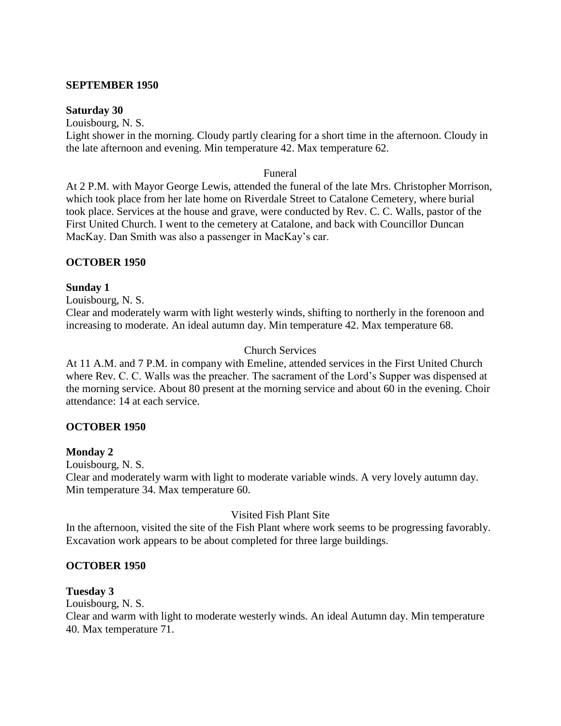#### **SEPTEMBER 1950**

#### **Saturday 30**

Louisbourg, N. S.

Light shower in the morning. Cloudy partly clearing for a short time in the afternoon. Cloudy in the late afternoon and evening. Min temperature 42. Max temperature 62.

#### Funeral

At 2 P.M. with Mayor George Lewis, attended the funeral of the late Mrs. Christopher Morrison, which took place from her late home on Riverdale Street to Catalone Cemetery, where burial took place. Services at the house and grave, were conducted by Rev. C. C. Walls, pastor of the First United Church. I went to the cemetery at Catalone, and back with Councillor Duncan MacKay. Dan Smith was also a passenger in MacKay's car.

### **OCTOBER 1950**

### **Sunday 1**

Louisbourg, N. S.

Clear and moderately warm with light westerly winds, shifting to northerly in the forenoon and increasing to moderate. An ideal autumn day. Min temperature 42. Max temperature 68.

# Church Services

At 11 A.M. and 7 P.M. in company with Emeline, attended services in the First United Church where Rev. C. C. Walls was the preacher. The sacrament of the Lord's Supper was dispensed at the morning service. About 80 present at the morning service and about 60 in the evening. Choir attendance: 14 at each service.

### **OCTOBER 1950**

### **Monday 2**

Louisbourg, N. S. Clear and moderately warm with light to moderate variable winds. A very lovely autumn day. Min temperature 34. Max temperature 60.

# Visited Fish Plant Site

In the afternoon, visited the site of the Fish Plant where work seems to be progressing favorably. Excavation work appears to be about completed for three large buildings.

### **OCTOBER 1950**

### **Tuesday 3**

Louisbourg, N. S. Clear and warm with light to moderate westerly winds. An ideal Autumn day. Min temperature 40. Max temperature 71.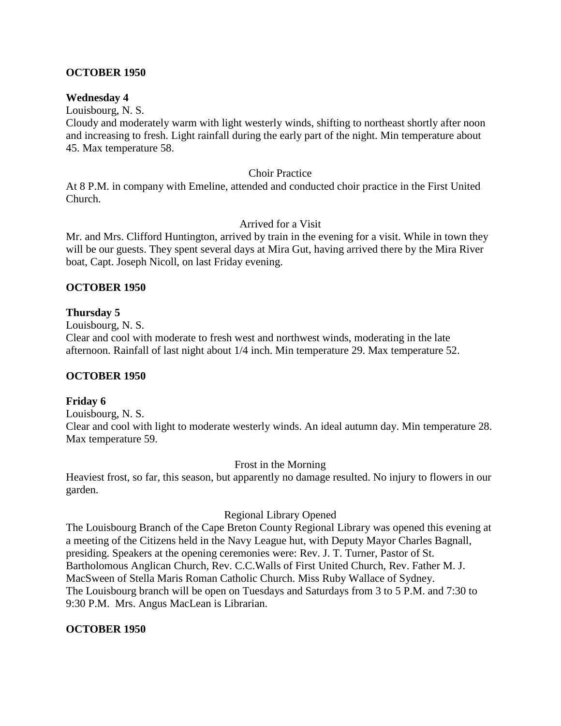# **OCTOBER 1950**

### **Wednesday 4**

Louisbourg, N. S.

Cloudy and moderately warm with light westerly winds, shifting to northeast shortly after noon and increasing to fresh. Light rainfall during the early part of the night. Min temperature about 45. Max temperature 58.

#### Choir Practice

At 8 P.M. in company with Emeline, attended and conducted choir practice in the First United Church.

#### Arrived for a Visit

Mr. and Mrs. Clifford Huntington, arrived by train in the evening for a visit. While in town they will be our guests. They spent several days at Mira Gut, having arrived there by the Mira River boat, Capt. Joseph Nicoll, on last Friday evening.

### **OCTOBER 1950**

### **Thursday 5**

Louisbourg, N. S.

Clear and cool with moderate to fresh west and northwest winds, moderating in the late afternoon. Rainfall of last night about 1/4 inch. Min temperature 29. Max temperature 52.

### **OCTOBER 1950**

### **Friday 6**

Louisbourg, N. S. Clear and cool with light to moderate westerly winds. An ideal autumn day. Min temperature 28. Max temperature 59.

Frost in the Morning

Heaviest frost, so far, this season, but apparently no damage resulted. No injury to flowers in our garden.

#### Regional Library Opened

The Louisbourg Branch of the Cape Breton County Regional Library was opened this evening at a meeting of the Citizens held in the Navy League hut, with Deputy Mayor Charles Bagnall, presiding. Speakers at the opening ceremonies were: Rev. J. T. Turner, Pastor of St. Bartholomous Anglican Church, Rev. C.C.Walls of First United Church, Rev. Father M. J. MacSween of Stella Maris Roman Catholic Church. Miss Ruby Wallace of Sydney. The Louisbourg branch will be open on Tuesdays and Saturdays from 3 to 5 P.M. and 7:30 to 9:30 P.M. Mrs. Angus MacLean is Librarian.

### **OCTOBER 1950**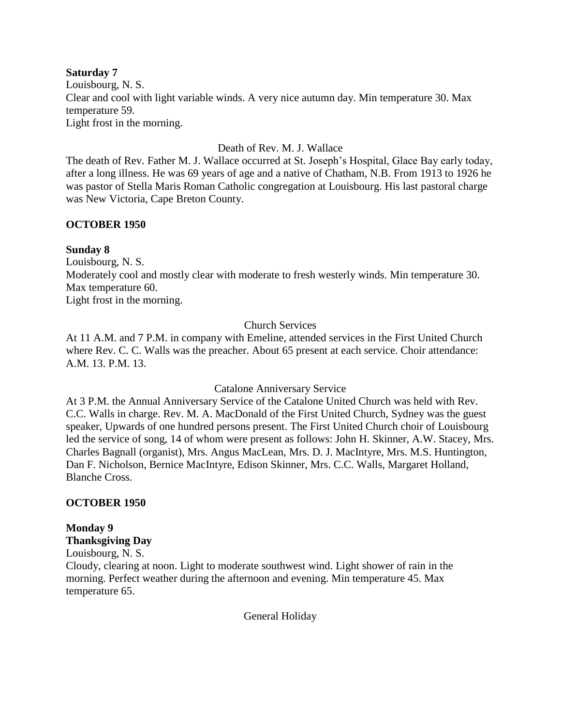### **Saturday 7** Louisbourg, N. S. Clear and cool with light variable winds. A very nice autumn day. Min temperature 30. Max temperature 59. Light frost in the morning.

### Death of Rev. M. J. Wallace

The death of Rev. Father M. J. Wallace occurred at St. Joseph's Hospital, Glace Bay early today, after a long illness. He was 69 years of age and a native of Chatham, N.B. From 1913 to 1926 he was pastor of Stella Maris Roman Catholic congregation at Louisbourg. His last pastoral charge was New Victoria, Cape Breton County.

### **OCTOBER 1950**

#### **Sunday 8**

Louisbourg, N. S. Moderately cool and mostly clear with moderate to fresh westerly winds. Min temperature 30. Max temperature 60. Light frost in the morning.

### Church Services

At 11 A.M. and 7 P.M. in company with Emeline, attended services in the First United Church where Rev. C. C. Walls was the preacher. About 65 present at each service. Choir attendance: A.M. 13. P.M. 13.

Catalone Anniversary Service

At 3 P.M. the Annual Anniversary Service of the Catalone United Church was held with Rev. C.C. Walls in charge. Rev. M. A. MacDonald of the First United Church, Sydney was the guest speaker, Upwards of one hundred persons present. The First United Church choir of Louisbourg led the service of song, 14 of whom were present as follows: John H. Skinner, A.W. Stacey, Mrs. Charles Bagnall (organist), Mrs. Angus MacLean, Mrs. D. J. MacIntyre, Mrs. M.S. Huntington, Dan F. Nicholson, Bernice MacIntyre, Edison Skinner, Mrs. C.C. Walls, Margaret Holland, Blanche Cross.

### **OCTOBER 1950**

### **Monday 9**

**Thanksgiving Day**

Louisbourg, N. S.

Cloudy, clearing at noon. Light to moderate southwest wind. Light shower of rain in the morning. Perfect weather during the afternoon and evening. Min temperature 45. Max temperature 65.

General Holiday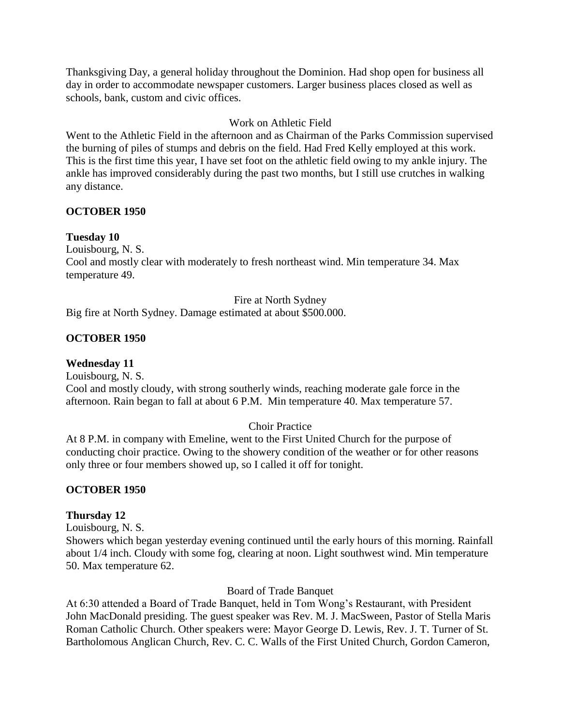Thanksgiving Day, a general holiday throughout the Dominion. Had shop open for business all day in order to accommodate newspaper customers. Larger business places closed as well as schools, bank, custom and civic offices.

# Work on Athletic Field

Went to the Athletic Field in the afternoon and as Chairman of the Parks Commission supervised the burning of piles of stumps and debris on the field. Had Fred Kelly employed at this work. This is the first time this year, I have set foot on the athletic field owing to my ankle injury. The ankle has improved considerably during the past two months, but I still use crutches in walking any distance.

# **OCTOBER 1950**

# **Tuesday 10**

Louisbourg, N. S.

Cool and mostly clear with moderately to fresh northeast wind. Min temperature 34. Max temperature 49.

# Fire at North Sydney

Big fire at North Sydney. Damage estimated at about \$500.000.

# **OCTOBER 1950**

# **Wednesday 11**

Louisbourg, N. S. Cool and mostly cloudy, with strong southerly winds, reaching moderate gale force in the afternoon. Rain began to fall at about 6 P.M. Min temperature 40. Max temperature 57.

# Choir Practice

At 8 P.M. in company with Emeline, went to the First United Church for the purpose of conducting choir practice. Owing to the showery condition of the weather or for other reasons only three or four members showed up, so I called it off for tonight.

# **OCTOBER 1950**

# **Thursday 12**

Louisbourg, N. S.

Showers which began yesterday evening continued until the early hours of this morning. Rainfall about 1/4 inch. Cloudy with some fog, clearing at noon. Light southwest wind. Min temperature 50. Max temperature 62.

Board of Trade Banquet

At 6:30 attended a Board of Trade Banquet, held in Tom Wong's Restaurant, with President John MacDonald presiding. The guest speaker was Rev. M. J. MacSween, Pastor of Stella Maris Roman Catholic Church. Other speakers were: Mayor George D. Lewis, Rev. J. T. Turner of St. Bartholomous Anglican Church, Rev. C. C. Walls of the First United Church, Gordon Cameron,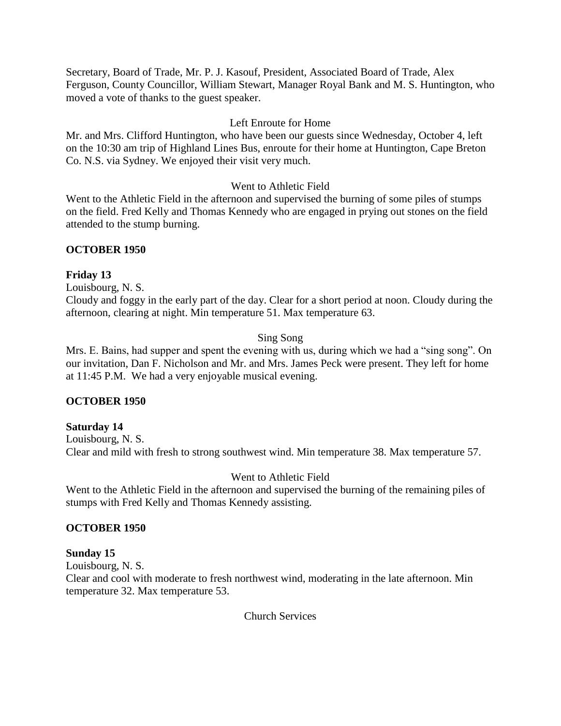Secretary, Board of Trade, Mr. P. J. Kasouf, President, Associated Board of Trade, Alex Ferguson, County Councillor, William Stewart, Manager Royal Bank and M. S. Huntington, who moved a vote of thanks to the guest speaker.

# Left Enroute for Home

Mr. and Mrs. Clifford Huntington, who have been our guests since Wednesday, October 4, left on the 10:30 am trip of Highland Lines Bus, enroute for their home at Huntington, Cape Breton Co. N.S. via Sydney. We enjoyed their visit very much.

# Went to Athletic Field

Went to the Athletic Field in the afternoon and supervised the burning of some piles of stumps on the field. Fred Kelly and Thomas Kennedy who are engaged in prying out stones on the field attended to the stump burning.

# **OCTOBER 1950**

# **Friday 13**

Louisbourg, N. S.

Cloudy and foggy in the early part of the day. Clear for a short period at noon. Cloudy during the afternoon, clearing at night. Min temperature 51. Max temperature 63.

# Sing Song

Mrs. E. Bains, had supper and spent the evening with us, during which we had a "sing song". On our invitation, Dan F. Nicholson and Mr. and Mrs. James Peck were present. They left for home at 11:45 P.M. We had a very enjoyable musical evening.

### **OCTOBER 1950**

### **Saturday 14**

Louisbourg, N. S. Clear and mild with fresh to strong southwest wind. Min temperature 38. Max temperature 57.

# Went to Athletic Field

Went to the Athletic Field in the afternoon and supervised the burning of the remaining piles of stumps with Fred Kelly and Thomas Kennedy assisting.

# **OCTOBER 1950**

# **Sunday 15**

Louisbourg, N. S.

Clear and cool with moderate to fresh northwest wind, moderating in the late afternoon. Min temperature 32. Max temperature 53.

Church Services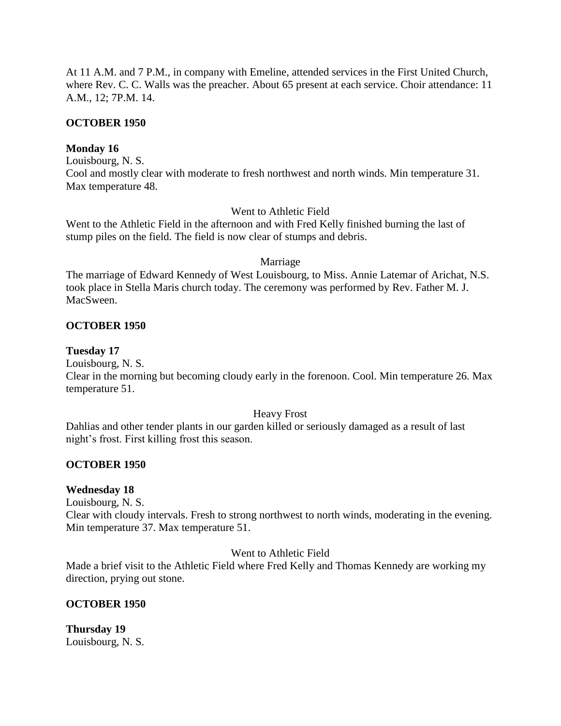At 11 A.M. and 7 P.M., in company with Emeline, attended services in the First United Church, where Rev. C. C. Walls was the preacher. About 65 present at each service. Choir attendance: 11 A.M., 12; 7P.M. 14.

### **OCTOBER 1950**

# **Monday 16**

Louisbourg, N. S. Cool and mostly clear with moderate to fresh northwest and north winds. Min temperature 31. Max temperature 48.

# Went to Athletic Field

Went to the Athletic Field in the afternoon and with Fred Kelly finished burning the last of stump piles on the field. The field is now clear of stumps and debris.

### Marriage

The marriage of Edward Kennedy of West Louisbourg, to Miss. Annie Latemar of Arichat, N.S. took place in Stella Maris church today. The ceremony was performed by Rev. Father M. J. MacSween.

# **OCTOBER 1950**

### **Tuesday 17**

Louisbourg, N. S.

Clear in the morning but becoming cloudy early in the forenoon. Cool. Min temperature 26. Max temperature 51.

### Heavy Frost

Dahlias and other tender plants in our garden killed or seriously damaged as a result of last night's frost. First killing frost this season.

### **OCTOBER 1950**

### **Wednesday 18**

Louisbourg, N. S.

Clear with cloudy intervals. Fresh to strong northwest to north winds, moderating in the evening. Min temperature 37. Max temperature 51.

Went to Athletic Field

Made a brief visit to the Athletic Field where Fred Kelly and Thomas Kennedy are working my direction, prying out stone.

# **OCTOBER 1950**

**Thursday 19** Louisbourg, N. S.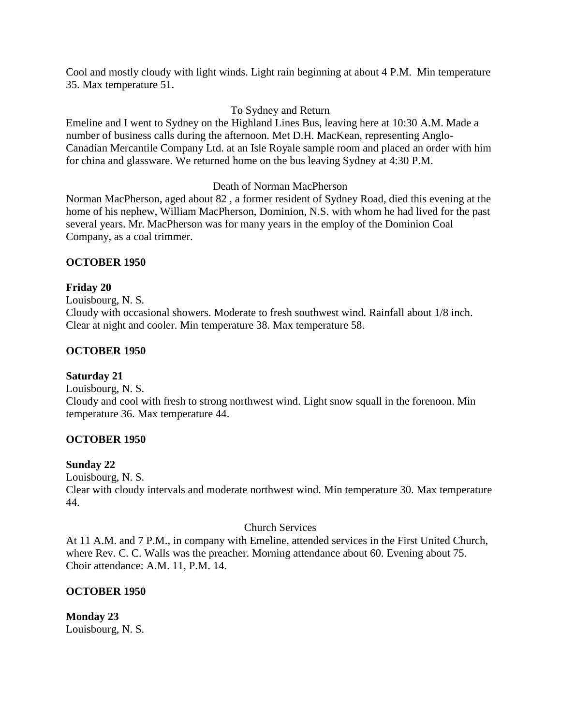Cool and mostly cloudy with light winds. Light rain beginning at about 4 P.M. Min temperature 35. Max temperature 51.

# To Sydney and Return

Emeline and I went to Sydney on the Highland Lines Bus, leaving here at 10:30 A.M. Made a number of business calls during the afternoon. Met D.H. MacKean, representing Anglo-Canadian Mercantile Company Ltd. at an Isle Royale sample room and placed an order with him for china and glassware. We returned home on the bus leaving Sydney at 4:30 P.M.

Death of Norman MacPherson

Norman MacPherson, aged about 82 , a former resident of Sydney Road, died this evening at the home of his nephew, William MacPherson, Dominion, N.S. with whom he had lived for the past several years. Mr. MacPherson was for many years in the employ of the Dominion Coal Company, as a coal trimmer.

# **OCTOBER 1950**

# **Friday 20**

Louisbourg, N. S. Cloudy with occasional showers. Moderate to fresh southwest wind. Rainfall about 1/8 inch. Clear at night and cooler. Min temperature 38. Max temperature 58.

# **OCTOBER 1950**

# **Saturday 21**

Louisbourg, N. S. Cloudy and cool with fresh to strong northwest wind. Light snow squall in the forenoon. Min temperature 36. Max temperature 44.

### **OCTOBER 1950**

### **Sunday 22**

Louisbourg, N. S. Clear with cloudy intervals and moderate northwest wind. Min temperature 30. Max temperature 44.

### Church Services

At 11 A.M. and 7 P.M., in company with Emeline, attended services in the First United Church, where Rev. C. C. Walls was the preacher. Morning attendance about 60. Evening about 75. Choir attendance: A.M. 11, P.M. 14.

# **OCTOBER 1950**

**Monday 23** Louisbourg, N. S.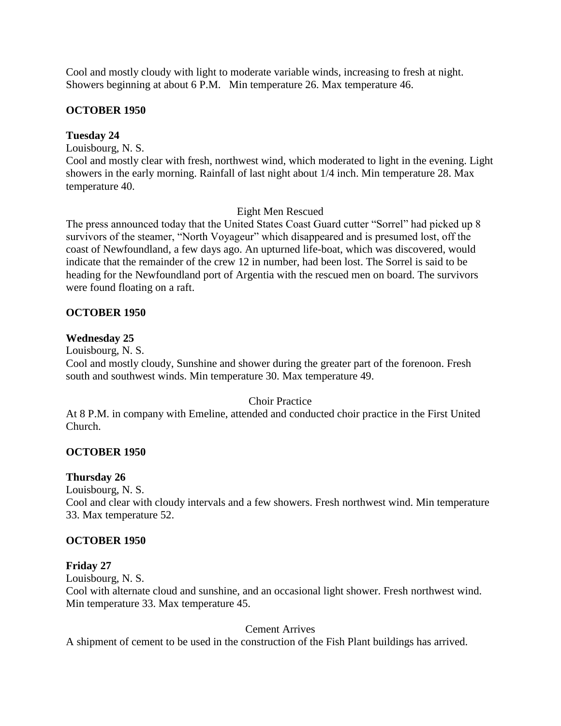Cool and mostly cloudy with light to moderate variable winds, increasing to fresh at night. Showers beginning at about 6 P.M. Min temperature 26. Max temperature 46.

# **OCTOBER 1950**

# **Tuesday 24**

Louisbourg, N. S.

Cool and mostly clear with fresh, northwest wind, which moderated to light in the evening. Light showers in the early morning. Rainfall of last night about 1/4 inch. Min temperature 28. Max temperature 40.

# Eight Men Rescued

The press announced today that the United States Coast Guard cutter "Sorrel" had picked up 8 survivors of the steamer, "North Voyageur" which disappeared and is presumed lost, off the coast of Newfoundland, a few days ago. An upturned life-boat, which was discovered, would indicate that the remainder of the crew 12 in number, had been lost. The Sorrel is said to be heading for the Newfoundland port of Argentia with the rescued men on board. The survivors were found floating on a raft.

# **OCTOBER 1950**

# **Wednesday 25**

Louisbourg, N. S.

Cool and mostly cloudy, Sunshine and shower during the greater part of the forenoon. Fresh south and southwest winds. Min temperature 30. Max temperature 49.

### Choir Practice

At 8 P.M. in company with Emeline, attended and conducted choir practice in the First United Church.

### **OCTOBER 1950**

# **Thursday 26**

Louisbourg, N. S.

Cool and clear with cloudy intervals and a few showers. Fresh northwest wind. Min temperature 33. Max temperature 52.

### **OCTOBER 1950**

# **Friday 27**

Louisbourg, N. S.

Cool with alternate cloud and sunshine, and an occasional light shower. Fresh northwest wind. Min temperature 33. Max temperature 45.

# Cement Arrives

A shipment of cement to be used in the construction of the Fish Plant buildings has arrived.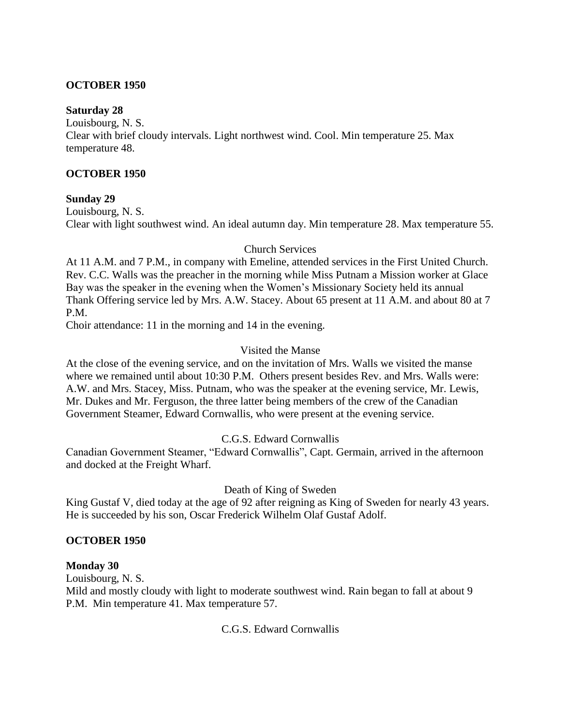### **OCTOBER 1950**

### **Saturday 28**

Louisbourg, N. S. Clear with brief cloudy intervals. Light northwest wind. Cool. Min temperature 25. Max temperature 48.

### **OCTOBER 1950**

# **Sunday 29**

Louisbourg, N. S. Clear with light southwest wind. An ideal autumn day. Min temperature 28. Max temperature 55.

# Church Services

At 11 A.M. and 7 P.M., in company with Emeline, attended services in the First United Church. Rev. C.C. Walls was the preacher in the morning while Miss Putnam a Mission worker at Glace Bay was the speaker in the evening when the Women's Missionary Society held its annual Thank Offering service led by Mrs. A.W. Stacey. About 65 present at 11 A.M. and about 80 at 7 P.M.

Choir attendance: 11 in the morning and 14 in the evening.

# Visited the Manse

At the close of the evening service, and on the invitation of Mrs. Walls we visited the manse where we remained until about 10:30 P.M. Others present besides Rev. and Mrs. Walls were: A.W. and Mrs. Stacey, Miss. Putnam, who was the speaker at the evening service, Mr. Lewis, Mr. Dukes and Mr. Ferguson, the three latter being members of the crew of the Canadian Government Steamer, Edward Cornwallis, who were present at the evening service.

# C.G.S. Edward Cornwallis

Canadian Government Steamer, "Edward Cornwallis", Capt. Germain, arrived in the afternoon and docked at the Freight Wharf.

# Death of King of Sweden

King Gustaf V, died today at the age of 92 after reigning as King of Sweden for nearly 43 years. He is succeeded by his son, Oscar Frederick Wilhelm Olaf Gustaf Adolf.

### **OCTOBER 1950**

### **Monday 30**

Louisbourg, N. S.

Mild and mostly cloudy with light to moderate southwest wind. Rain began to fall at about 9 P.M. Min temperature 41. Max temperature 57.

# C.G.S. Edward Cornwallis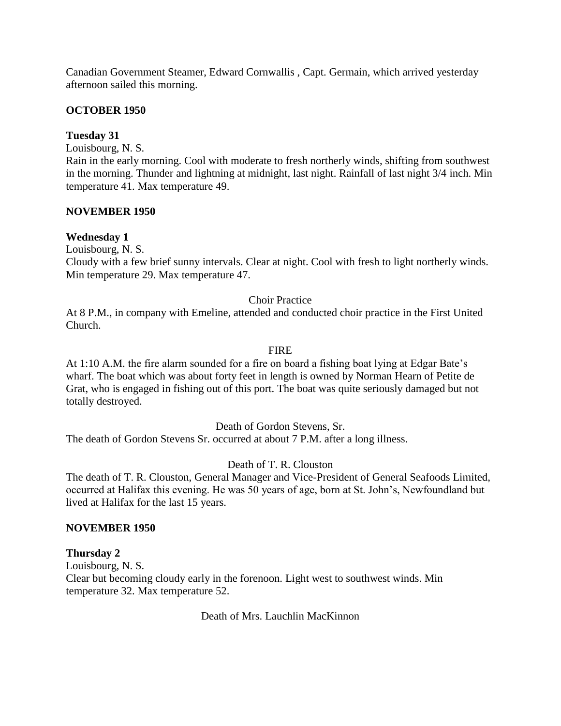Canadian Government Steamer, Edward Cornwallis , Capt. Germain, which arrived yesterday afternoon sailed this morning.

# **OCTOBER 1950**

# **Tuesday 31**

Louisbourg, N. S.

Rain in the early morning. Cool with moderate to fresh northerly winds, shifting from southwest in the morning. Thunder and lightning at midnight, last night. Rainfall of last night 3/4 inch. Min temperature 41. Max temperature 49.

### **NOVEMBER 1950**

# **Wednesday 1**

Louisbourg, N. S.

Cloudy with a few brief sunny intervals. Clear at night. Cool with fresh to light northerly winds. Min temperature 29. Max temperature 47.

# Choir Practice

At 8 P.M., in company with Emeline, attended and conducted choir practice in the First United Church.

### FIRE

At 1:10 A.M. the fire alarm sounded for a fire on board a fishing boat lying at Edgar Bate's wharf. The boat which was about forty feet in length is owned by Norman Hearn of Petite de Grat, who is engaged in fishing out of this port. The boat was quite seriously damaged but not totally destroyed.

Death of Gordon Stevens, Sr.

The death of Gordon Stevens Sr. occurred at about 7 P.M. after a long illness.

Death of T. R. Clouston

The death of T. R. Clouston, General Manager and Vice-President of General Seafoods Limited, occurred at Halifax this evening. He was 50 years of age, born at St. John's, Newfoundland but lived at Halifax for the last 15 years.

### **NOVEMBER 1950**

### **Thursday 2**

Louisbourg, N. S. Clear but becoming cloudy early in the forenoon. Light west to southwest winds. Min temperature 32. Max temperature 52.

Death of Mrs. Lauchlin MacKinnon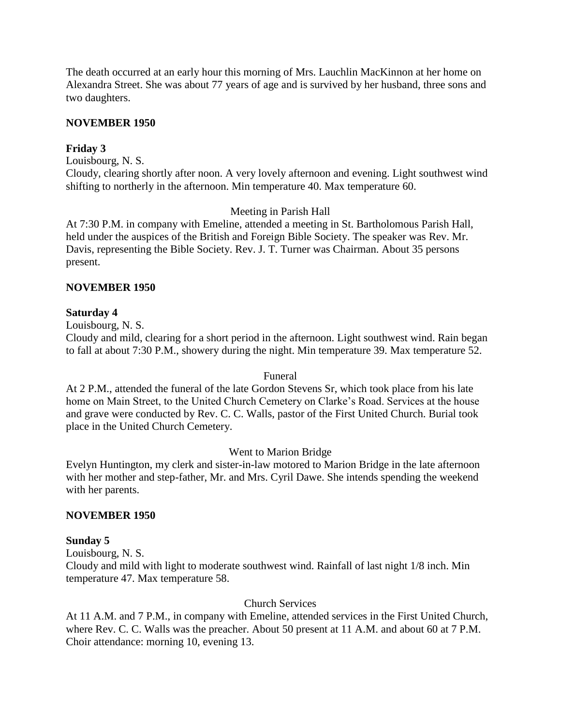The death occurred at an early hour this morning of Mrs. Lauchlin MacKinnon at her home on Alexandra Street. She was about 77 years of age and is survived by her husband, three sons and two daughters.

# **NOVEMBER 1950**

### **Friday 3**

Louisbourg, N. S.

Cloudy, clearing shortly after noon. A very lovely afternoon and evening. Light southwest wind shifting to northerly in the afternoon. Min temperature 40. Max temperature 60.

### Meeting in Parish Hall

At 7:30 P.M. in company with Emeline, attended a meeting in St. Bartholomous Parish Hall, held under the auspices of the British and Foreign Bible Society. The speaker was Rev. Mr. Davis, representing the Bible Society. Rev. J. T. Turner was Chairman. About 35 persons present.

### **NOVEMBER 1950**

#### **Saturday 4**

Louisbourg, N. S.

Cloudy and mild, clearing for a short period in the afternoon. Light southwest wind. Rain began to fall at about 7:30 P.M., showery during the night. Min temperature 39. Max temperature 52.

#### Funeral

At 2 P.M., attended the funeral of the late Gordon Stevens Sr, which took place from his late home on Main Street, to the United Church Cemetery on Clarke's Road. Services at the house and grave were conducted by Rev. C. C. Walls, pastor of the First United Church. Burial took place in the United Church Cemetery.

### Went to Marion Bridge

Evelyn Huntington, my clerk and sister-in-law motored to Marion Bridge in the late afternoon with her mother and step-father, Mr. and Mrs. Cyril Dawe. She intends spending the weekend with her parents.

### **NOVEMBER 1950**

### **Sunday 5**

Louisbourg, N. S.

Cloudy and mild with light to moderate southwest wind. Rainfall of last night 1/8 inch. Min temperature 47. Max temperature 58.

#### Church Services

At 11 A.M. and 7 P.M., in company with Emeline, attended services in the First United Church, where Rev. C. C. Walls was the preacher. About 50 present at 11 A.M. and about 60 at 7 P.M. Choir attendance: morning 10, evening 13.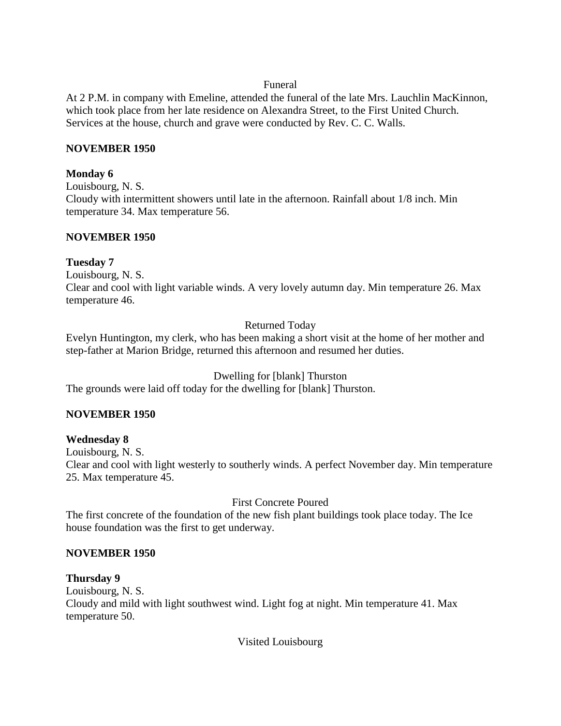### Funeral

At 2 P.M. in company with Emeline, attended the funeral of the late Mrs. Lauchlin MacKinnon, which took place from her late residence on Alexandra Street, to the First United Church. Services at the house, church and grave were conducted by Rev. C. C. Walls.

# **NOVEMBER 1950**

# **Monday 6**

Louisbourg, N. S. Cloudy with intermittent showers until late in the afternoon. Rainfall about 1/8 inch. Min temperature 34. Max temperature 56.

# **NOVEMBER 1950**

# **Tuesday 7**

Louisbourg, N. S.

Clear and cool with light variable winds. A very lovely autumn day. Min temperature 26. Max temperature 46.

# Returned Today

Evelyn Huntington, my clerk, who has been making a short visit at the home of her mother and step-father at Marion Bridge, returned this afternoon and resumed her duties.

# Dwelling for [blank] Thurston

The grounds were laid off today for the dwelling for [blank] Thurston.

# **NOVEMBER 1950**

# **Wednesday 8**

Louisbourg, N. S. Clear and cool with light westerly to southerly winds. A perfect November day. Min temperature 25. Max temperature 45.

# First Concrete Poured

The first concrete of the foundation of the new fish plant buildings took place today. The Ice house foundation was the first to get underway.

# **NOVEMBER 1950**

# **Thursday 9**

Louisbourg, N. S. Cloudy and mild with light southwest wind. Light fog at night. Min temperature 41. Max temperature 50.

Visited Louisbourg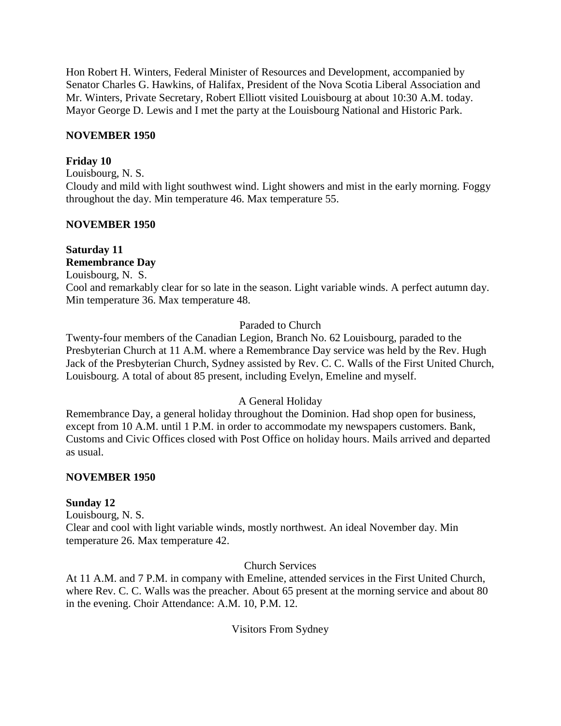Hon Robert H. Winters, Federal Minister of Resources and Development, accompanied by Senator Charles G. Hawkins, of Halifax, President of the Nova Scotia Liberal Association and Mr. Winters, Private Secretary, Robert Elliott visited Louisbourg at about 10:30 A.M. today. Mayor George D. Lewis and I met the party at the Louisbourg National and Historic Park.

# **NOVEMBER 1950**

## **Friday 10**

Louisbourg, N. S.

Cloudy and mild with light southwest wind. Light showers and mist in the early morning. Foggy throughout the day. Min temperature 46. Max temperature 55.

## **NOVEMBER 1950**

#### **Saturday 11 Remembrance Day**

Louisbourg, N. S.

Cool and remarkably clear for so late in the season. Light variable winds. A perfect autumn day. Min temperature 36. Max temperature 48.

# Paraded to Church

Twenty-four members of the Canadian Legion, Branch No. 62 Louisbourg, paraded to the Presbyterian Church at 11 A.M. where a Remembrance Day service was held by the Rev. Hugh Jack of the Presbyterian Church, Sydney assisted by Rev. C. C. Walls of the First United Church, Louisbourg. A total of about 85 present, including Evelyn, Emeline and myself.

# A General Holiday

Remembrance Day, a general holiday throughout the Dominion. Had shop open for business, except from 10 A.M. until 1 P.M. in order to accommodate my newspapers customers. Bank, Customs and Civic Offices closed with Post Office on holiday hours. Mails arrived and departed as usual.

# **NOVEMBER 1950**

# **Sunday 12**

Louisbourg, N. S.

Clear and cool with light variable winds, mostly northwest. An ideal November day. Min temperature 26. Max temperature 42.

# Church Services

At 11 A.M. and 7 P.M. in company with Emeline, attended services in the First United Church, where Rev. C. C. Walls was the preacher. About 65 present at the morning service and about 80 in the evening. Choir Attendance: A.M. 10, P.M. 12.

# Visitors From Sydney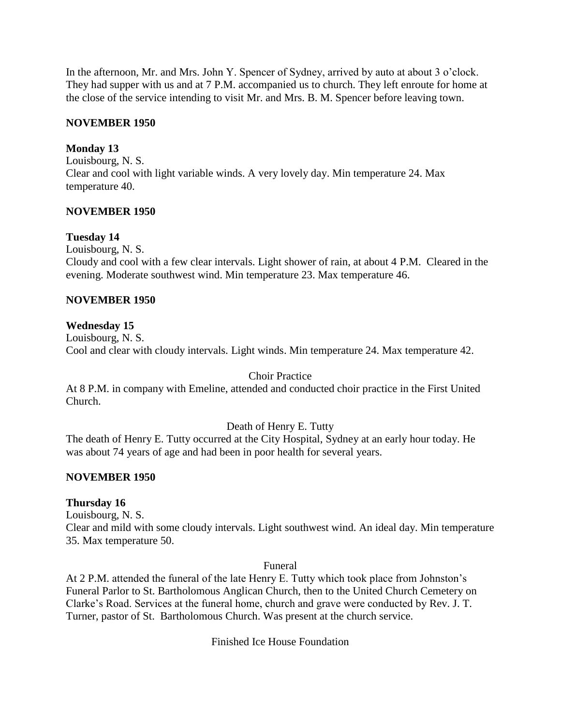In the afternoon, Mr. and Mrs. John Y. Spencer of Sydney, arrived by auto at about 3 o'clock. They had supper with us and at 7 P.M. accompanied us to church. They left enroute for home at the close of the service intending to visit Mr. and Mrs. B. M. Spencer before leaving town.

## **NOVEMBER 1950**

### **Monday 13**

Louisbourg, N. S. Clear and cool with light variable winds. A very lovely day. Min temperature 24. Max temperature 40.

## **NOVEMBER 1950**

## **Tuesday 14**

Louisbourg, N. S.

Cloudy and cool with a few clear intervals. Light shower of rain, at about 4 P.M. Cleared in the evening. Moderate southwest wind. Min temperature 23. Max temperature 46.

## **NOVEMBER 1950**

## **Wednesday 15**

Louisbourg, N. S. Cool and clear with cloudy intervals. Light winds. Min temperature 24. Max temperature 42.

### Choir Practice

At 8 P.M. in company with Emeline, attended and conducted choir practice in the First United Church.

# Death of Henry E. Tutty

The death of Henry E. Tutty occurred at the City Hospital, Sydney at an early hour today. He was about 74 years of age and had been in poor health for several years.

### **NOVEMBER 1950**

### **Thursday 16**

Louisbourg, N. S.

Clear and mild with some cloudy intervals. Light southwest wind. An ideal day. Min temperature 35. Max temperature 50.

#### Funeral

At 2 P.M. attended the funeral of the late Henry E. Tutty which took place from Johnston's Funeral Parlor to St. Bartholomous Anglican Church, then to the United Church Cemetery on Clarke's Road. Services at the funeral home, church and grave were conducted by Rev. J. T. Turner, pastor of St. Bartholomous Church. Was present at the church service.

Finished Ice House Foundation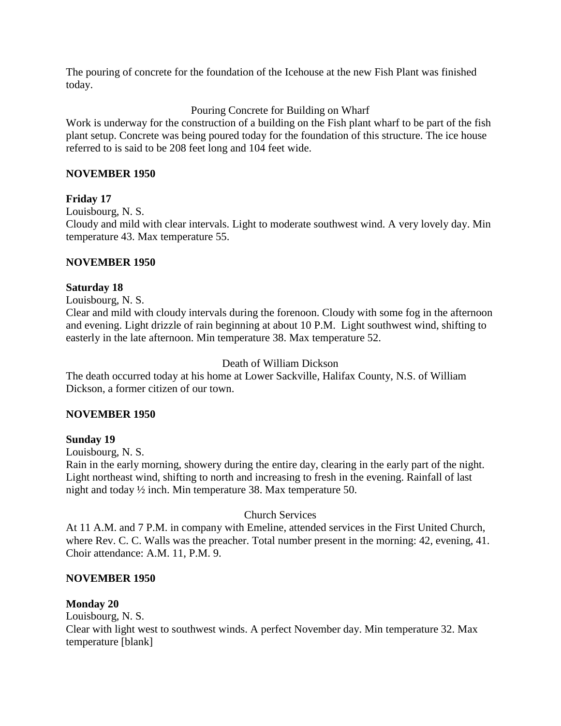The pouring of concrete for the foundation of the Icehouse at the new Fish Plant was finished today.

# Pouring Concrete for Building on Wharf

Work is underway for the construction of a building on the Fish plant wharf to be part of the fish plant setup. Concrete was being poured today for the foundation of this structure. The ice house referred to is said to be 208 feet long and 104 feet wide.

## **NOVEMBER 1950**

## **Friday 17**

Louisbourg, N. S.

Cloudy and mild with clear intervals. Light to moderate southwest wind. A very lovely day. Min temperature 43. Max temperature 55.

## **NOVEMBER 1950**

### **Saturday 18**

Louisbourg, N. S.

Clear and mild with cloudy intervals during the forenoon. Cloudy with some fog in the afternoon and evening. Light drizzle of rain beginning at about 10 P.M. Light southwest wind, shifting to easterly in the late afternoon. Min temperature 38. Max temperature 52.

### Death of William Dickson

The death occurred today at his home at Lower Sackville, Halifax County, N.S. of William Dickson, a former citizen of our town.

### **NOVEMBER 1950**

### **Sunday 19**

Louisbourg, N. S.

Rain in the early morning, showery during the entire day, clearing in the early part of the night. Light northeast wind, shifting to north and increasing to fresh in the evening. Rainfall of last night and today ½ inch. Min temperature 38. Max temperature 50.

# Church Services

At 11 A.M. and 7 P.M. in company with Emeline, attended services in the First United Church, where Rev. C. C. Walls was the preacher. Total number present in the morning: 42, evening, 41. Choir attendance: A.M. 11, P.M. 9.

### **NOVEMBER 1950**

### **Monday 20**

Louisbourg, N. S. Clear with light west to southwest winds. A perfect November day. Min temperature 32. Max temperature [blank]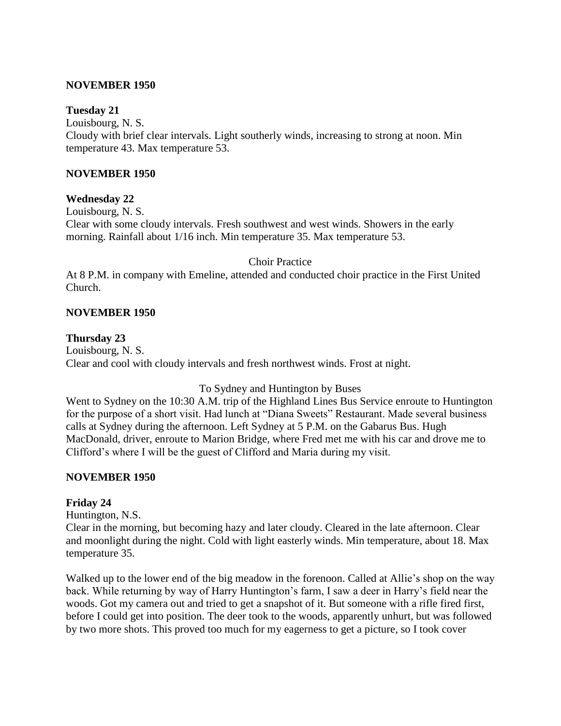### **NOVEMBER 1950**

### **Tuesday 21**

Louisbourg, N. S. Cloudy with brief clear intervals. Light southerly winds, increasing to strong at noon. Min temperature 43. Max temperature 53.

## **NOVEMBER 1950**

## **Wednesday 22**

Louisbourg, N. S. Clear with some cloudy intervals. Fresh southwest and west winds. Showers in the early morning. Rainfall about 1/16 inch. Min temperature 35. Max temperature 53.

### Choir Practice

At 8 P.M. in company with Emeline, attended and conducted choir practice in the First United Church.

### **NOVEMBER 1950**

## **Thursday 23**

Louisbourg, N. S. Clear and cool with cloudy intervals and fresh northwest winds. Frost at night.

### To Sydney and Huntington by Buses

Went to Sydney on the 10:30 A.M. trip of the Highland Lines Bus Service enroute to Huntington for the purpose of a short visit. Had lunch at "Diana Sweets" Restaurant. Made several business calls at Sydney during the afternoon. Left Sydney at 5 P.M. on the Gabarus Bus. Hugh MacDonald, driver, enroute to Marion Bridge, where Fred met me with his car and drove me to Clifford's where I will be the guest of Clifford and Maria during my visit.

### **NOVEMBER 1950**

### **Friday 24**

Huntington, N.S.

Clear in the morning, but becoming hazy and later cloudy. Cleared in the late afternoon. Clear and moonlight during the night. Cold with light easterly winds. Min temperature, about 18. Max temperature 35.

Walked up to the lower end of the big meadow in the forenoon. Called at Allie's shop on the way back. While returning by way of Harry Huntington's farm, I saw a deer in Harry's field near the woods. Got my camera out and tried to get a snapshot of it. But someone with a rifle fired first, before I could get into position. The deer took to the woods, apparently unhurt, but was followed by two more shots. This proved too much for my eagerness to get a picture, so I took cover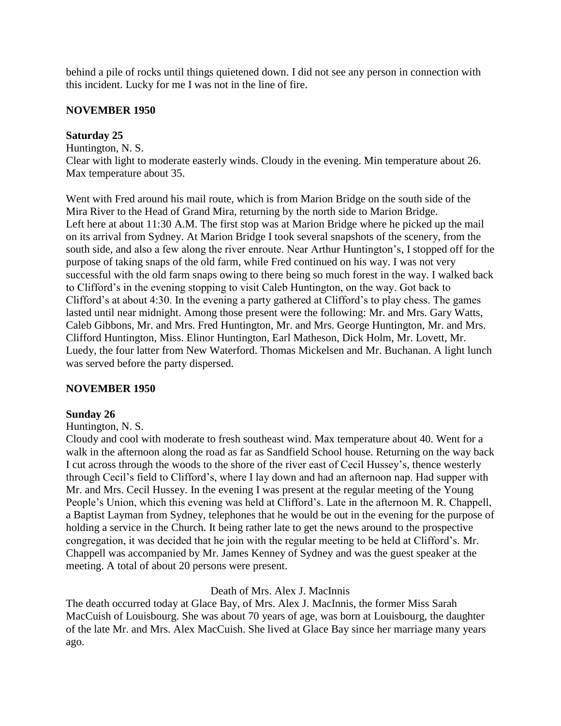behind a pile of rocks until things quietened down. I did not see any person in connection with this incident. Lucky for me I was not in the line of fire.

### **NOVEMBER 1950**

## **Saturday 25**

Huntington, N. S.

Clear with light to moderate easterly winds. Cloudy in the evening. Min temperature about 26. Max temperature about 35.

Went with Fred around his mail route, which is from Marion Bridge on the south side of the Mira River to the Head of Grand Mira, returning by the north side to Marion Bridge. Left here at about 11:30 A.M. The first stop was at Marion Bridge where he picked up the mail on its arrival from Sydney. At Marion Bridge I took several snapshots of the scenery, from the south side, and also a few along the river enroute. Near Arthur Huntington's, I stopped off for the purpose of taking snaps of the old farm, while Fred continued on his way. I was not very successful with the old farm snaps owing to there being so much forest in the way. I walked back to Clifford's in the evening stopping to visit Caleb Huntington, on the way. Got back to Clifford's at about 4:30. In the evening a party gathered at Clifford's to play chess. The games lasted until near midnight. Among those present were the following: Mr. and Mrs. Gary Watts, Caleb Gibbons, Mr. and Mrs. Fred Huntington, Mr. and Mrs. George Huntington, Mr. and Mrs. Clifford Huntington, Miss. Elinor Huntington, Earl Matheson, Dick Holm, Mr. Lovett, Mr. Luedy, the four latter from New Waterford. Thomas Mickelsen and Mr. Buchanan. A light lunch was served before the party dispersed.

# **NOVEMBER 1950**

# **Sunday 26**

### Huntington, N. S.

Cloudy and cool with moderate to fresh southeast wind. Max temperature about 40. Went for a walk in the afternoon along the road as far as Sandfield School house. Returning on the way back I cut across through the woods to the shore of the river east of Cecil Hussey's, thence westerly through Cecil's field to Clifford's, where I lay down and had an afternoon nap. Had supper with Mr. and Mrs. Cecil Hussey. In the evening I was present at the regular meeting of the Young People's Union, which this evening was held at Clifford's. Late in the afternoon M. R. Chappell, a Baptist Layman from Sydney, telephones that he would be out in the evening for the purpose of holding a service in the Church. It being rather late to get the news around to the prospective congregation, it was decided that he join with the regular meeting to be held at Clifford's. Mr. Chappell was accompanied by Mr. James Kenney of Sydney and was the guest speaker at the meeting. A total of about 20 persons were present.

# Death of Mrs. Alex J. MacInnis

The death occurred today at Glace Bay, of Mrs. Alex J. MacInnis, the former Miss Sarah MacCuish of Louisbourg. She was about 70 years of age, was born at Louisbourg, the daughter of the late Mr. and Mrs. Alex MacCuish. She lived at Glace Bay since her marriage many years ago.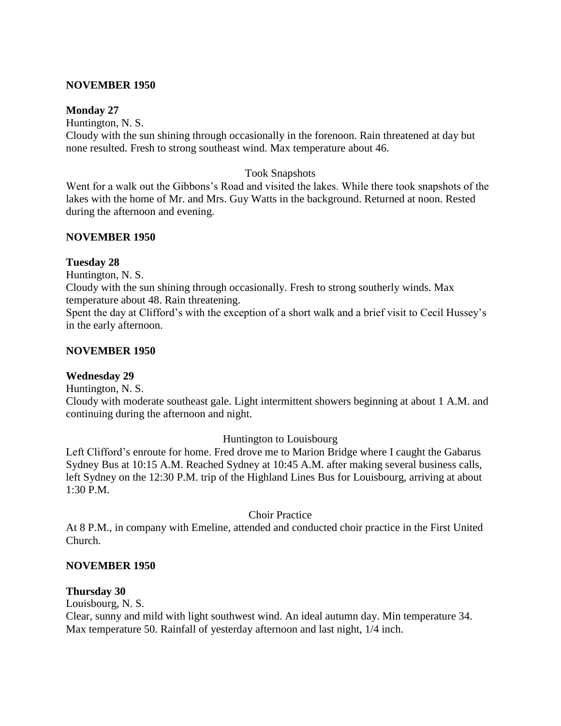### **NOVEMBER 1950**

#### **Monday 27**

Huntington, N. S.

Cloudy with the sun shining through occasionally in the forenoon. Rain threatened at day but none resulted. Fresh to strong southeast wind. Max temperature about 46.

### Took Snapshots

Went for a walk out the Gibbons's Road and visited the lakes. While there took snapshots of the lakes with the home of Mr. and Mrs. Guy Watts in the background. Returned at noon. Rested during the afternoon and evening.

### **NOVEMBER 1950**

#### **Tuesday 28**

Huntington, N. S.

Cloudy with the sun shining through occasionally. Fresh to strong southerly winds. Max temperature about 48. Rain threatening.

Spent the day at Clifford's with the exception of a short walk and a brief visit to Cecil Hussey's in the early afternoon.

#### **NOVEMBER 1950**

### **Wednesday 29**

Huntington, N. S.

Cloudy with moderate southeast gale. Light intermittent showers beginning at about 1 A.M. and continuing during the afternoon and night.

### Huntington to Louisbourg

Left Clifford's enroute for home. Fred drove me to Marion Bridge where I caught the Gabarus Sydney Bus at 10:15 A.M. Reached Sydney at 10:45 A.M. after making several business calls, left Sydney on the 12:30 P.M. trip of the Highland Lines Bus for Louisbourg, arriving at about 1:30 P.M.

#### Choir Practice

At 8 P.M., in company with Emeline, attended and conducted choir practice in the First United Church.

#### **NOVEMBER 1950**

#### **Thursday 30**

Louisbourg, N. S.

Clear, sunny and mild with light southwest wind. An ideal autumn day. Min temperature 34. Max temperature 50. Rainfall of yesterday afternoon and last night, 1/4 inch.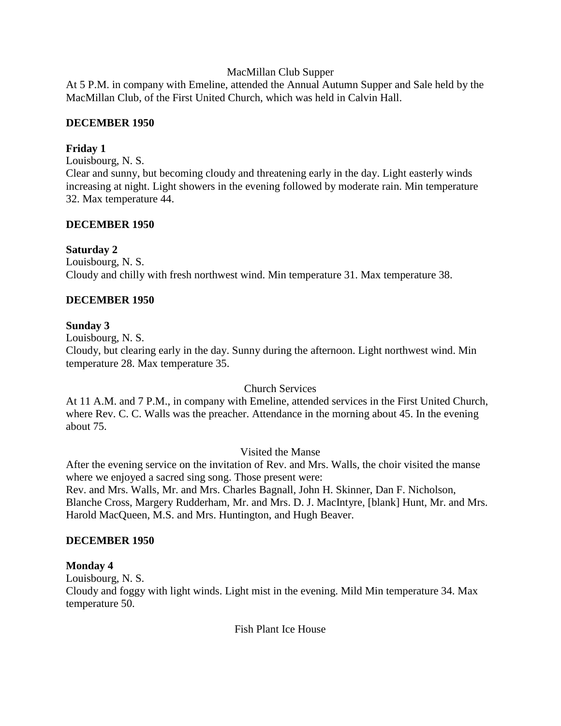## MacMillan Club Supper

At 5 P.M. in company with Emeline, attended the Annual Autumn Supper and Sale held by the MacMillan Club, of the First United Church, which was held in Calvin Hall.

## **DECEMBER 1950**

## **Friday 1**

Louisbourg, N. S.

Clear and sunny, but becoming cloudy and threatening early in the day. Light easterly winds increasing at night. Light showers in the evening followed by moderate rain. Min temperature 32. Max temperature 44.

## **DECEMBER 1950**

## **Saturday 2**

Louisbourg, N. S. Cloudy and chilly with fresh northwest wind. Min temperature 31. Max temperature 38.

# **DECEMBER 1950**

## **Sunday 3**

Louisbourg, N. S.

Cloudy, but clearing early in the day. Sunny during the afternoon. Light northwest wind. Min temperature 28. Max temperature 35.

### Church Services

At 11 A.M. and 7 P.M., in company with Emeline, attended services in the First United Church, where Rev. C. C. Walls was the preacher. Attendance in the morning about 45. In the evening about 75.

# Visited the Manse

After the evening service on the invitation of Rev. and Mrs. Walls, the choir visited the manse where we enjoyed a sacred sing song. Those present were:

Rev. and Mrs. Walls, Mr. and Mrs. Charles Bagnall, John H. Skinner, Dan F. Nicholson, Blanche Cross, Margery Rudderham, Mr. and Mrs. D. J. MacIntyre, [blank] Hunt, Mr. and Mrs. Harold MacQueen, M.S. and Mrs. Huntington, and Hugh Beaver.

# **DECEMBER 1950**

# **Monday 4**

Louisbourg, N. S.

Cloudy and foggy with light winds. Light mist in the evening. Mild Min temperature 34. Max temperature 50.

Fish Plant Ice House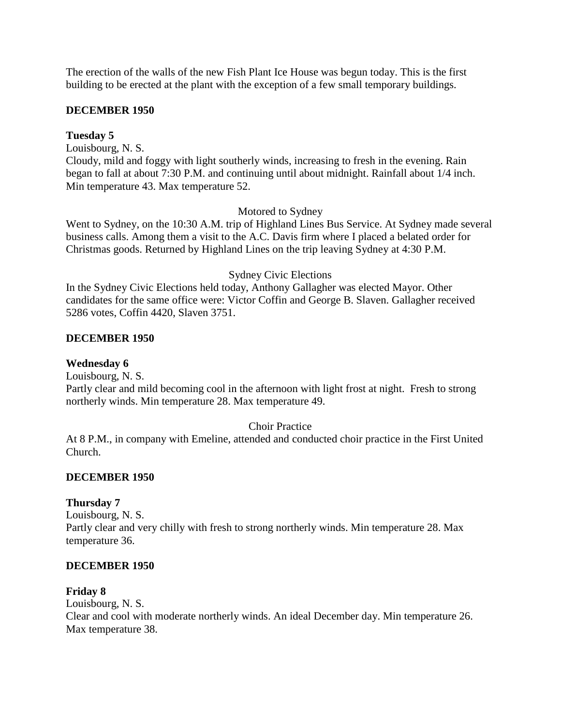The erection of the walls of the new Fish Plant Ice House was begun today. This is the first building to be erected at the plant with the exception of a few small temporary buildings.

### **DECEMBER 1950**

## **Tuesday 5**

Louisbourg, N. S. Cloudy, mild and foggy with light southerly winds, increasing to fresh in the evening. Rain began to fall at about 7:30 P.M. and continuing until about midnight. Rainfall about 1/4 inch. Min temperature 43. Max temperature 52.

## Motored to Sydney

Went to Sydney, on the 10:30 A.M. trip of Highland Lines Bus Service. At Sydney made several business calls. Among them a visit to the A.C. Davis firm where I placed a belated order for Christmas goods. Returned by Highland Lines on the trip leaving Sydney at 4:30 P.M.

## Sydney Civic Elections

In the Sydney Civic Elections held today, Anthony Gallagher was elected Mayor. Other candidates for the same office were: Victor Coffin and George B. Slaven. Gallagher received 5286 votes, Coffin 4420, Slaven 3751.

## **DECEMBER 1950**

## **Wednesday 6**

Louisbourg, N. S.

Partly clear and mild becoming cool in the afternoon with light frost at night. Fresh to strong northerly winds. Min temperature 28. Max temperature 49.

# Choir Practice

At 8 P.M., in company with Emeline, attended and conducted choir practice in the First United Church.

### **DECEMBER 1950**

### **Thursday 7**

Louisbourg, N. S. Partly clear and very chilly with fresh to strong northerly winds. Min temperature 28. Max temperature 36.

### **DECEMBER 1950**

### **Friday 8**

Louisbourg, N. S. Clear and cool with moderate northerly winds. An ideal December day. Min temperature 26. Max temperature 38.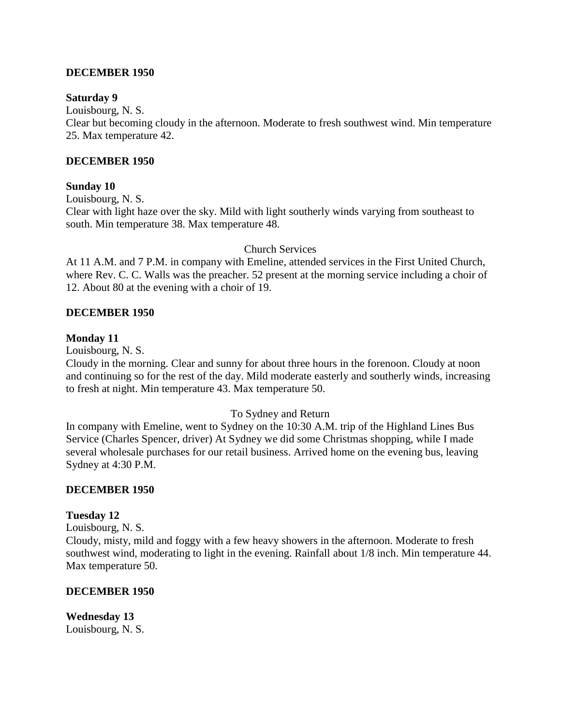### **DECEMBER 1950**

### **Saturday 9**

Louisbourg, N. S.

Clear but becoming cloudy in the afternoon. Moderate to fresh southwest wind. Min temperature 25. Max temperature 42.

### **DECEMBER 1950**

#### **Sunday 10**

Louisbourg, N. S.

Clear with light haze over the sky. Mild with light southerly winds varying from southeast to south. Min temperature 38. Max temperature 48.

### Church Services

At 11 A.M. and 7 P.M. in company with Emeline, attended services in the First United Church, where Rev. C. C. Walls was the preacher. 52 present at the morning service including a choir of 12. About 80 at the evening with a choir of 19.

### **DECEMBER 1950**

#### **Monday 11**

Louisbourg, N. S.

Cloudy in the morning. Clear and sunny for about three hours in the forenoon. Cloudy at noon and continuing so for the rest of the day. Mild moderate easterly and southerly winds, increasing to fresh at night. Min temperature 43. Max temperature 50.

### To Sydney and Return

In company with Emeline, went to Sydney on the 10:30 A.M. trip of the Highland Lines Bus Service (Charles Spencer, driver) At Sydney we did some Christmas shopping, while I made several wholesale purchases for our retail business. Arrived home on the evening bus, leaving Sydney at 4:30 P.M.

### **DECEMBER 1950**

### **Tuesday 12**

Louisbourg, N. S.

Cloudy, misty, mild and foggy with a few heavy showers in the afternoon. Moderate to fresh southwest wind, moderating to light in the evening. Rainfall about 1/8 inch. Min temperature 44. Max temperature 50.

#### **DECEMBER 1950**

**Wednesday 13** Louisbourg, N. S.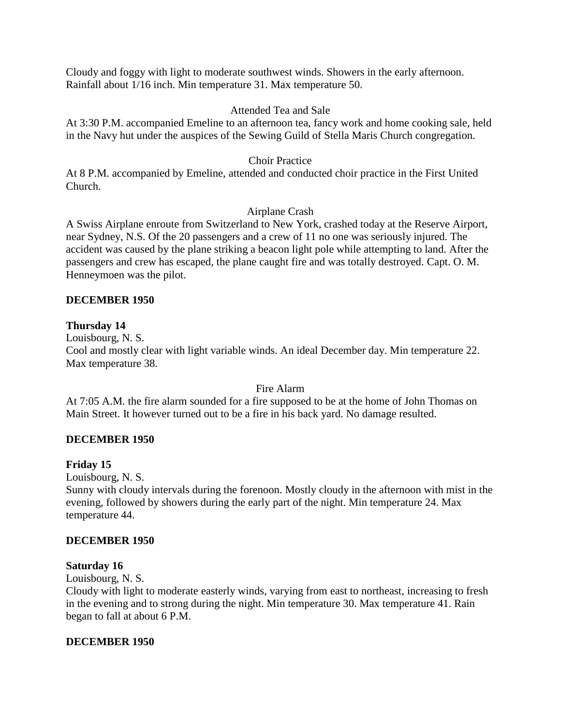Cloudy and foggy with light to moderate southwest winds. Showers in the early afternoon. Rainfall about 1/16 inch. Min temperature 31. Max temperature 50.

## Attended Tea and Sale

At 3:30 P.M. accompanied Emeline to an afternoon tea, fancy work and home cooking sale, held in the Navy hut under the auspices of the Sewing Guild of Stella Maris Church congregation.

# Choir Practice

At 8 P.M. accompanied by Emeline, attended and conducted choir practice in the First United Church.

# Airplane Crash

A Swiss Airplane enroute from Switzerland to New York, crashed today at the Reserve Airport, near Sydney, N.S. Of the 20 passengers and a crew of 11 no one was seriously injured. The accident was caused by the plane striking a beacon light pole while attempting to land. After the passengers and crew has escaped, the plane caught fire and was totally destroyed. Capt. O. M. Henneymoen was the pilot.

## **DECEMBER 1950**

## **Thursday 14**

Louisbourg, N. S. Cool and mostly clear with light variable winds. An ideal December day. Min temperature 22. Max temperature 38.

### Fire Alarm

At 7:05 A.M. the fire alarm sounded for a fire supposed to be at the home of John Thomas on Main Street. It however turned out to be a fire in his back yard. No damage resulted.

# **DECEMBER 1950**

### **Friday 15**

Louisbourg, N. S.

Sunny with cloudy intervals during the forenoon. Mostly cloudy in the afternoon with mist in the evening, followed by showers during the early part of the night. Min temperature 24. Max temperature 44.

### **DECEMBER 1950**

### **Saturday 16**

Louisbourg, N. S.

Cloudy with light to moderate easterly winds, varying from east to northeast, increasing to fresh in the evening and to strong during the night. Min temperature 30. Max temperature 41. Rain began to fall at about 6 P.M.

### **DECEMBER 1950**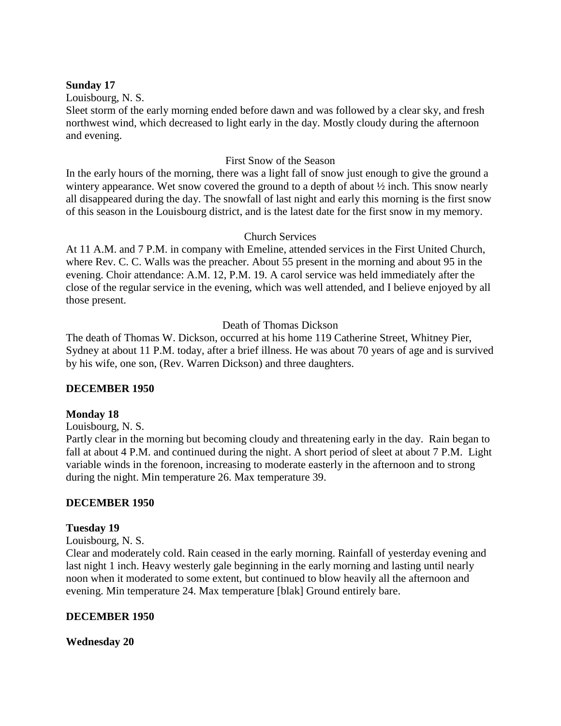### **Sunday 17**

Louisbourg, N. S.

Sleet storm of the early morning ended before dawn and was followed by a clear sky, and fresh northwest wind, which decreased to light early in the day. Mostly cloudy during the afternoon and evening.

## First Snow of the Season

In the early hours of the morning, there was a light fall of snow just enough to give the ground a wintery appearance. Wet snow covered the ground to a depth of about  $\frac{1}{2}$  inch. This snow nearly all disappeared during the day. The snowfall of last night and early this morning is the first snow of this season in the Louisbourg district, and is the latest date for the first snow in my memory.

## Church Services

At 11 A.M. and 7 P.M. in company with Emeline, attended services in the First United Church, where Rev. C. C. Walls was the preacher. About 55 present in the morning and about 95 in the evening. Choir attendance: A.M. 12, P.M. 19. A carol service was held immediately after the close of the regular service in the evening, which was well attended, and I believe enjoyed by all those present.

# Death of Thomas Dickson

The death of Thomas W. Dickson, occurred at his home 119 Catherine Street, Whitney Pier, Sydney at about 11 P.M. today, after a brief illness. He was about 70 years of age and is survived by his wife, one son, (Rev. Warren Dickson) and three daughters.

# **DECEMBER 1950**

### **Monday 18**

Louisbourg, N. S.

Partly clear in the morning but becoming cloudy and threatening early in the day. Rain began to fall at about 4 P.M. and continued during the night. A short period of sleet at about 7 P.M. Light variable winds in the forenoon, increasing to moderate easterly in the afternoon and to strong during the night. Min temperature 26. Max temperature 39.

### **DECEMBER 1950**

### **Tuesday 19**

Louisbourg, N. S.

Clear and moderately cold. Rain ceased in the early morning. Rainfall of yesterday evening and last night 1 inch. Heavy westerly gale beginning in the early morning and lasting until nearly noon when it moderated to some extent, but continued to blow heavily all the afternoon and evening. Min temperature 24. Max temperature [blak] Ground entirely bare.

### **DECEMBER 1950**

**Wednesday 20**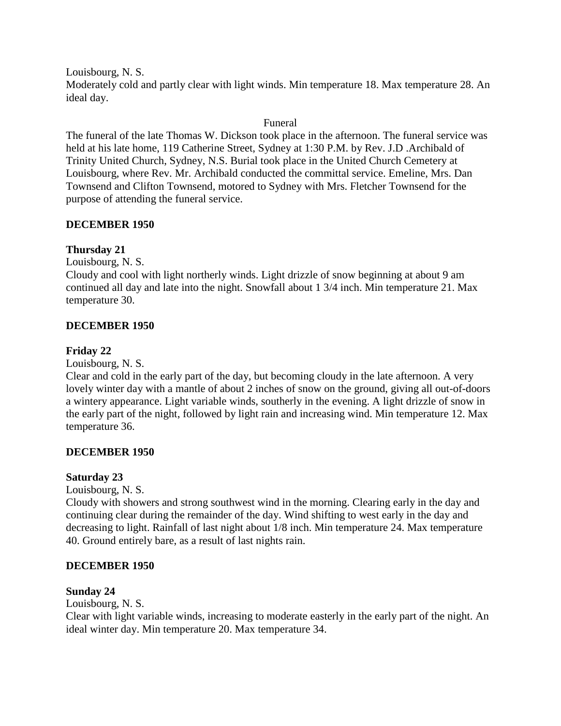Louisbourg, N. S.

Moderately cold and partly clear with light winds. Min temperature 18. Max temperature 28. An ideal day.

## Funeral

The funeral of the late Thomas W. Dickson took place in the afternoon. The funeral service was held at his late home, 119 Catherine Street, Sydney at 1:30 P.M. by Rev. J.D .Archibald of Trinity United Church, Sydney, N.S. Burial took place in the United Church Cemetery at Louisbourg, where Rev. Mr. Archibald conducted the committal service. Emeline, Mrs. Dan Townsend and Clifton Townsend, motored to Sydney with Mrs. Fletcher Townsend for the purpose of attending the funeral service.

## **DECEMBER 1950**

# **Thursday 21**

Louisbourg, N. S.

Cloudy and cool with light northerly winds. Light drizzle of snow beginning at about 9 am continued all day and late into the night. Snowfall about 1 3/4 inch. Min temperature 21. Max temperature 30.

# **DECEMBER 1950**

## **Friday 22**

Louisbourg, N. S.

Clear and cold in the early part of the day, but becoming cloudy in the late afternoon. A very lovely winter day with a mantle of about 2 inches of snow on the ground, giving all out-of-doors a wintery appearance. Light variable winds, southerly in the evening. A light drizzle of snow in the early part of the night, followed by light rain and increasing wind. Min temperature 12. Max temperature 36.

### **DECEMBER 1950**

### **Saturday 23**

Louisbourg, N. S.

Cloudy with showers and strong southwest wind in the morning. Clearing early in the day and continuing clear during the remainder of the day. Wind shifting to west early in the day and decreasing to light. Rainfall of last night about 1/8 inch. Min temperature 24. Max temperature 40. Ground entirely bare, as a result of last nights rain.

### **DECEMBER 1950**

### **Sunday 24**

Louisbourg, N. S.

Clear with light variable winds, increasing to moderate easterly in the early part of the night. An ideal winter day. Min temperature 20. Max temperature 34.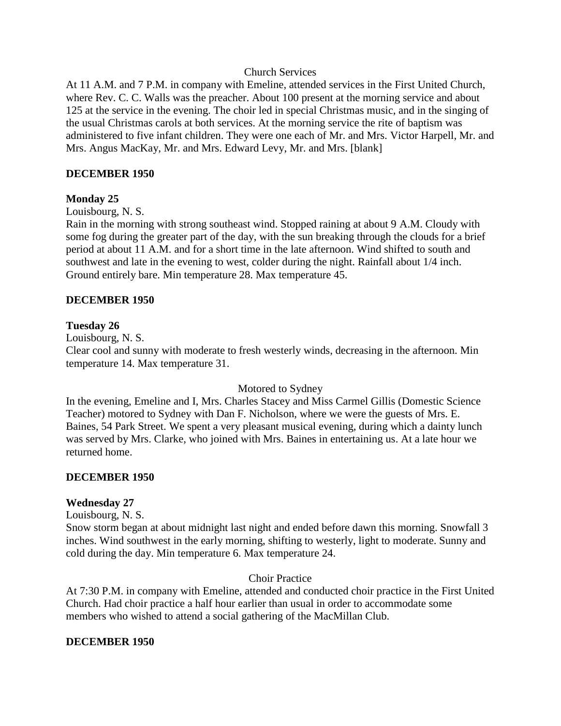### Church Services

At 11 A.M. and 7 P.M. in company with Emeline, attended services in the First United Church, where Rev. C. C. Walls was the preacher. About 100 present at the morning service and about 125 at the service in the evening. The choir led in special Christmas music, and in the singing of the usual Christmas carols at both services. At the morning service the rite of baptism was administered to five infant children. They were one each of Mr. and Mrs. Victor Harpell, Mr. and Mrs. Angus MacKay, Mr. and Mrs. Edward Levy, Mr. and Mrs. [blank]

### **DECEMBER 1950**

### **Monday 25**

Louisbourg, N. S.

Rain in the morning with strong southeast wind. Stopped raining at about 9 A.M. Cloudy with some fog during the greater part of the day, with the sun breaking through the clouds for a brief period at about 11 A.M. and for a short time in the late afternoon. Wind shifted to south and southwest and late in the evening to west, colder during the night. Rainfall about 1/4 inch. Ground entirely bare. Min temperature 28. Max temperature 45.

### **DECEMBER 1950**

### **Tuesday 26**

Louisbourg, N. S.

Clear cool and sunny with moderate to fresh westerly winds, decreasing in the afternoon. Min temperature 14. Max temperature 31.

### Motored to Sydney

In the evening, Emeline and I, Mrs. Charles Stacey and Miss Carmel Gillis (Domestic Science Teacher) motored to Sydney with Dan F. Nicholson, where we were the guests of Mrs. E. Baines, 54 Park Street. We spent a very pleasant musical evening, during which a dainty lunch was served by Mrs. Clarke, who joined with Mrs. Baines in entertaining us. At a late hour we returned home.

### **DECEMBER 1950**

### **Wednesday 27**

Louisbourg, N. S.

Snow storm began at about midnight last night and ended before dawn this morning. Snowfall 3 inches. Wind southwest in the early morning, shifting to westerly, light to moderate. Sunny and cold during the day. Min temperature 6. Max temperature 24.

### Choir Practice

At 7:30 P.M. in company with Emeline, attended and conducted choir practice in the First United Church. Had choir practice a half hour earlier than usual in order to accommodate some members who wished to attend a social gathering of the MacMillan Club.

#### **DECEMBER 1950**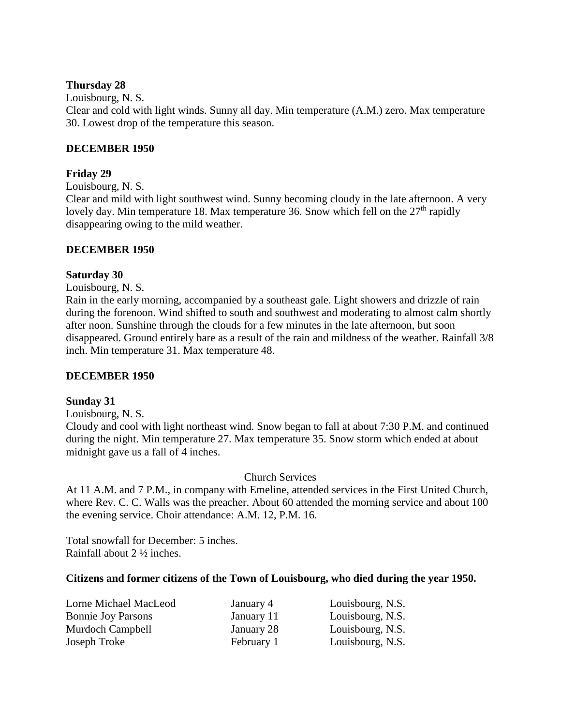### **Thursday 28**

Louisbourg, N. S. Clear and cold with light winds. Sunny all day. Min temperature (A.M.) zero. Max temperature 30. Lowest drop of the temperature this season.

## **DECEMBER 1950**

## **Friday 29**

Louisbourg, N. S.

Clear and mild with light southwest wind. Sunny becoming cloudy in the late afternoon. A very lovely day. Min temperature 18. Max temperature 36. Snow which fell on the  $27<sup>th</sup>$  rapidly disappearing owing to the mild weather.

### **DECEMBER 1950**

### **Saturday 30**

Louisbourg, N. S.

Rain in the early morning, accompanied by a southeast gale. Light showers and drizzle of rain during the forenoon. Wind shifted to south and southwest and moderating to almost calm shortly after noon. Sunshine through the clouds for a few minutes in the late afternoon, but soon disappeared. Ground entirely bare as a result of the rain and mildness of the weather. Rainfall 3/8 inch. Min temperature 31. Max temperature 48.

### **DECEMBER 1950**

### **Sunday 31**

Louisbourg, N. S.

Cloudy and cool with light northeast wind. Snow began to fall at about 7:30 P.M. and continued during the night. Min temperature 27. Max temperature 35. Snow storm which ended at about midnight gave us a fall of 4 inches.

Church Services

At 11 A.M. and 7 P.M., in company with Emeline, attended services in the First United Church, where Rev. C. C. Walls was the preacher. About 60 attended the morning service and about 100 the evening service. Choir attendance: A.M. 12, P.M. 16.

Total snowfall for December: 5 inches. Rainfall about 2 ½ inches.

### **Citizens and former citizens of the Town of Louisbourg, who died during the year 1950.**

| Lorne Michael MacLeod     | January 4  | Louisbourg, N.S. |
|---------------------------|------------|------------------|
| <b>Bonnie Joy Parsons</b> | January 11 | Louisbourg, N.S. |
| Murdoch Campbell          | January 28 | Louisbourg, N.S. |
| Joseph Troke              | February 1 | Louisbourg, N.S. |